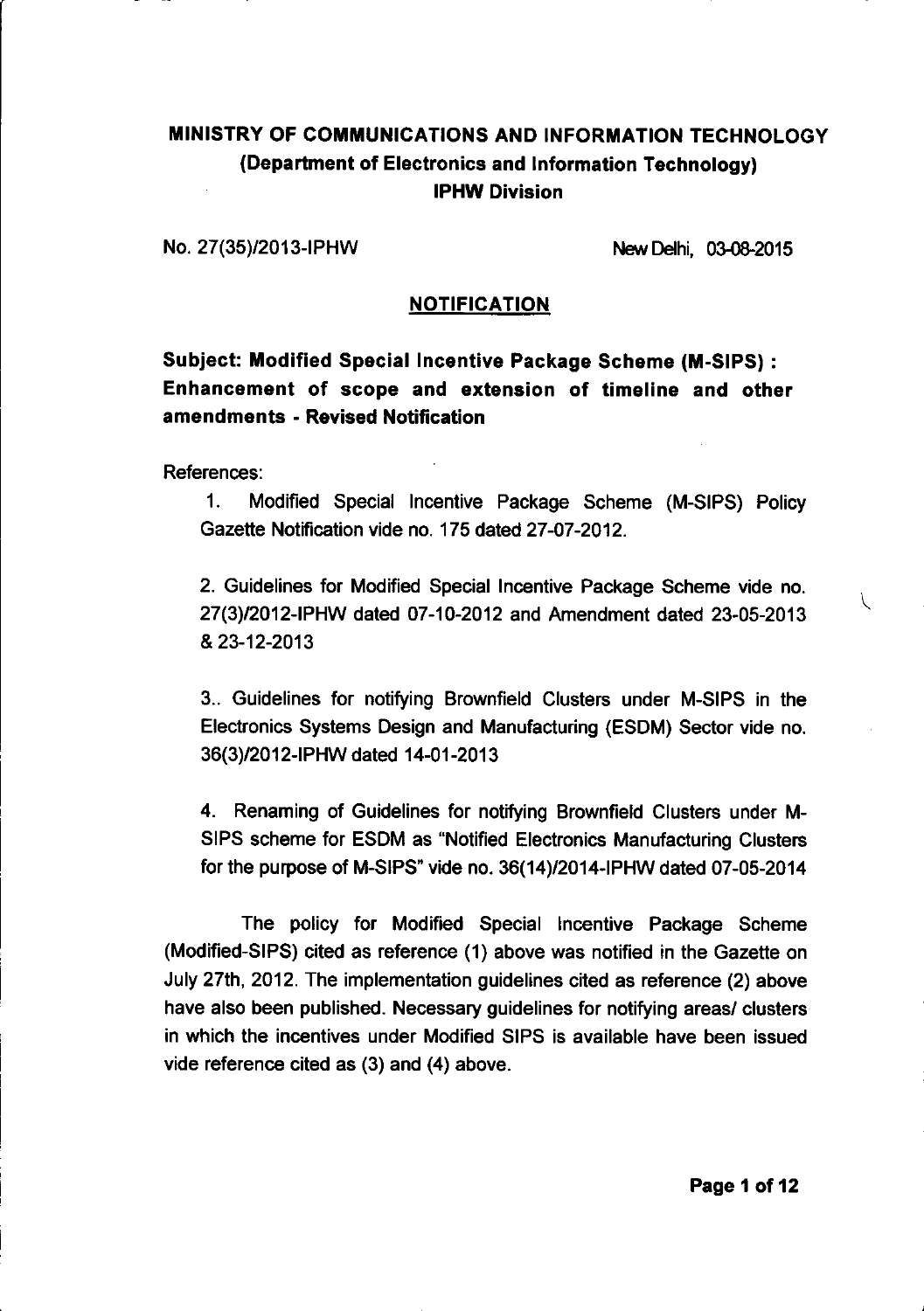## MINISTRY OF COMMUNICATIONS AND INFORMATION TECHNOLOGY (Department of Electronics and Information Technology) **IPHW Division**

No. 27(35)/2013-IPHW

New Delhi. 03-08-2015

### **NOTIFICATION**

## **Subject: Modified Special Incentive Package Scheme (M-SIPS):** Enhancement of scope and extension of timeline and other amendments - Revised Notification

References:

Modified Special Incentive Package Scheme (M-SIPS) Policy  $1<sub>1</sub>$ Gazette Notification vide no. 175 dated 27-07-2012.

2. Guidelines for Modified Special Incentive Package Scheme vide no. 27(3)/2012-IPHW dated 07-10-2012 and Amendment dated 23-05-2013 & 23-12-2013

3.. Guidelines for notifying Brownfield Clusters under M-SIPS in the Electronics Systems Design and Manufacturing (ESDM) Sector vide no. 36(3)/2012-IPHW dated 14-01-2013

4. Renaming of Guidelines for notifying Brownfield Clusters under M-SIPS scheme for ESDM as "Notified Electronics Manufacturing Clusters for the purpose of M-SIPS" vide no. 36(14)/2014-IPHW dated 07-05-2014

The policy for Modified Special Incentive Package Scheme (Modified-SIPS) cited as reference (1) above was notified in the Gazette on July 27th, 2012. The implementation guidelines cited as reference (2) above have also been published. Necessary guidelines for notifying areas/ clusters in which the incentives under Modified SIPS is available have been issued vide reference cited as (3) and (4) above.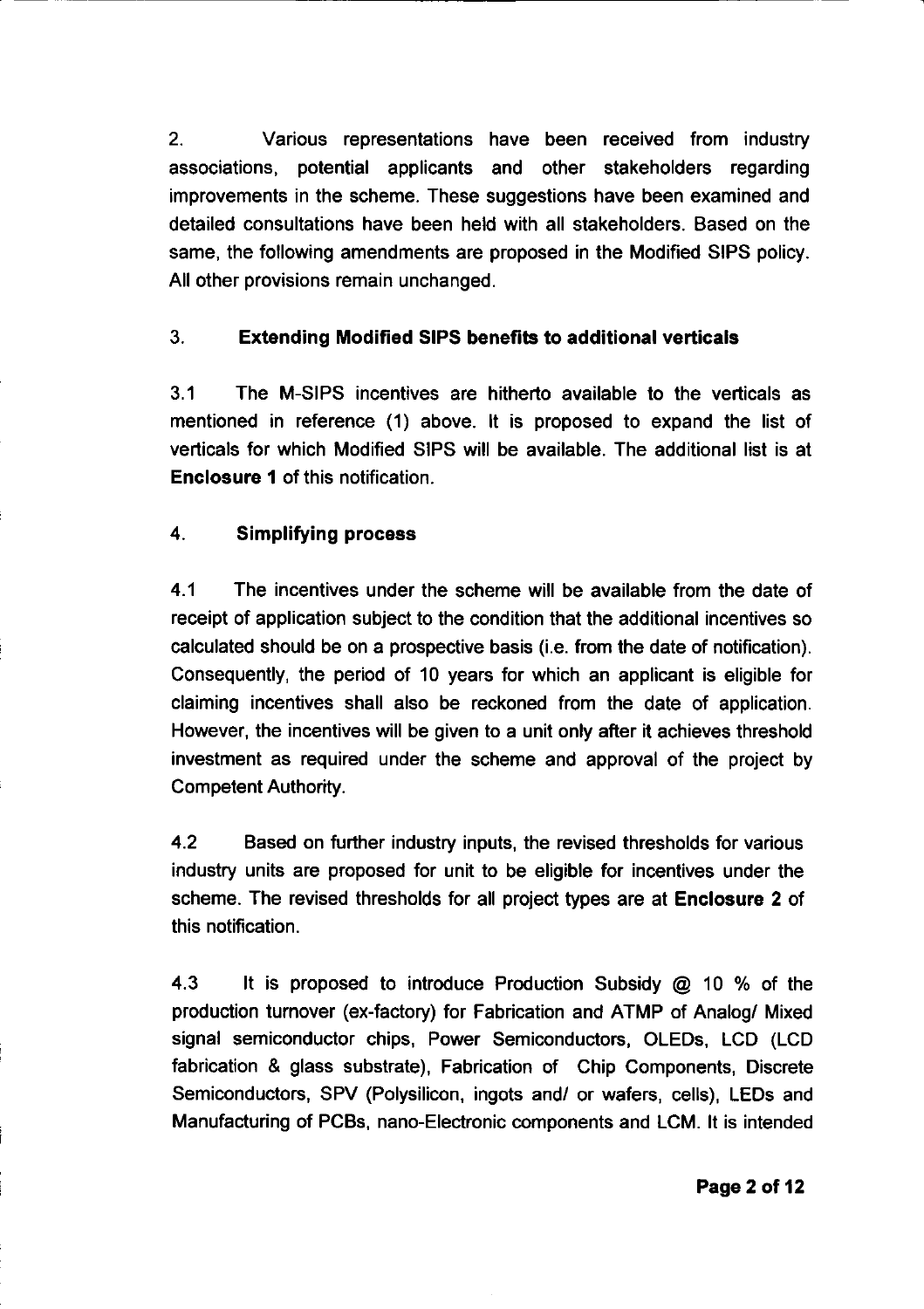$2<sup>1</sup>$ Various representations have been received from industry associations, potential applicants and other stakeholders regarding improvements in the scheme. These suggestions have been examined and detailed consultations have been held with all stakeholders. Based on the same, the following amendments are proposed in the Modified SIPS policy. All other provisions remain unchanged.

#### $\overline{3}$ **Extending Modified SIPS benefits to additional verticals**

 $3<sub>1</sub>$ The M-SIPS incentives are hitherto available to the verticals as mentioned in reference (1) above. It is proposed to expand the list of verticals for which Modified SIPS will be available. The additional list is at Enclosure 1 of this notification.

#### $\overline{\mathbf{A}}$ **Simplifying process**

 $4.1$ The incentives under the scheme will be available from the date of receipt of application subject to the condition that the additional incentives so calculated should be on a prospective basis (i.e. from the date of notification). Consequently, the period of 10 years for which an applicant is eligible for claiming incentives shall also be reckoned from the date of application. However, the incentives will be given to a unit only after it achieves threshold investment as required under the scheme and approval of the project by **Competent Authority.** 

 $4.2$ Based on further industry inputs, the revised thresholds for various industry units are proposed for unit to be eligible for incentives under the scheme. The revised thresholds for all project types are at Enclosure 2 of this notification.

 $4.3$ It is proposed to introduce Production Subsidy @ 10 % of the production turnover (ex-factory) for Fabrication and ATMP of Analog/ Mixed signal semiconductor chips, Power Semiconductors, OLEDs, LCD (LCD fabrication & glass substrate), Fabrication of Chip Components, Discrete Semiconductors, SPV (Polysilicon, ingots and/ or wafers, cells), LEDs and Manufacturing of PCBs, nano-Electronic components and LCM. It is intended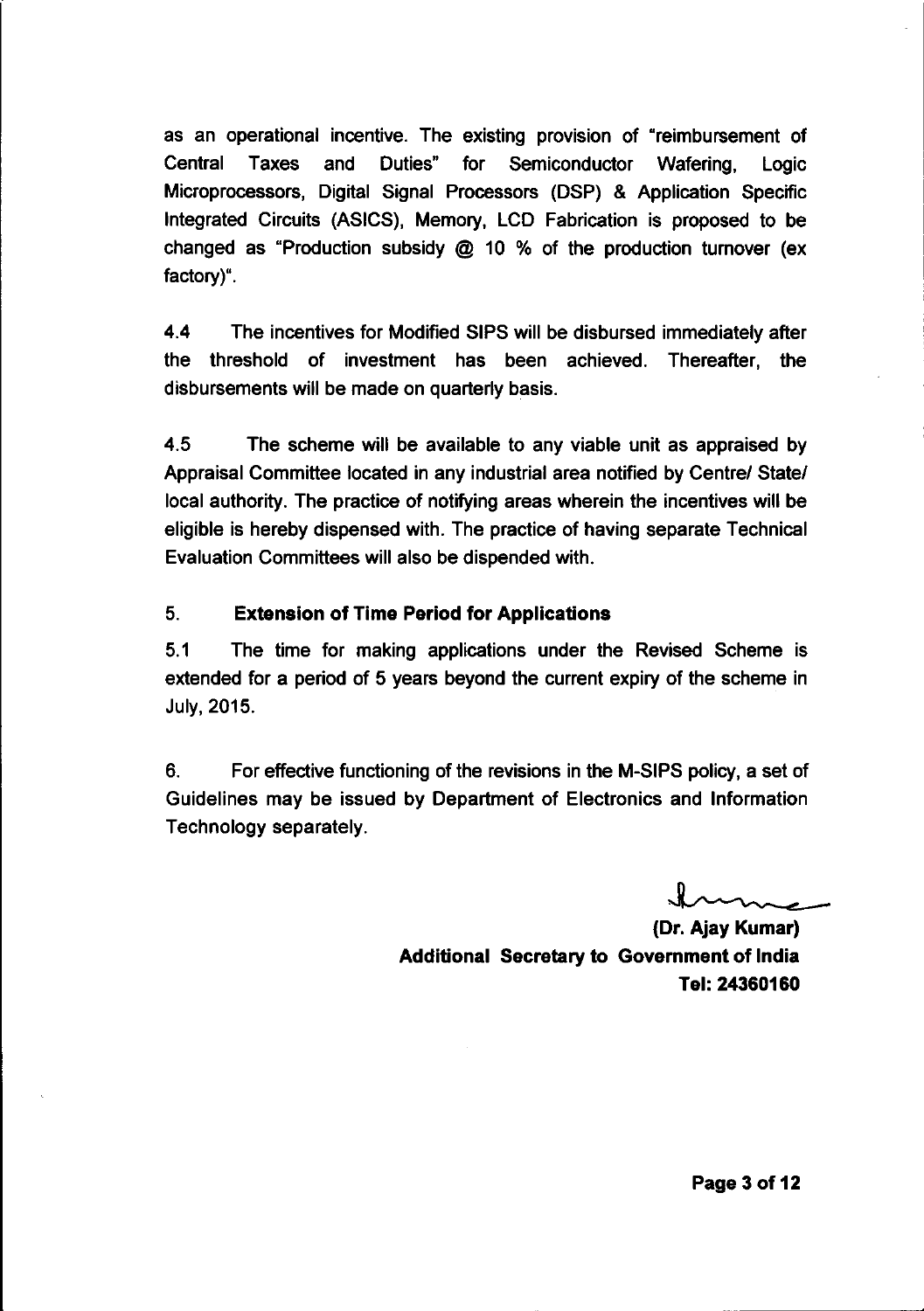as an operational incentive. The existing provision of "reimbursement of Central **Taxes** and Duties" for Semiconductor Wafering, Logic Microprocessors, Digital Signal Processors (DSP) & Application Specific Integrated Circuits (ASICS), Memory, LCD Fabrication is proposed to be changed as "Production subsidy  $\omega$  10 % of the production turnover (ex factory)".

44 The incentives for Modified SIPS will be disbursed immediately after the threshold of investment has been achieved. Thereafter, the disbursements will be made on quarterly basis.

4.5 The scheme will be available to any viable unit as appraised by Appraisal Committee located in any industrial area notified by Centre/ State/ local authority. The practice of notifying areas wherein the incentives will be eligible is hereby dispensed with. The practice of having separate Technical Evaluation Committees will also be dispended with.

#### $5<sub>1</sub>$ **Extension of Time Period for Applications**

 $5.1$ The time for making applications under the Revised Scheme is extended for a period of 5 years beyond the current expiry of the scheme in July, 2015.

6. For effective functioning of the revisions in the M-SIPS policy, a set of Guidelines may be issued by Department of Electronics and Information Technology separately.

(Dr. Ajay Kumar) Additional Secretary to Government of India Tel: 24360160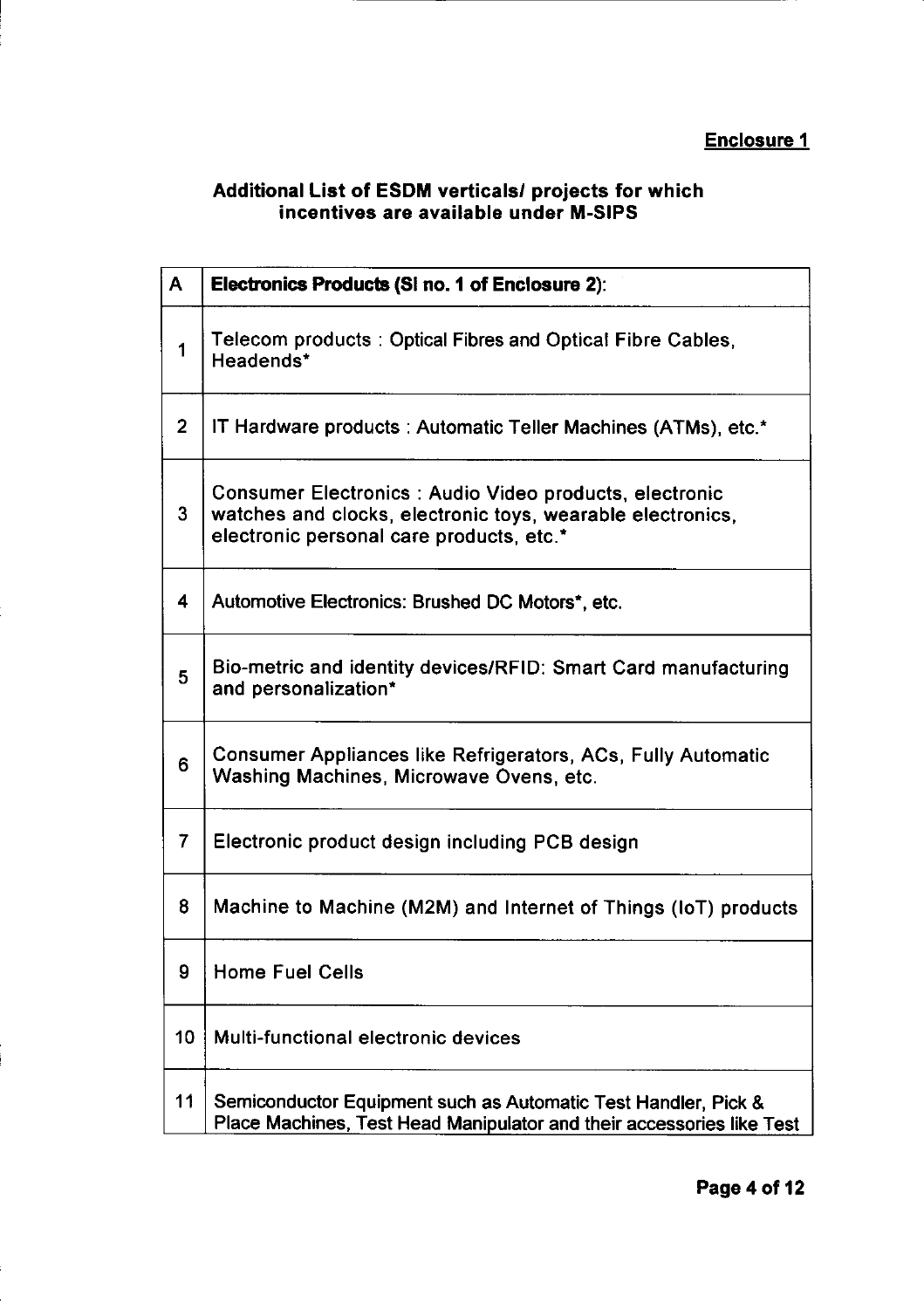## **Enclosure 1**

# Additional List of ESDM verticals/ projects for which<br>incentives are available under M-SIPS

| $\mathsf{A}$   | <b>Electronics Products (Si no. 1 of Enclosure 2):</b>                                                                                                           |
|----------------|------------------------------------------------------------------------------------------------------------------------------------------------------------------|
| 1              | Telecom products: Optical Fibres and Optical Fibre Cables,<br>Headends*                                                                                          |
| $\overline{2}$ | IT Hardware products : Automatic Teller Machines (ATMs), etc.*                                                                                                   |
| 3              | Consumer Electronics: Audio Video products, electronic<br>watches and clocks, electronic toys, wearable electronics,<br>electronic personal care products, etc.* |
| 4              | Automotive Electronics: Brushed DC Motors*, etc.                                                                                                                 |
| 5              | Bio-metric and identity devices/RFID: Smart Card manufacturing<br>and personalization*                                                                           |
| 6              | Consumer Appliances like Refrigerators, ACs, Fully Automatic<br>Washing Machines, Microwave Ovens, etc.                                                          |
| $\overline{7}$ | Electronic product design including PCB design                                                                                                                   |
| 8              | Machine to Machine (M2M) and Internet of Things (IoT) products                                                                                                   |
| 9              | <b>Home Fuel Cells</b>                                                                                                                                           |
| 10             | Multi-functional electronic devices                                                                                                                              |
| 11             | Semiconductor Equipment such as Automatic Test Handler, Pick &<br>Place Machines, Test Head Manipulator and their accessories like Test                          |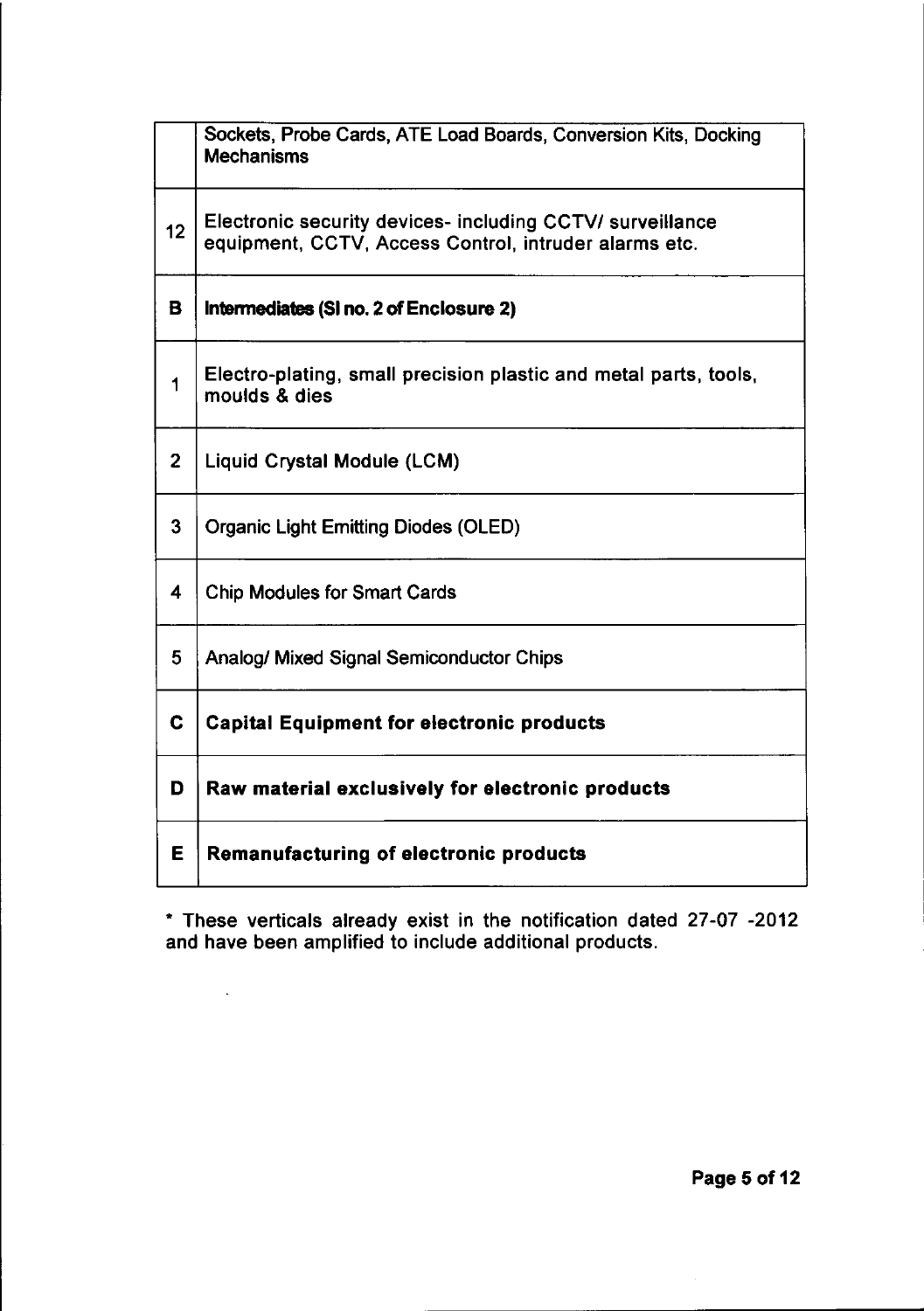|                 | Sockets, Probe Cards, ATE Load Boards, Conversion Kits, Docking<br><b>Mechanisms</b>                               |
|-----------------|--------------------------------------------------------------------------------------------------------------------|
| 12 <sup>2</sup> | Electronic security devices- including CCTV/ surveillance<br>equipment, CCTV, Access Control, intruder alarms etc. |
| в               | Intermediates (SI no. 2 of Enclosure 2)                                                                            |
| 1               | Electro-plating, small precision plastic and metal parts, tools,<br>moulds & dies                                  |
| $\overline{2}$  | Liquid Crystal Module (LCM)                                                                                        |
| 3               | <b>Organic Light Emitting Diodes (OLED)</b>                                                                        |
| 4               | <b>Chip Modules for Smart Cards</b>                                                                                |
| 5               | Analog/ Mixed Signal Semiconductor Chips                                                                           |
| C.              | <b>Capital Equipment for electronic products</b>                                                                   |
| D               | Raw material exclusively for electronic products                                                                   |
| Е               | Remanufacturing of electronic products                                                                             |

\* These verticals already exist in the notification dated 27-07 -2012<br>and have been amplified to include additional products.

 $\sim 10^{11}$  km  $^{-1}$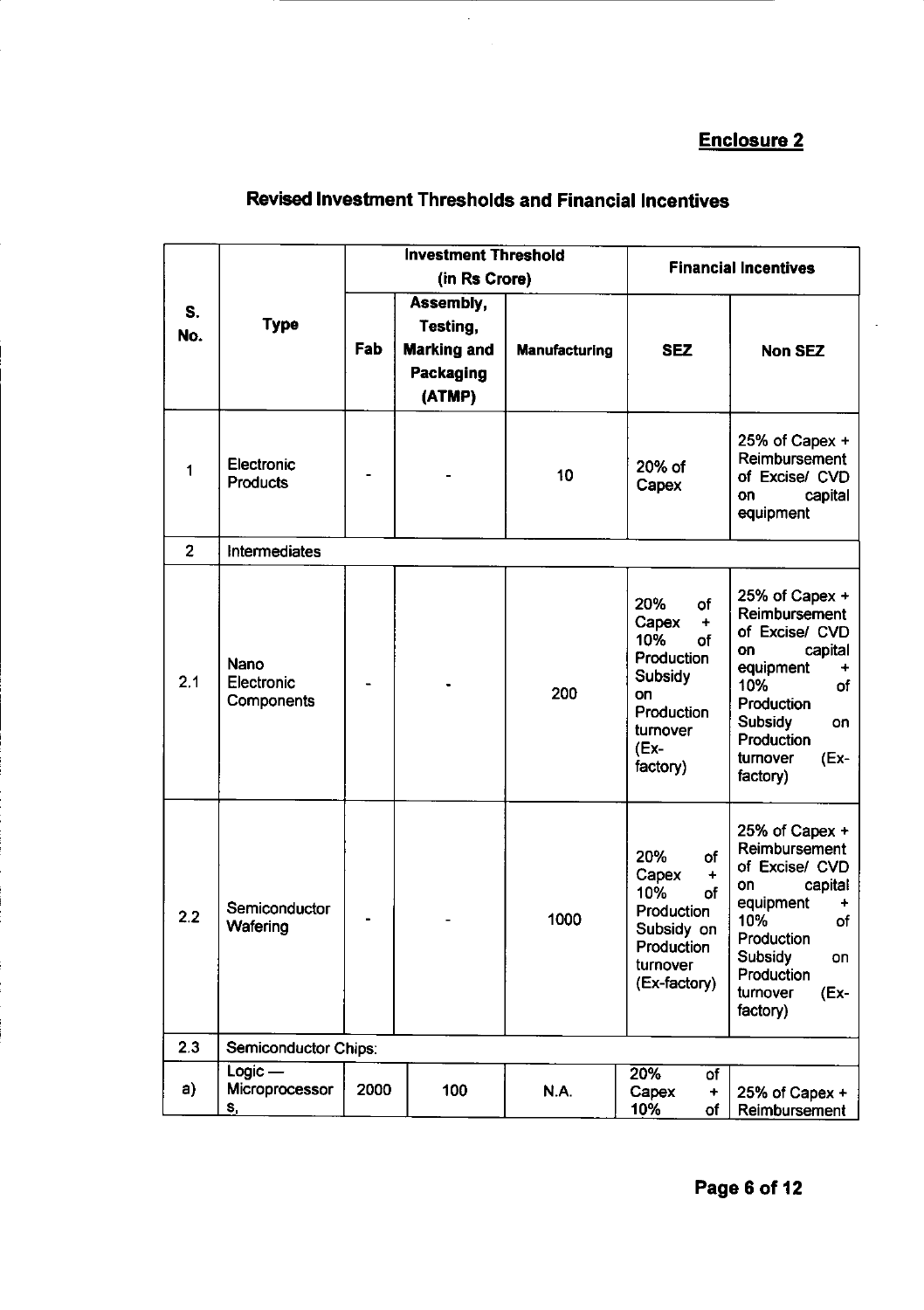## **Enclosure 2**

|                |                                          |      | <b>Investment Threshold</b><br>(in Rs Crore)                       |               | <b>Financial Incentives</b>                                                                                                      |                                                                                                                                                                                                 |
|----------------|------------------------------------------|------|--------------------------------------------------------------------|---------------|----------------------------------------------------------------------------------------------------------------------------------|-------------------------------------------------------------------------------------------------------------------------------------------------------------------------------------------------|
| S.<br>No.      | <b>Type</b>                              | Fab  | Assembly,<br>Testing,<br><b>Marking and</b><br>Packaging<br>(ATMP) | Manufacturing | <b>SEZ</b>                                                                                                                       | <b>Non SEZ</b>                                                                                                                                                                                  |
| 1              | Electronic<br>Products                   |      |                                                                    | 10            | 20% of<br>Capex                                                                                                                  | $25%$ of Capex +<br>Reimbursement<br>of Excise/ CVD<br>capital<br>on<br>equipment                                                                                                               |
| $\overline{2}$ | Intermediates                            |      |                                                                    |               |                                                                                                                                  |                                                                                                                                                                                                 |
| 2.1            | Nano<br>Electronic<br>Components         |      |                                                                    | 200           | 20%<br>of<br>Capex<br>$\ddot{}$<br>10%<br>of<br>Production<br><b>Subsidy</b><br>on<br>Production<br>turnover<br>(Ex-<br>factory) | 25% of Capex $+$<br>Reimbursement<br>of Excise/ CVD<br>on<br>capital<br>equipment<br>$\ddot{}$<br>10%<br>of<br>Production<br><b>Subsidy</b><br>on<br>Production<br>turnover<br>(Ex-<br>factory) |
| 2.2            | Semiconductor<br>Wafering                |      |                                                                    | 1000          | 20%<br>of<br>Capex<br>$\ddot{}$<br>10%<br>of<br>Production<br>Subsidy on<br>Production<br>turnover<br>(Ex-factory)               | 25% of Capex +<br>Reimbursement<br>of Excise/ CVD<br>capital<br>on<br>equipment<br>10%<br>of<br>Production<br><b>Subsidy</b><br>on<br>Production<br>turnover<br>(Ex-<br>factory)                |
| 2.3            | Semiconductor Chips:                     |      |                                                                    |               |                                                                                                                                  |                                                                                                                                                                                                 |
| a)             | $Logic -$<br>Microprocessor<br><u>s,</u> | 2000 | 100                                                                | N.A.          | 20%<br>of<br>Capex<br>+<br>10%<br>of                                                                                             | 25% of Capex +<br>Reimbursement                                                                                                                                                                 |

# **Revised Investment Thresholds and Financial Incentives**

 $\hat{\mathcal{A}}$ 

 $\bar{\bar{z}}$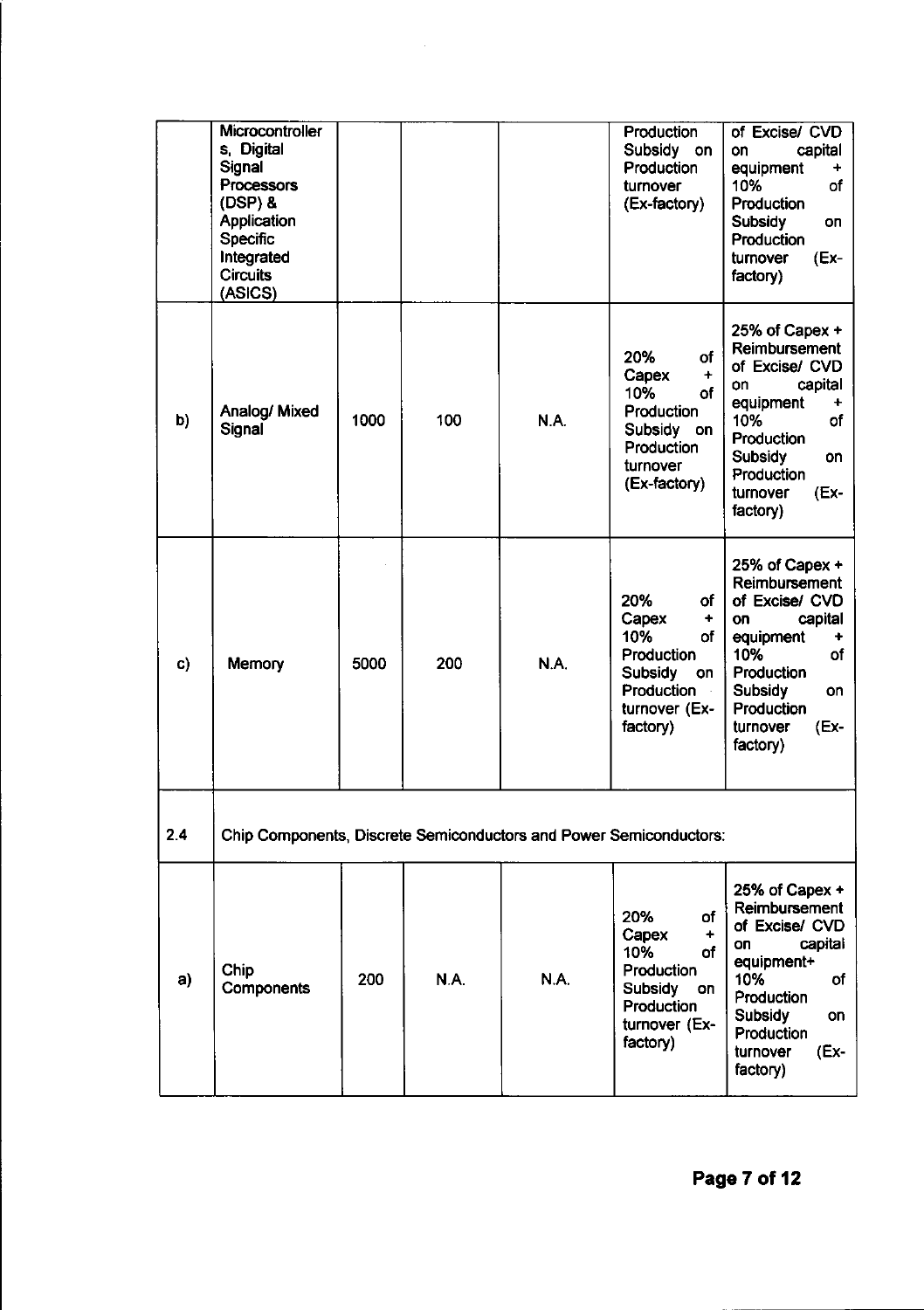|     | Microcontroller<br>s. Digital<br>Signal<br>Processors<br>$(DSP)$ &<br>Application<br><b>Specific</b><br>Integrated<br><b>Circuits</b><br>(ASICS) |      |             |      | Production<br>Subsidy on<br><b>Production</b><br>turnover<br>(Ex-factory)                                             | of Excise/ CVD<br>capital<br>on<br>equipment<br>$\ddot{}$<br>10%<br>of<br>Production<br>Subsidy<br>on<br>Production<br>turnover<br>(Ex-<br>factory)                               |
|-----|--------------------------------------------------------------------------------------------------------------------------------------------------|------|-------------|------|-----------------------------------------------------------------------------------------------------------------------|-----------------------------------------------------------------------------------------------------------------------------------------------------------------------------------|
| b)  | Analog/ Mixed<br>Signal                                                                                                                          | 1000 | 100         | N.A. | of<br>20%<br>Capex<br>$\ddot{}$<br>10%<br>of<br>Production<br>Subsidy on<br>Production<br>turnover<br>(Ex-factory)    | 25% of Capex +<br>Reimbursement<br>of Excise/ CVD<br>capital<br>on<br>equipment<br>10%<br>of<br>Production<br><b>Subsidy</b><br>on<br>Production<br>turnover<br>(Ex-<br>factory)  |
| c)  | Memory                                                                                                                                           | 5000 | 200         | N.A. | 20%<br>of<br>Capex<br>٠<br>10%<br>оf<br>Production<br><b>Subsidy</b><br>on<br>Production<br>turnover (Ex-<br>factory) | 25% of Capex +<br>Reimbursement<br>of Excise/ CVD<br>capital<br>on<br>equipment<br>of<br>10%<br>Production<br><b>Subsidy</b><br>on<br>Production<br>(Ex-<br>turnover<br>factory)  |
| 2.4 | Chip Components, Discrete Semiconductors and Power Semiconductors:                                                                               |      |             |      |                                                                                                                       |                                                                                                                                                                                   |
| a)  | Chip<br>Components                                                                                                                               | 200  | <b>N.A.</b> | N.A. | 20%<br>of<br>Capex<br>÷<br>10%<br>of<br>Production<br>Subsidy<br>on<br>Production<br>turnover (Ex-<br>factory)        | 25% of Capex +<br>Reimbursement<br>of Excise/ CVD<br>capital<br>on<br>equipment+<br>10%<br>оf<br>Production<br><b>Subsidy</b><br>on<br>Production<br>(Ex-<br>turnover<br>factory) |

 $\sim 10^{-1}$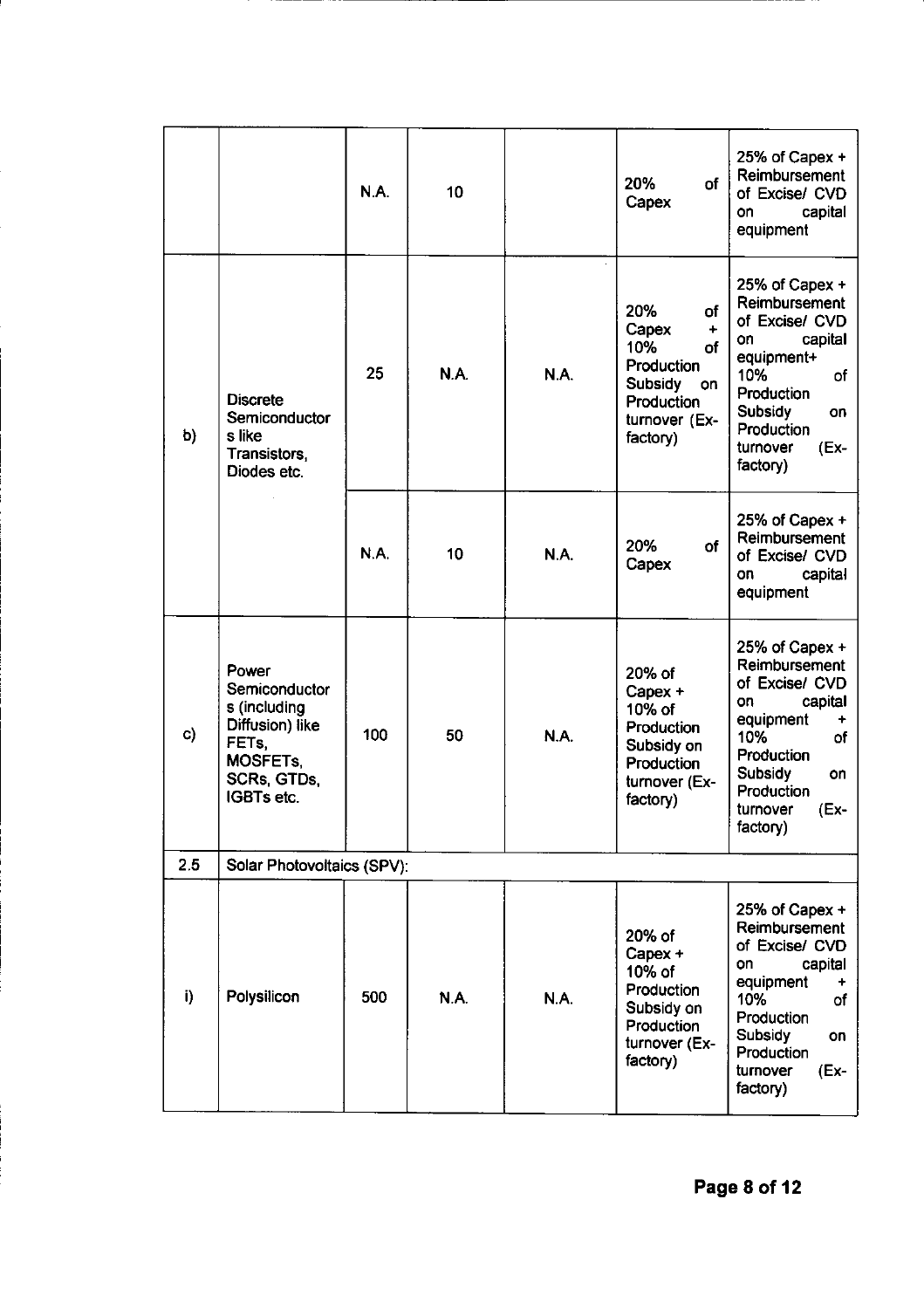|     |                                                                                                                              | N.A. | 10          |      | of<br>20%<br>Capex                                                                                                                   | 25% of Capex +<br>Reimbursement<br>of Excise/ CVD<br>on<br>capital<br>equipment                                                                                                            |
|-----|------------------------------------------------------------------------------------------------------------------------------|------|-------------|------|--------------------------------------------------------------------------------------------------------------------------------------|--------------------------------------------------------------------------------------------------------------------------------------------------------------------------------------------|
| b)  | <b>Discrete</b><br>Semiconductor<br>s like<br>Transistors.<br>Diodes etc.                                                    | 25   | N.A.        | N.A. | 20%<br>οf<br>Capex<br>$\ddot{}$<br>10%<br><b>of</b><br>Production<br><b>Subsidy</b><br>on<br>Production<br>turnover (Ex-<br>factory) | 25% of Capex +<br>Reimbursement<br>of Excise/ CVD<br>capital<br>on<br>equipment+<br>10%<br>of<br>Production<br><b>Subsidy</b><br><b>on</b><br>Production<br>turnover<br>$(Ex-$<br>factory) |
|     |                                                                                                                              | N.A. | 10          | N.A. | 20%<br>of<br>Capex                                                                                                                   | 25% of Capex +<br>Reimbursement<br>of Excise/ CVD<br>capital<br>on<br>equipment                                                                                                            |
| c)  | Power<br>Semiconductor<br>s (including<br>Diffusion) like<br>FET <sub>s</sub><br><b>MOSFETS.</b><br>SCRs GTDs,<br>IGBTs etc. | 100  | 50          | N.A. | 20% of<br>Capex +<br>10% of<br><b>Production</b><br>Subsidy on<br>Production<br>turnover (Ex-<br>factory)                            | 25% of Capex +<br>Reimbursement<br>of Excise/ CVD<br>on<br>capital<br>equipment<br>٠<br>10%<br>οf<br>Production<br><b>Subsidy</b><br>on<br>Production<br>(Ex-<br>turnover<br>factory)      |
| 2.5 | Solar Photovoltaics (SPV):                                                                                                   |      |             |      |                                                                                                                                      |                                                                                                                                                                                            |
| i)  | Polysilicon                                                                                                                  | 500  | <b>N.A.</b> | N.A. | 20% of<br>Capex +<br>10% of<br>Production<br>Subsidy on<br>Production<br>turnover (Ex-<br>factory)                                   | 25% of Capex $+$<br>Reimbursement<br>of Excise/ CVD<br>on<br>capital<br>equipment<br>10%<br>of<br>Production<br>Subsidy<br>on<br>Production<br>turnover<br>(Ex-<br>factory)                |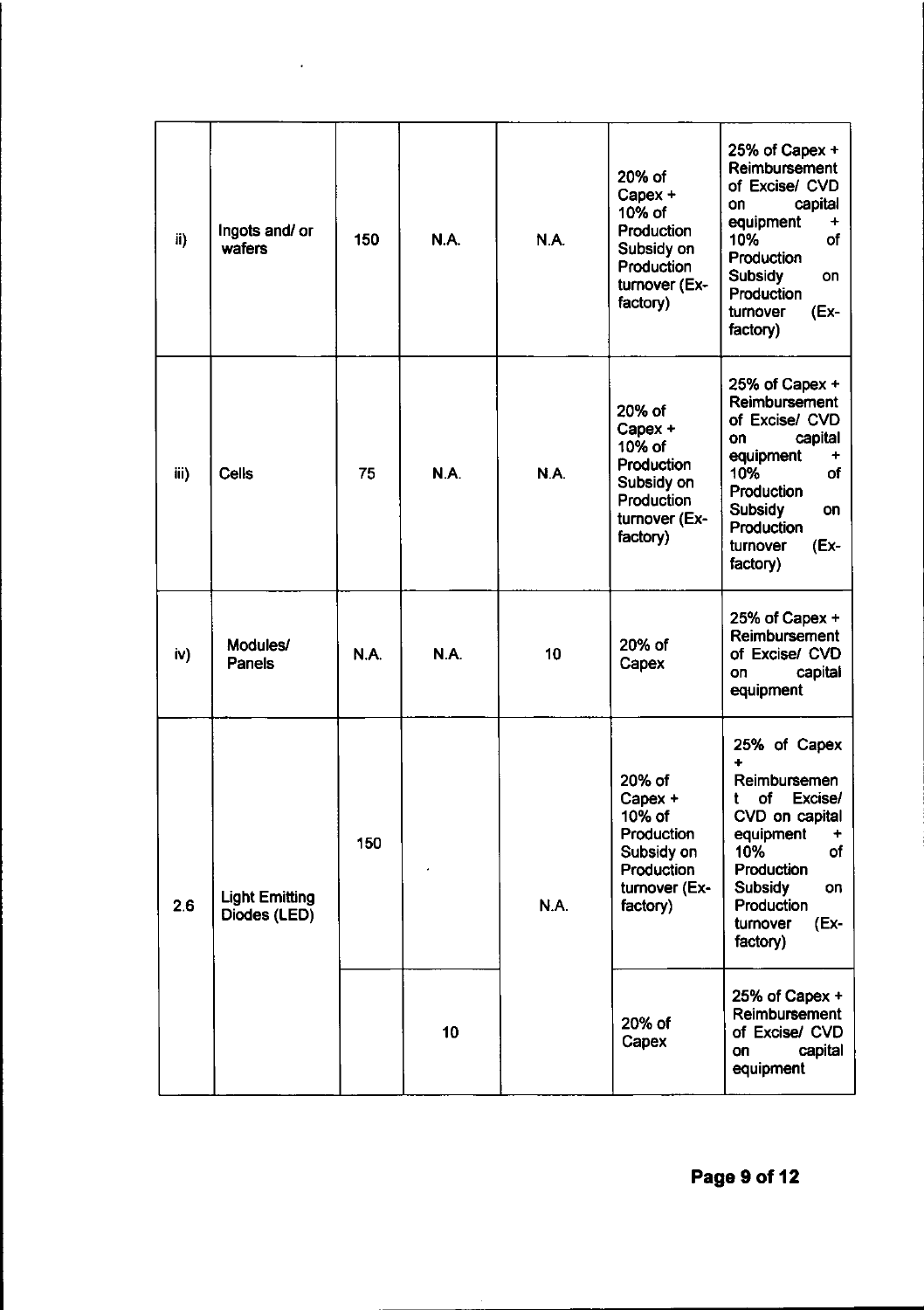| ii)  | Ingots and/ or<br>wafers              | 150  | N.A.        | N.A. | 20% of<br>Capex +<br>10% of<br><b>Production</b><br>Subsidy on<br>Production<br>turnover (Ex-<br>factory) | 25% of Capex +<br>Reimbursement<br>of Excise/ CVD<br>capital<br>on<br>equipment<br>10%<br>of<br>Production<br><b>Subsidy</b><br>on<br>Production<br>(Ex-<br>turnover<br>factory)             |
|------|---------------------------------------|------|-------------|------|-----------------------------------------------------------------------------------------------------------|----------------------------------------------------------------------------------------------------------------------------------------------------------------------------------------------|
| iii) | <b>Cells</b>                          | 75   | N.A.        | N.A. | 20% of<br>Capex +<br>10% of<br>Production<br>Subsidy on<br>Production<br>turnover (Ex-<br>factory)        | 25% of Capex +<br>Reimbursement<br>of Excise/ CVD<br>capital<br>on<br>equipment<br>10%<br>of<br>Production<br><b>Subsidy</b><br>on<br>Production<br>$(Ex-$<br>turnover<br>factory)           |
| iv)  | Modules/<br><b>Panels</b>             | N.A. | <b>N.A.</b> | 10   | 20% of<br>Capex                                                                                           | 25% of Capex +<br>Reimbursement<br>of Excise/ CVD<br>capital<br>on<br>equipment                                                                                                              |
| 2.6  | <b>Light Emitting</b><br>Diodes (LED) | 150  |             | N.A. | 20% of<br>Capex +<br>10% of<br>Production<br>Subsidy on<br>Production<br>turnover (Ex-<br>factory)        | 25% of Capex<br>┿<br>Reimbursemen<br>of<br>Excise/<br>t<br>CVD on capital<br>equipment<br>٠<br>10%<br>of<br>Production<br><b>Subsidy</b><br>on<br>Production<br>(Ex-<br>turnover<br>factory) |
|      |                                       |      | 10          |      | 20% of<br>Capex                                                                                           | 25% of Capex +<br>Reimbursement<br>of Excise/ CVD<br>capital<br>on<br>equipment                                                                                                              |

 $\mathcal{L}(\mathcal{A})$  and  $\mathcal{L}(\mathcal{A})$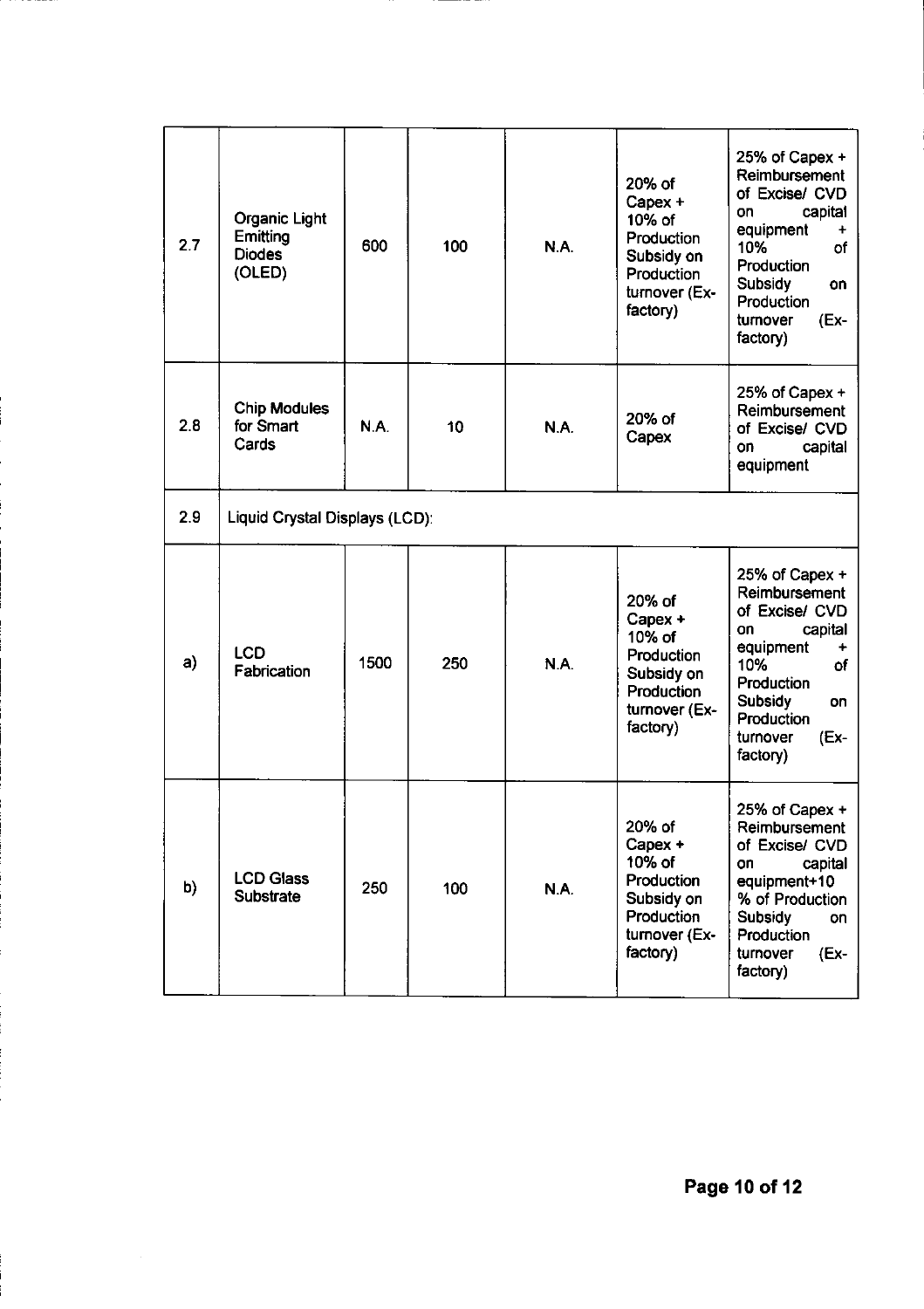| 2.7 | <b>Organic Light</b><br>Emitting<br><b>Diodes</b><br>(OLED) | 600  | 100 | N.A.        | 20% of<br>Capex +<br>10% of<br>Production<br>Subsidy on<br>Production<br>turnover (Ex-<br>factory)        | 25% of Capex $+$<br>Reimbursement<br>of Excise/ CVD<br>capital<br>on<br>equipment<br>10%<br>of<br>Production<br><b>Subsidy</b><br>on<br>Production<br>(Ex-<br>turnover<br>factory)  |
|-----|-------------------------------------------------------------|------|-----|-------------|-----------------------------------------------------------------------------------------------------------|-------------------------------------------------------------------------------------------------------------------------------------------------------------------------------------|
| 2.8 | <b>Chip Modules</b><br>for Smart<br>Cards                   | N.A. | 10  | <b>N.A.</b> | 20% of<br>Capex                                                                                           | 25% of Capex +<br>Reimbursement<br>of Excise/ CVD<br>capital<br>on<br>equipment                                                                                                     |
| 2.9 | Liquid Crystal Displays (LCD):                              |      |     |             |                                                                                                           |                                                                                                                                                                                     |
| a)  | LCD<br>Fabrication                                          | 1500 | 250 | <b>N.A.</b> | 20% of<br>Capex +<br>10% of<br><b>Production</b><br>Subsidy on<br>Production<br>turnover (Ex-<br>factory) | 25% of Capex +<br>Reimbursement<br>of Excise/ CVD<br>capital<br>on<br>equipment<br>10%<br>of<br>Production<br><b>Subsidy</b><br>on<br>Production<br>$(Ex -$<br>turnover<br>factory) |
| b)  | <b>LCD Glass</b><br><b>Substrate</b>                        | 250  | 100 | N.A.        | 20% of<br>Capex +<br>10% of<br>Production<br>Subsidy on<br>Production<br>turnover (Ex-<br>factory)        | 25% of Capex +<br>Reimbursement<br>of Excise/ CVD<br>capital<br>on<br>equipment+10<br>% of Production<br><b>Subsidy</b><br>on<br>Production<br>turnover<br>(Ex-<br>factory)         |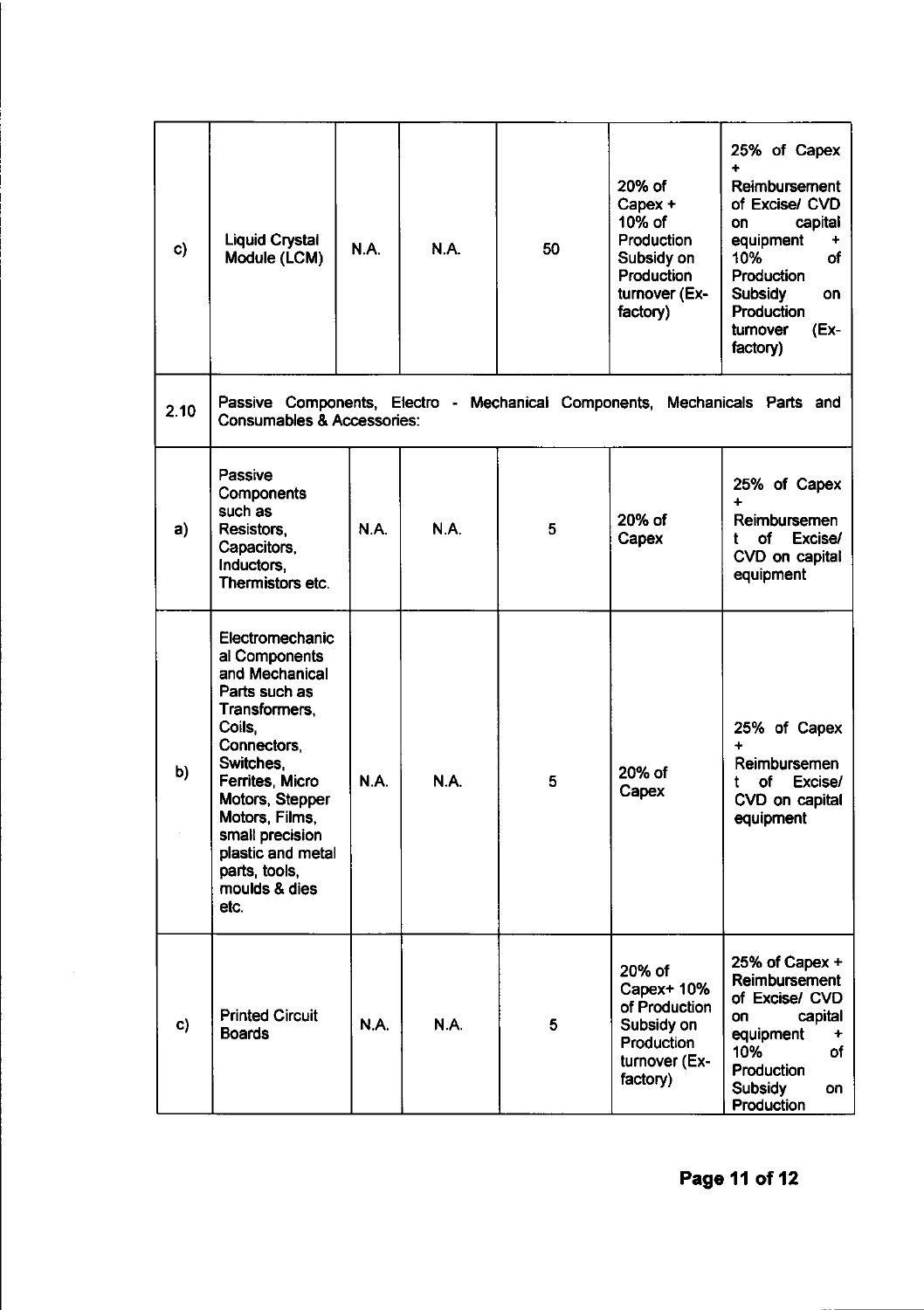| C)   | <b>Liquid Crystal</b><br>Module (LCM)                                                                                                                                                                                                                                | N.A. | <b>N.A.</b> | 50 | 20% of<br>Capex +<br>10% of<br>Production<br>Subsidy on<br>Production<br>turnover (Ex-<br>factory) | 25% of Capex<br>4<br>Reimbursement<br>of Excise/ CVD<br>capital<br>on<br>equipment<br>10%<br>οf<br><b>Production</b><br><b>Subsidy</b><br>on<br><b>Production</b><br>(Ex-<br>turnover<br>factory) |
|------|----------------------------------------------------------------------------------------------------------------------------------------------------------------------------------------------------------------------------------------------------------------------|------|-------------|----|----------------------------------------------------------------------------------------------------|---------------------------------------------------------------------------------------------------------------------------------------------------------------------------------------------------|
| 2.10 | <b>Consumables &amp; Accessories:</b>                                                                                                                                                                                                                                |      |             |    |                                                                                                    | Passive Components, Electro - Mechanical Components, Mechanicals Parts and                                                                                                                        |
| a)   | Passive<br><b>Components</b><br>such as<br>Resistors,<br>Capacitors,<br>Inductors,<br>Thermistors etc.                                                                                                                                                               | N.A. | <b>N.A.</b> | 5  | 20% of<br>Capex                                                                                    | 25% of Capex<br>Reimbursemen<br>оf<br>Excise/<br>CVD on capital<br>equipment                                                                                                                      |
| b)   | Electromechanic<br>al Components<br>and Mechanical<br>Parts such as<br>Transformers,<br>Coils.<br>Connectors,<br>Switches.<br>Ferrites, Micro<br>Motors, Stepper<br>Motors, Films,<br>small precision<br>plastic and metal<br>parts, tools,<br>moulds & dies<br>etc. | N.A. | <b>N.A.</b> | 5. | 20% of<br>Capex                                                                                    | 25% of Capex<br>$\ddotmark$<br>Reimbursemen<br>Excise/<br>οf<br>t<br>CVD on capital<br>equipment                                                                                                  |
| C)   | <b>Printed Circuit</b><br><b>Boards</b>                                                                                                                                                                                                                              | N.A. | N.A.        | 5  | 20% of<br>Capex+ 10%<br>of Production<br>Subsidy on<br>Production<br>turnover (Ex-<br>factory)     | 25% of Capex $+$<br>Reimbursement<br>of Excise/ CVD<br>capital<br>on<br>equipment<br>÷<br>10%<br>of<br>Production<br>Subsidy<br>on<br>Production                                                  |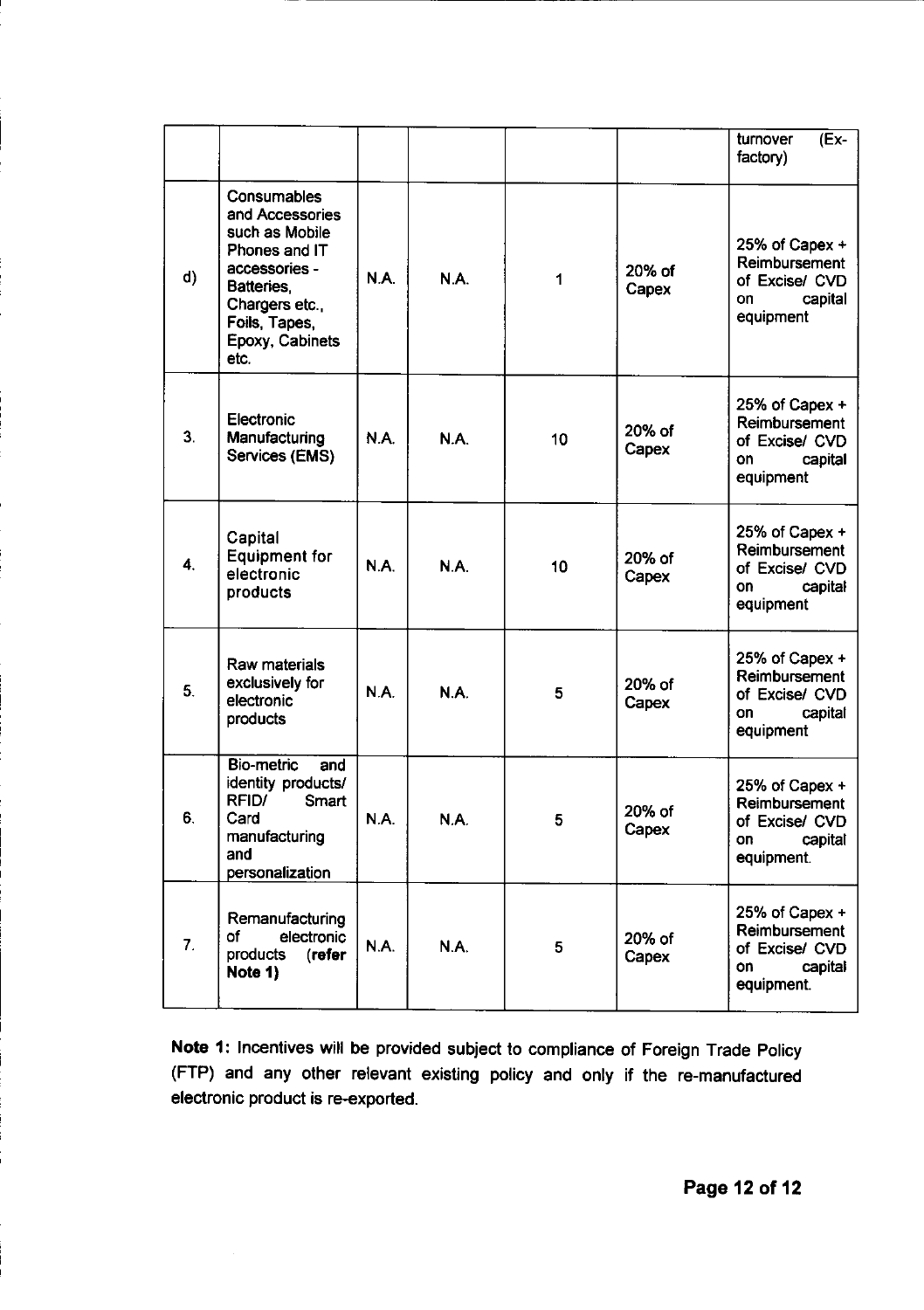|                |                                                                                                                                                                |             |      |    |                 | (Ex-<br>turnover<br>factory)                                                     |
|----------------|----------------------------------------------------------------------------------------------------------------------------------------------------------------|-------------|------|----|-----------------|----------------------------------------------------------------------------------|
| d)             | Consumables<br>and Accessories<br>such as Mobile<br>Phones and IT<br>accessories -<br>Batteries.<br>Chargers etc.,<br>Foils, Tapes,<br>Epoxy, Cabinets<br>etc. | <b>N.A.</b> | N.A. | 1  | 20% of<br>Capex | 25% of Capex +<br>Reimbursement<br>of Excise/ CVD<br>capital<br>on<br>equipment  |
| 3 <sub>1</sub> | Electronic<br>Manufacturing<br>Services (EMS)                                                                                                                  | N.A.        | N.A. | 10 | 20% of<br>Capex | 25% of Capex +<br>Reimbursement<br>of Excise/ CVD<br>capital<br>on<br>equipment  |
| 4.             | Capital<br><b>Equipment for</b><br>electronic<br>products                                                                                                      | N.A.        | N.A. | 10 | 20% of<br>Capex | 25% of Capex +<br>Reimbursement<br>of Excise/ CVD<br>on<br>capital<br>equipment  |
| 5.             | Raw materials<br>exclusively for<br>electronic<br>products                                                                                                     | <b>N.A.</b> | N.A. | 5  | 20% of<br>Capex | 25% of Capex +<br>Reimbursement<br>of Excise/ CVD<br>capital<br>on<br>equipment  |
| 6.             | <b>Bio-metric</b><br>and<br>identity products/<br>RFID/<br>Smart<br>Card<br>manufacturing<br>and<br>personalization                                            | N.A.        | N.A. | 5  | 20% of<br>Capex | 25% of Capex +<br>Reimbursement<br>of Excise/ CVD<br>capital<br>on<br>equipment. |
| 7.             | Remanufacturing<br>electronic<br>оf<br>(refer<br>products<br>Note 1)                                                                                           | N.A.        | N.A. | 5  | 20% of<br>Capex | 25% of Capex +<br>Reimbursement<br>of Excise/ CVD<br>on<br>capital<br>equipment. |

Note 1: Incentives will be provided subject to compliance of Foreign Trade Policy (FTP) and any other relevant existing policy and only if the re-manufactured electronic product is re-exported.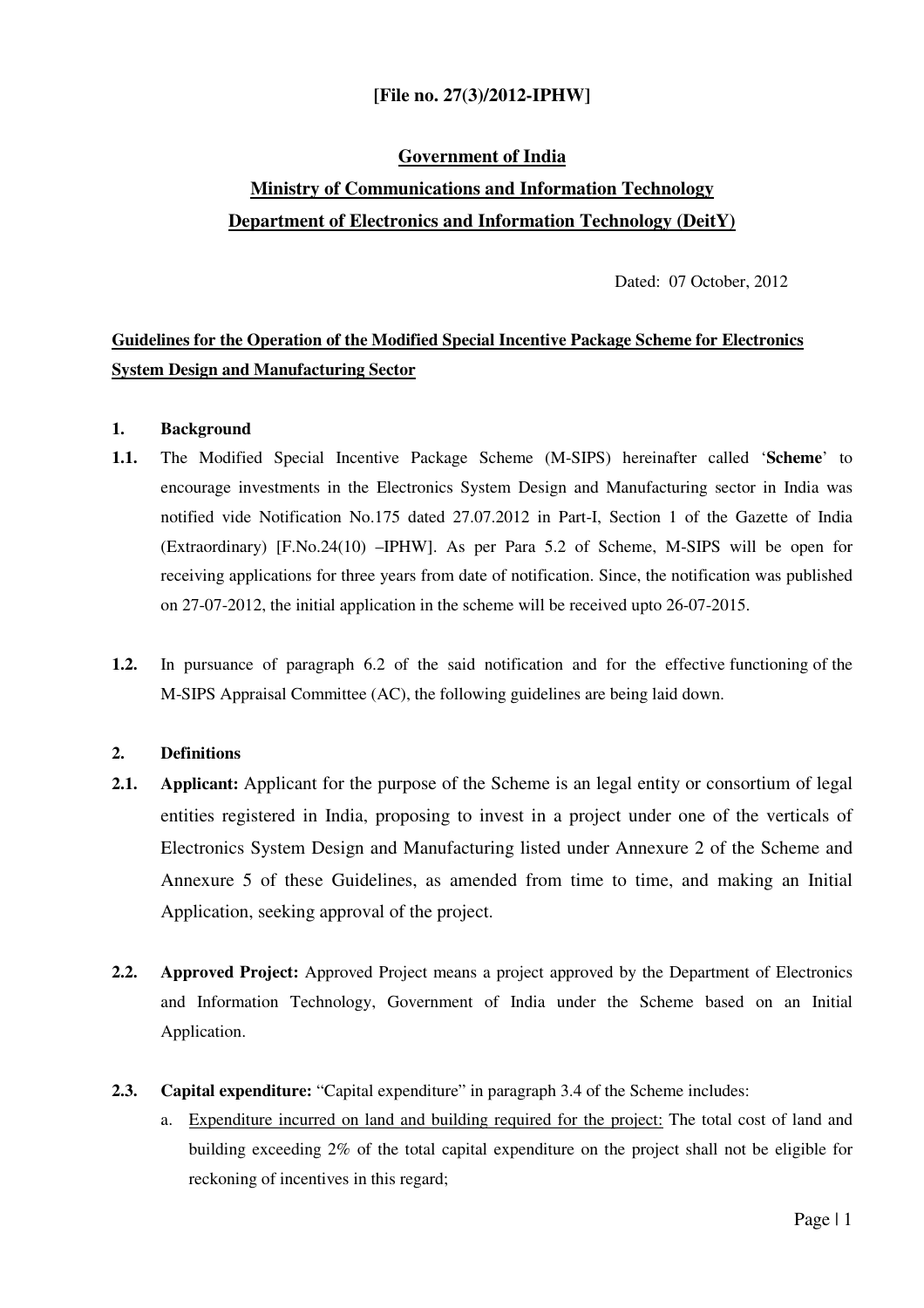## **[File no. 27(3)/2012-IPHW]**

# **Government of India Ministry of Communications and Information Technology Department of Electronics and Information Technology (DeitY)**

Dated: 07 October, 2012

## **Guidelines for the Operation of the Modified Special Incentive Package Scheme for Electronics System Design and Manufacturing Sector**

#### **1. Background**

- **1.1.** The Modified Special Incentive Package Scheme (M-SIPS) hereinafter called '**Scheme**' to encourage investments in the Electronics System Design and Manufacturing sector in India was notified vide Notification No.175 dated 27.07.2012 in Part-I, Section 1 of the Gazette of India (Extraordinary) [F.No.24(10) –IPHW]. As per Para 5.2 of Scheme, M-SIPS will be open for receiving applications for three years from date of notification. Since, the notification was published on 27-07-2012, the initial application in the scheme will be received upto 26-07-2015.
- **1.2.** In pursuance of paragraph 6.2 of the said notification and for the effective functioning of the M-SIPS Appraisal Committee (AC), the following guidelines are being laid down.

#### **2. Definitions**

- **2.1. Applicant:** Applicant for the purpose of the Scheme is an legal entity or consortium of legal entities registered in India, proposing to invest in a project under one of the verticals of Electronics System Design and Manufacturing listed under Annexure 2 of the Scheme and Annexure 5 of these Guidelines, as amended from time to time, and making an Initial Application, seeking approval of the project.
- **2.2. Approved Project:** Approved Project means a project approved by the Department of Electronics and Information Technology, Government of India under the Scheme based on an Initial Application.
- **2.3. Capital expenditure:** "Capital expenditure" in paragraph 3.4 of the Scheme includes:
	- a. Expenditure incurred on land and building required for the project: The total cost of land and building exceeding 2% of the total capital expenditure on the project shall not be eligible for reckoning of incentives in this regard;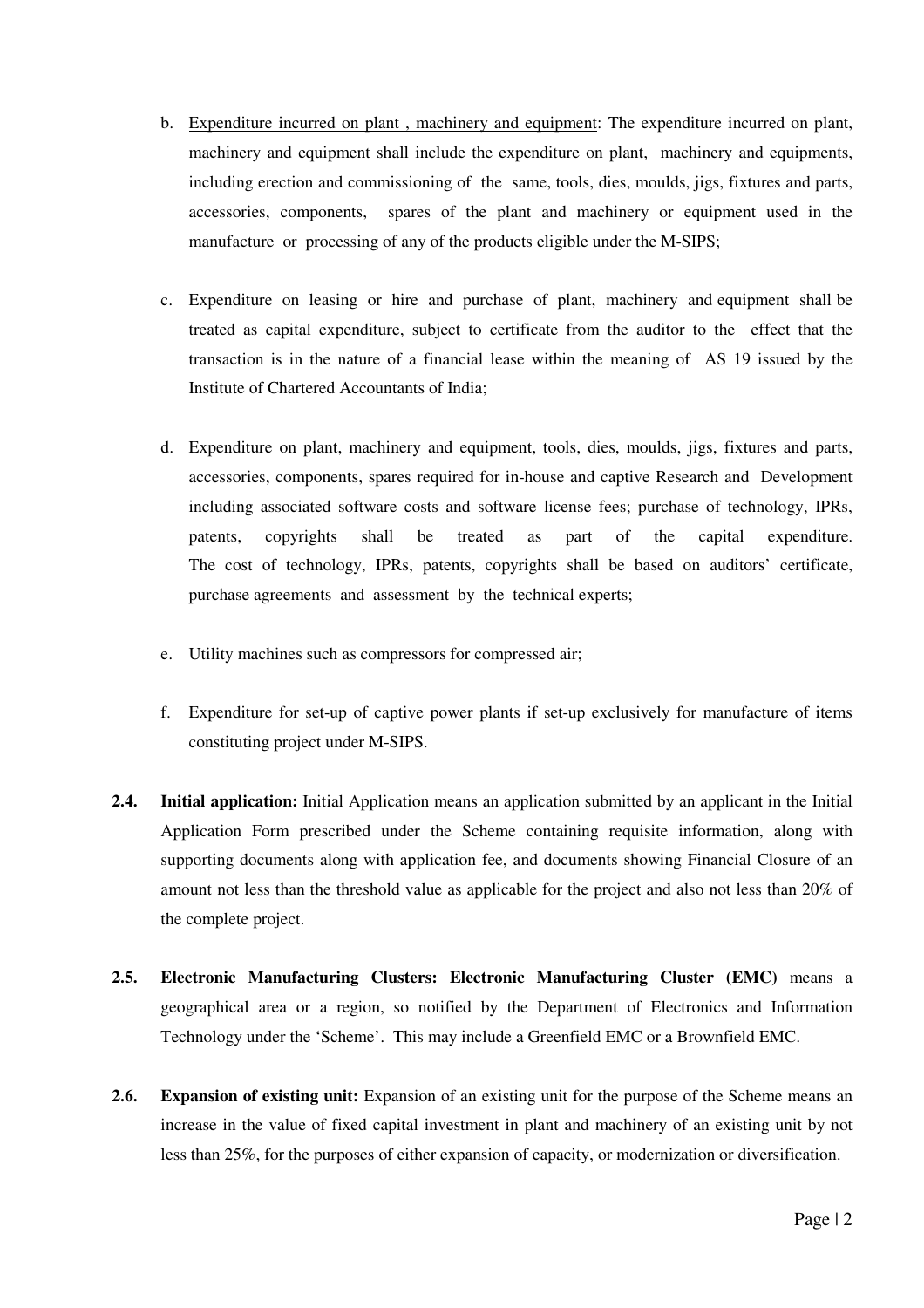- b. Expenditure incurred on plant , machinery and equipment: The expenditure incurred on plant, machinery and equipment shall include the expenditure on plant, machinery and equipments, including erection and commissioning of the same, tools, dies, moulds, jigs, fixtures and parts, accessories, components, spares of the plant and machinery or equipment used in the manufacture or processing of any of the products eligible under the M-SIPS;
- c. Expenditure on leasing or hire and purchase of plant, machinery and equipment shall be treated as capital expenditure, subject to certificate from the auditor to the effect that the transaction is in the nature of a financial lease within the meaning of AS 19 issued by the Institute of Chartered Accountants of India;
- d. Expenditure on plant, machinery and equipment, tools, dies, moulds, jigs, fixtures and parts, accessories, components, spares required for in-house and captive Research and Development including associated software costs and software license fees; purchase of technology, IPRs, patents, copyrights shall be treated as part of the capital expenditure. The cost of technology, IPRs, patents, copyrights shall be based on auditors' certificate, purchase agreements and assessment by the technical experts;
- e. Utility machines such as compressors for compressed air;
- f. Expenditure for set-up of captive power plants if set-up exclusively for manufacture of items constituting project under M-SIPS.
- **2.4. Initial application:** Initial Application means an application submitted by an applicant in the Initial Application Form prescribed under the Scheme containing requisite information, along with supporting documents along with application fee, and documents showing Financial Closure of an amount not less than the threshold value as applicable for the project and also not less than 20% of the complete project.
- **2.5. Electronic Manufacturing Clusters: Electronic Manufacturing Cluster (EMC)** means a geographical area or a region, so notified by the Department of Electronics and Information Technology under the 'Scheme'. This may include a Greenfield EMC or a Brownfield EMC.
- **2.6. Expansion of existing unit:** Expansion of an existing unit for the purpose of the Scheme means an increase in the value of fixed capital investment in plant and machinery of an existing unit by not less than 25%, for the purposes of either expansion of capacity, or modernization or diversification.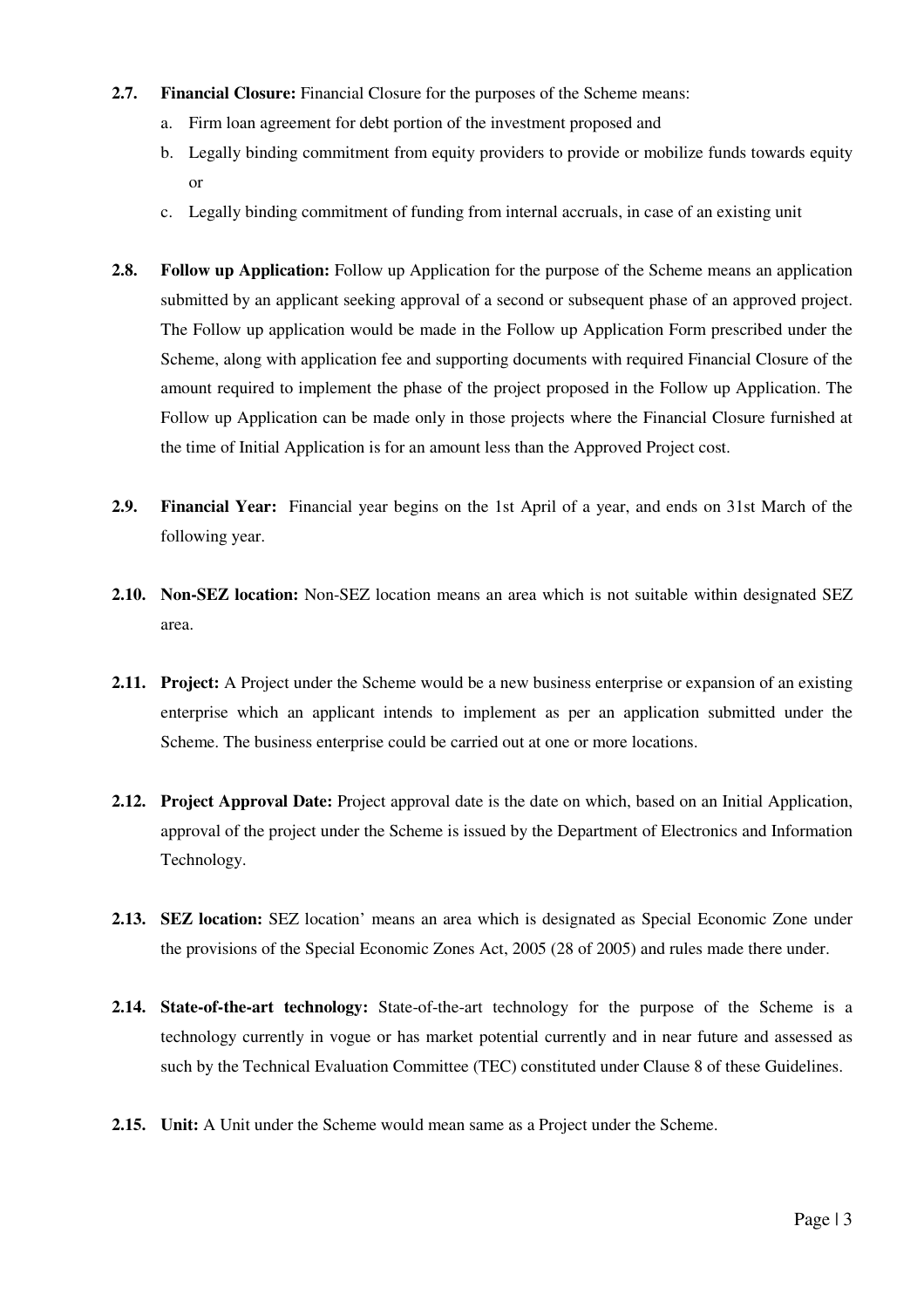- **2.7. Financial Closure:** Financial Closure for the purposes of the Scheme means:
	- a. Firm loan agreement for debt portion of the investment proposed and
	- b. Legally binding commitment from equity providers to provide or mobilize funds towards equity or
	- c. Legally binding commitment of funding from internal accruals, in case of an existing unit
- **2.8. Follow up Application:** Follow up Application for the purpose of the Scheme means an application submitted by an applicant seeking approval of a second or subsequent phase of an approved project. The Follow up application would be made in the Follow up Application Form prescribed under the Scheme, along with application fee and supporting documents with required Financial Closure of the amount required to implement the phase of the project proposed in the Follow up Application. The Follow up Application can be made only in those projects where the Financial Closure furnished at the time of Initial Application is for an amount less than the Approved Project cost.
- **2.9. Financial Year:** Financial year begins on the 1st April of a year, and ends on 31st March of the following year.
- **2.10. Non-SEZ location:** Non-SEZ location means an area which is not suitable within designated SEZ area.
- **2.11. Project:** A Project under the Scheme would be a new business enterprise or expansion of an existing enterprise which an applicant intends to implement as per an application submitted under the Scheme. The business enterprise could be carried out at one or more locations.
- **2.12. Project Approval Date:** Project approval date is the date on which, based on an Initial Application, approval of the project under the Scheme is issued by the Department of Electronics and Information Technology.
- **2.13. SEZ location:** SEZ location' means an area which is designated as Special Economic Zone under the provisions of the Special Economic Zones Act, 2005 (28 of 2005) and rules made there under.
- **2.14. State-of-the-art technology:** State-of-the-art technology for the purpose of the Scheme is a technology currently in vogue or has market potential currently and in near future and assessed as such by the Technical Evaluation Committee (TEC) constituted under Clause 8 of these Guidelines.
- **2.15. Unit:** A Unit under the Scheme would mean same as a Project under the Scheme.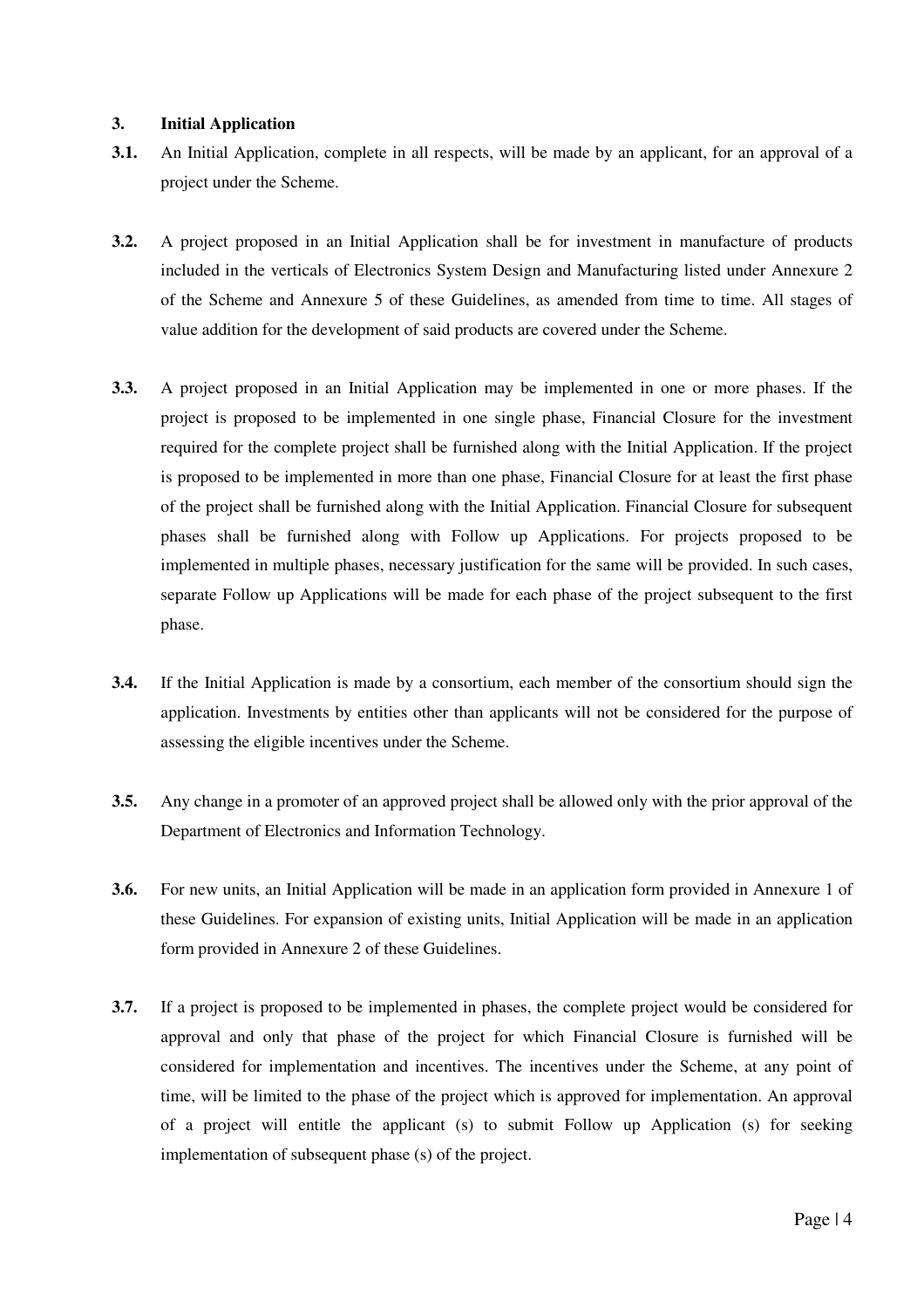#### **3. Initial Application**

- **3.1.** An Initial Application, complete in all respects, will be made by an applicant, for an approval of a project under the Scheme.
- **3.2.** A project proposed in an Initial Application shall be for investment in manufacture of products included in the verticals of Electronics System Design and Manufacturing listed under Annexure 2 of the Scheme and Annexure 5 of these Guidelines, as amended from time to time. All stages of value addition for the development of said products are covered under the Scheme.
- **3.3.** A project proposed in an Initial Application may be implemented in one or more phases. If the project is proposed to be implemented in one single phase, Financial Closure for the investment required for the complete project shall be furnished along with the Initial Application. If the project is proposed to be implemented in more than one phase, Financial Closure for at least the first phase of the project shall be furnished along with the Initial Application. Financial Closure for subsequent phases shall be furnished along with Follow up Applications. For projects proposed to be implemented in multiple phases, necessary justification for the same will be provided. In such cases, separate Follow up Applications will be made for each phase of the project subsequent to the first phase.
- **3.4.** If the Initial Application is made by a consortium, each member of the consortium should sign the application. Investments by entities other than applicants will not be considered for the purpose of assessing the eligible incentives under the Scheme.
- **3.5.** Any change in a promoter of an approved project shall be allowed only with the prior approval of the Department of Electronics and Information Technology.
- **3.6.** For new units, an Initial Application will be made in an application form provided in Annexure 1 of these Guidelines. For expansion of existing units, Initial Application will be made in an application form provided in Annexure 2 of these Guidelines.
- **3.7.** If a project is proposed to be implemented in phases, the complete project would be considered for approval and only that phase of the project for which Financial Closure is furnished will be considered for implementation and incentives. The incentives under the Scheme, at any point of time, will be limited to the phase of the project which is approved for implementation. An approval of a project will entitle the applicant (s) to submit Follow up Application (s) for seeking implementation of subsequent phase (s) of the project.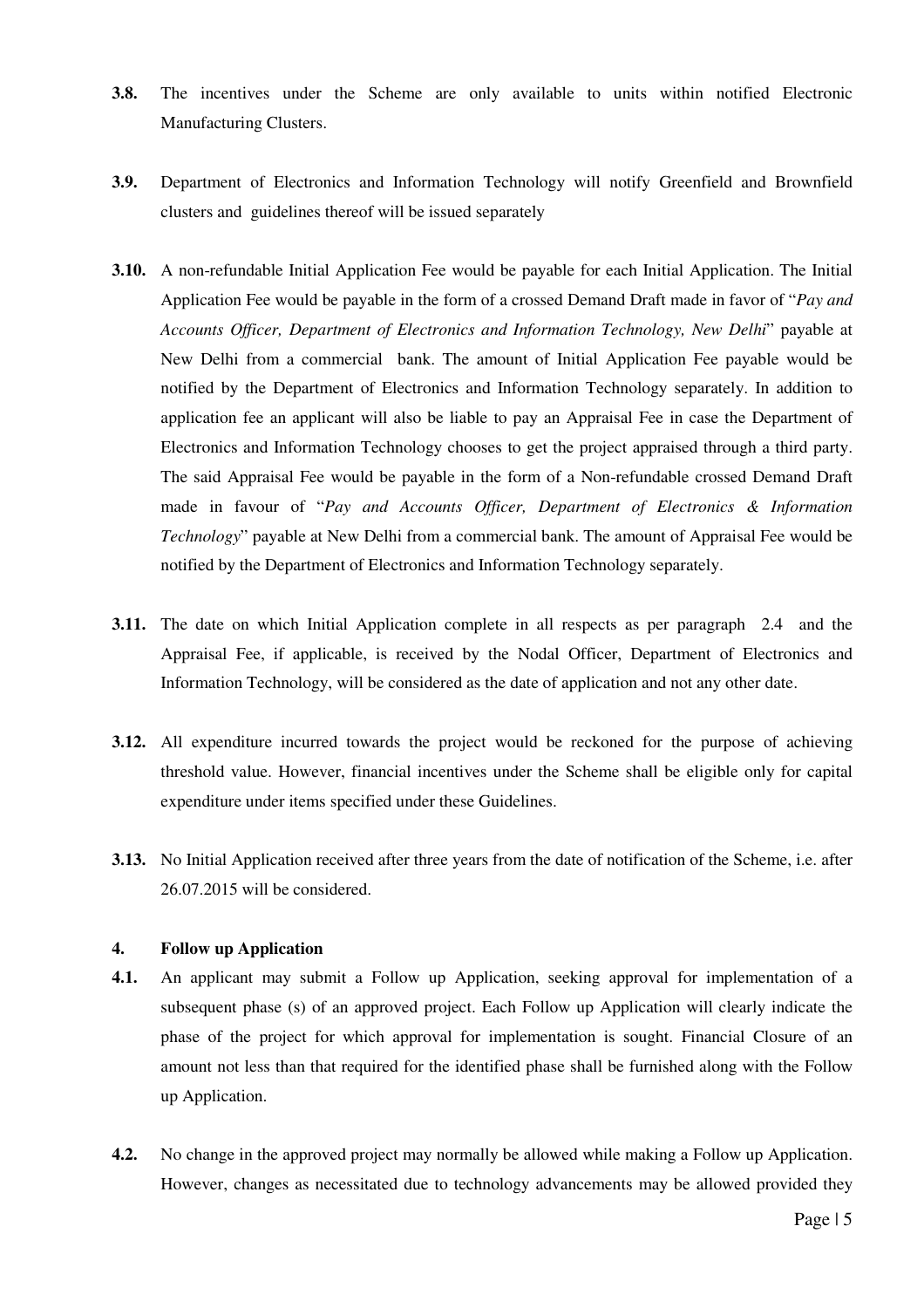- **3.8.** The incentives under the Scheme are only available to units within notified Electronic Manufacturing Clusters.
- **3.9.** Department of Electronics and Information Technology will notify Greenfield and Brownfield clusters and guidelines thereof will be issued separately
- **3.10.** A non-refundable Initial Application Fee would be payable for each Initial Application. The Initial Application Fee would be payable in the form of a crossed Demand Draft made in favor of "*Pay and Accounts Officer, Department of Electronics and Information Technology, New Delhi*" payable at New Delhi from a commercial bank. The amount of Initial Application Fee payable would be notified by the Department of Electronics and Information Technology separately. In addition to application fee an applicant will also be liable to pay an Appraisal Fee in case the Department of Electronics and Information Technology chooses to get the project appraised through a third party. The said Appraisal Fee would be payable in the form of a Non-refundable crossed Demand Draft made in favour of "*Pay and Accounts Officer, Department of Electronics & Information Technology*" payable at New Delhi from a commercial bank. The amount of Appraisal Fee would be notified by the Department of Electronics and Information Technology separately.
- **3.11.** The date on which Initial Application complete in all respects as per paragraph 2.4 and the Appraisal Fee, if applicable, is received by the Nodal Officer, Department of Electronics and Information Technology, will be considered as the date of application and not any other date.
- **3.12.** All expenditure incurred towards the project would be reckoned for the purpose of achieving threshold value. However, financial incentives under the Scheme shall be eligible only for capital expenditure under items specified under these Guidelines.
- **3.13.** No Initial Application received after three years from the date of notification of the Scheme, i.e. after 26.07.2015 will be considered.

#### **4. Follow up Application**

- **4.1.** An applicant may submit a Follow up Application, seeking approval for implementation of a subsequent phase (s) of an approved project. Each Follow up Application will clearly indicate the phase of the project for which approval for implementation is sought. Financial Closure of an amount not less than that required for the identified phase shall be furnished along with the Follow up Application.
- **4.2.** No change in the approved project may normally be allowed while making a Follow up Application. However, changes as necessitated due to technology advancements may be allowed provided they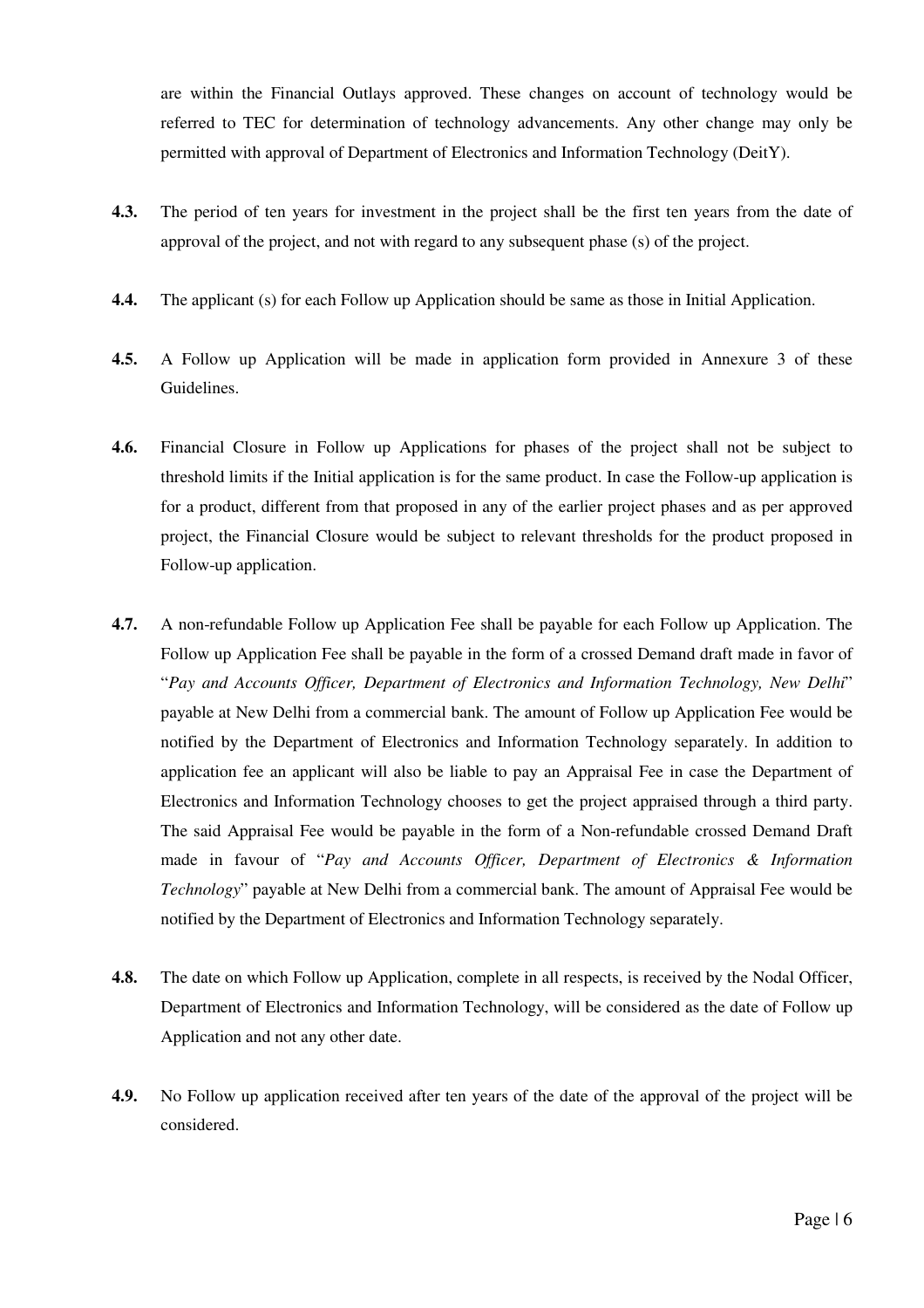are within the Financial Outlays approved. These changes on account of technology would be referred to TEC for determination of technology advancements. Any other change may only be permitted with approval of Department of Electronics and Information Technology (DeitY).

- **4.3.** The period of ten years for investment in the project shall be the first ten years from the date of approval of the project, and not with regard to any subsequent phase (s) of the project.
- **4.4.** The applicant (s) for each Follow up Application should be same as those in Initial Application.
- **4.5.** A Follow up Application will be made in application form provided in Annexure 3 of these Guidelines.
- **4.6.** Financial Closure in Follow up Applications for phases of the project shall not be subject to threshold limits if the Initial application is for the same product. In case the Follow-up application is for a product, different from that proposed in any of the earlier project phases and as per approved project, the Financial Closure would be subject to relevant thresholds for the product proposed in Follow-up application.
- **4.7.** A non-refundable Follow up Application Fee shall be payable for each Follow up Application. The Follow up Application Fee shall be payable in the form of a crossed Demand draft made in favor of "*Pay and Accounts Officer, Department of Electronics and Information Technology, New Delhi*" payable at New Delhi from a commercial bank. The amount of Follow up Application Fee would be notified by the Department of Electronics and Information Technology separately. In addition to application fee an applicant will also be liable to pay an Appraisal Fee in case the Department of Electronics and Information Technology chooses to get the project appraised through a third party. The said Appraisal Fee would be payable in the form of a Non-refundable crossed Demand Draft made in favour of "*Pay and Accounts Officer, Department of Electronics & Information Technology*" payable at New Delhi from a commercial bank. The amount of Appraisal Fee would be notified by the Department of Electronics and Information Technology separately.
- **4.8.** The date on which Follow up Application, complete in all respects, is received by the Nodal Officer, Department of Electronics and Information Technology, will be considered as the date of Follow up Application and not any other date.
- **4.9.** No Follow up application received after ten years of the date of the approval of the project will be considered.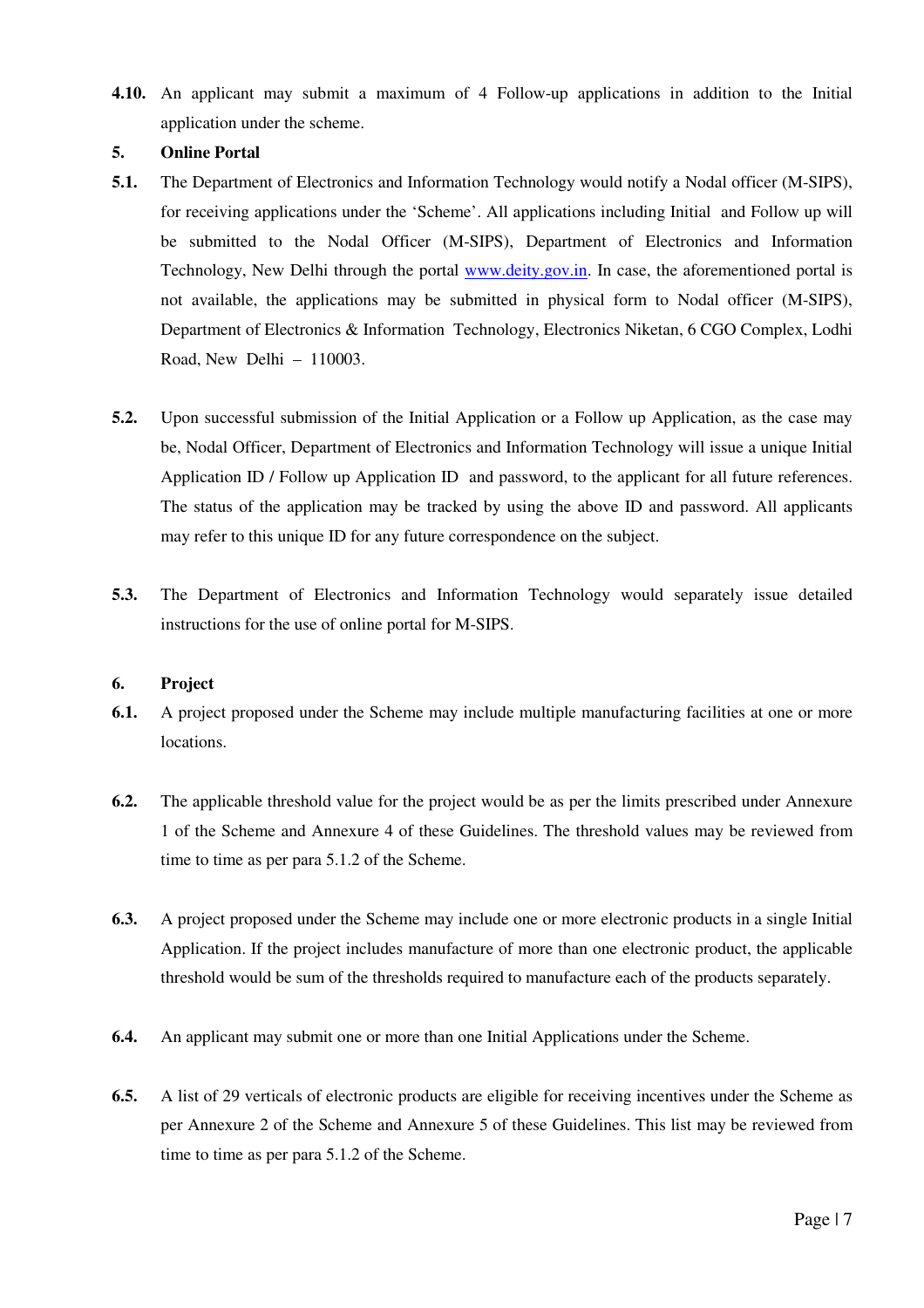**4.10.** An applicant may submit a maximum of 4 Follow-up applications in addition to the Initial application under the scheme.

#### **5. Online Portal**

- **5.1.** The Department of Electronics and Information Technology would notify a Nodal officer (M-SIPS), for receiving applications under the 'Scheme'. All applications including Initial and Follow up will be submitted to the Nodal Officer (M-SIPS), Department of Electronics and Information Technology, New Delhi through the portal www.deity.gov.in. In case, the aforementioned portal is not available, the applications may be submitted in physical form to Nodal officer (M-SIPS), Department of Electronics & Information Technology, Electronics Niketan, 6 CGO Complex, Lodhi Road, New Delhi – 110003.
- **5.2.** Upon successful submission of the Initial Application or a Follow up Application, as the case may be, Nodal Officer, Department of Electronics and Information Technology will issue a unique Initial Application ID / Follow up Application ID and password, to the applicant for all future references. The status of the application may be tracked by using the above ID and password. All applicants may refer to this unique ID for any future correspondence on the subject.
- **5.3.** The Department of Electronics and Information Technology would separately issue detailed instructions for the use of online portal for M-SIPS.

#### **6. Project**

- **6.1.** A project proposed under the Scheme may include multiple manufacturing facilities at one or more locations.
- **6.2.** The applicable threshold value for the project would be as per the limits prescribed under Annexure 1 of the Scheme and Annexure 4 of these Guidelines. The threshold values may be reviewed from time to time as per para 5.1.2 of the Scheme.
- **6.3.** A project proposed under the Scheme may include one or more electronic products in a single Initial Application. If the project includes manufacture of more than one electronic product, the applicable threshold would be sum of the thresholds required to manufacture each of the products separately.
- **6.4.** An applicant may submit one or more than one Initial Applications under the Scheme.
- **6.5.** A list of 29 verticals of electronic products are eligible for receiving incentives under the Scheme as per Annexure 2 of the Scheme and Annexure 5 of these Guidelines. This list may be reviewed from time to time as per para 5.1.2 of the Scheme.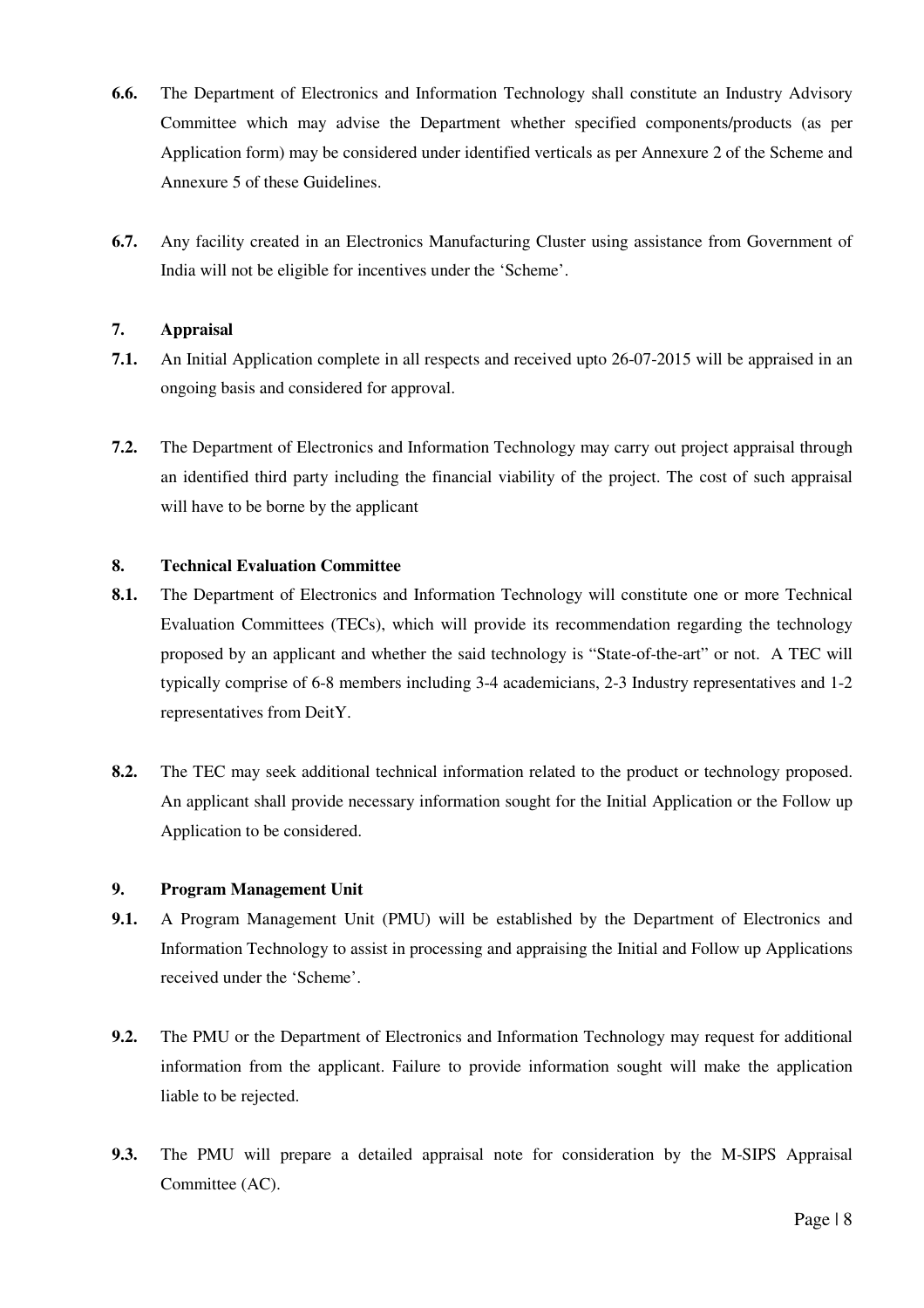- **6.6.** The Department of Electronics and Information Technology shall constitute an Industry Advisory Committee which may advise the Department whether specified components/products (as per Application form) may be considered under identified verticals as per Annexure 2 of the Scheme and Annexure 5 of these Guidelines.
- **6.7.** Any facility created in an Electronics Manufacturing Cluster using assistance from Government of India will not be eligible for incentives under the 'Scheme'.

#### **7. Appraisal**

- **7.1.** An Initial Application complete in all respects and received upto 26-07-2015 will be appraised in an ongoing basis and considered for approval.
- **7.2.** The Department of Electronics and Information Technology may carry out project appraisal through an identified third party including the financial viability of the project. The cost of such appraisal will have to be borne by the applicant

#### **8. Technical Evaluation Committee**

- **8.1.** The Department of Electronics and Information Technology will constitute one or more Technical Evaluation Committees (TECs), which will provide its recommendation regarding the technology proposed by an applicant and whether the said technology is "State-of-the-art" or not. A TEC will typically comprise of 6-8 members including 3-4 academicians, 2-3 Industry representatives and 1-2 representatives from DeitY.
- **8.2.** The TEC may seek additional technical information related to the product or technology proposed. An applicant shall provide necessary information sought for the Initial Application or the Follow up Application to be considered.

#### **9. Program Management Unit**

- **9.1.** A Program Management Unit (PMU) will be established by the Department of Electronics and Information Technology to assist in processing and appraising the Initial and Follow up Applications received under the 'Scheme'.
- **9.2.** The PMU or the Department of Electronics and Information Technology may request for additional information from the applicant. Failure to provide information sought will make the application liable to be rejected.
- **9.3.** The PMU will prepare a detailed appraisal note for consideration by the M-SIPS Appraisal Committee (AC).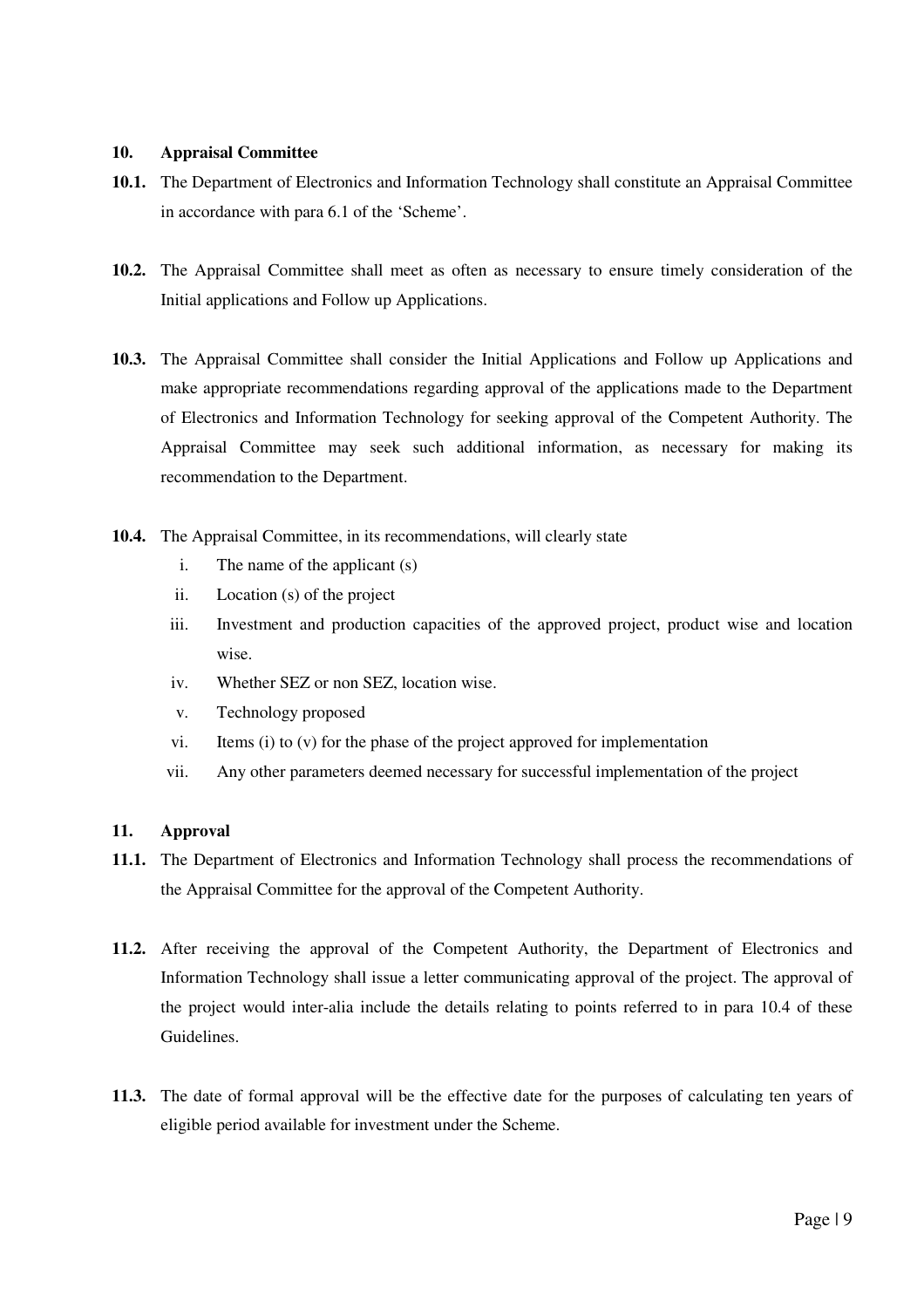#### **10. Appraisal Committee**

- **10.1.** The Department of Electronics and Information Technology shall constitute an Appraisal Committee in accordance with para 6.1 of the 'Scheme'.
- **10.2.** The Appraisal Committee shall meet as often as necessary to ensure timely consideration of the Initial applications and Follow up Applications.
- **10.3.** The Appraisal Committee shall consider the Initial Applications and Follow up Applications and make appropriate recommendations regarding approval of the applications made to the Department of Electronics and Information Technology for seeking approval of the Competent Authority. The Appraisal Committee may seek such additional information, as necessary for making its recommendation to the Department.
- **10.4.** The Appraisal Committee, in its recommendations, will clearly state
	- i. The name of the applicant (s)
	- ii. Location (s) of the project
	- iii. Investment and production capacities of the approved project, product wise and location wise.
	- iv. Whether SEZ or non SEZ, location wise.
	- v. Technology proposed
	- vi. Items (i) to (v) for the phase of the project approved for implementation
	- vii. Any other parameters deemed necessary for successful implementation of the project

#### **11. Approval**

- **11.1.** The Department of Electronics and Information Technology shall process the recommendations of the Appraisal Committee for the approval of the Competent Authority.
- **11.2.** After receiving the approval of the Competent Authority, the Department of Electronics and Information Technology shall issue a letter communicating approval of the project. The approval of the project would inter-alia include the details relating to points referred to in para 10.4 of these Guidelines.
- **11.3.** The date of formal approval will be the effective date for the purposes of calculating ten years of eligible period available for investment under the Scheme.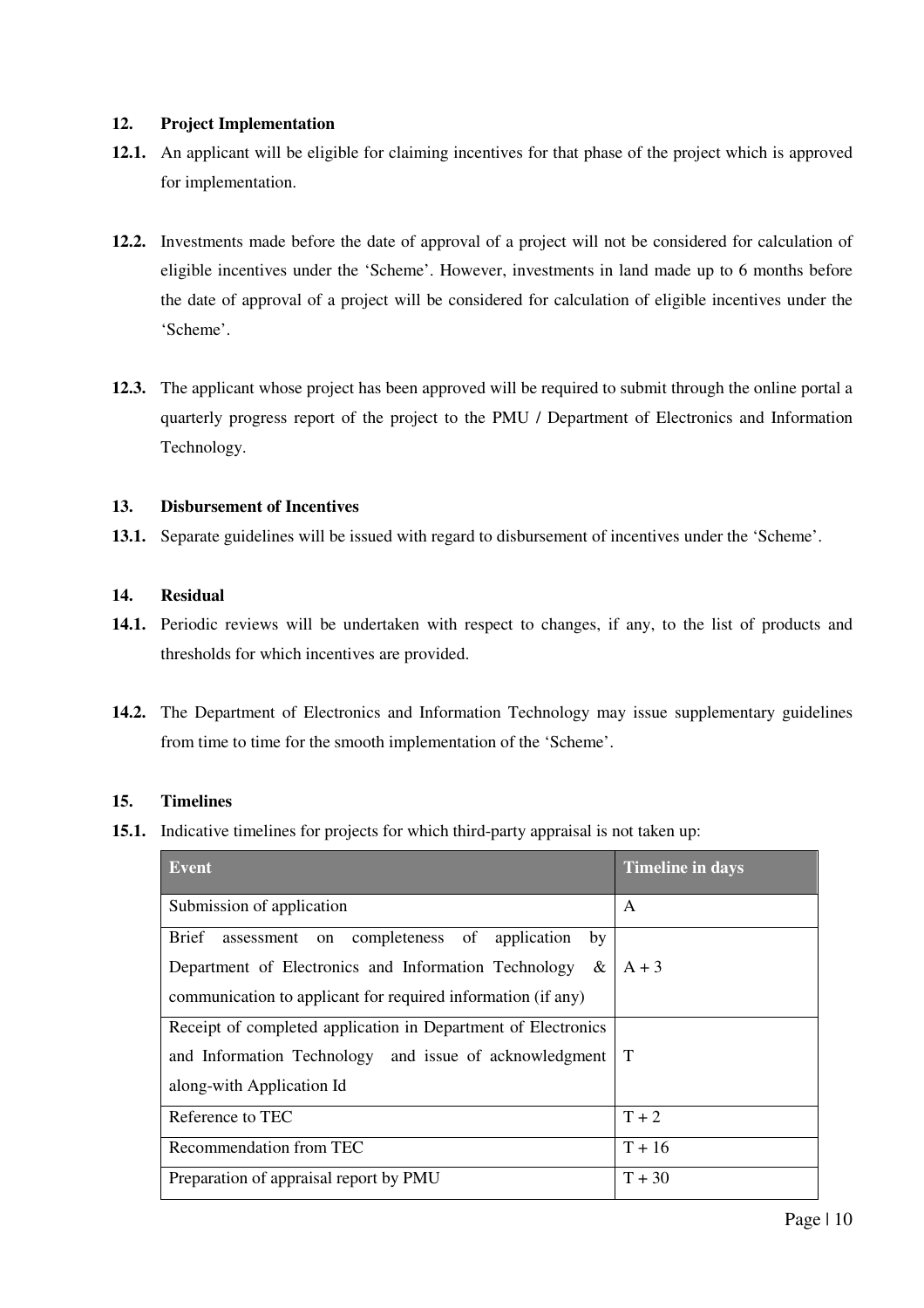#### **12. Project Implementation**

- **12.1.** An applicant will be eligible for claiming incentives for that phase of the project which is approved for implementation.
- **12.2.** Investments made before the date of approval of a project will not be considered for calculation of eligible incentives under the 'Scheme'. However, investments in land made up to 6 months before the date of approval of a project will be considered for calculation of eligible incentives under the 'Scheme'.
- **12.3.** The applicant whose project has been approved will be required to submit through the online portal a quarterly progress report of the project to the PMU / Department of Electronics and Information Technology.

#### **13. Disbursement of Incentives**

**13.1.** Separate guidelines will be issued with regard to disbursement of incentives under the 'Scheme'.

#### **14. Residual**

- **14.1.** Periodic reviews will be undertaken with respect to changes, if any, to the list of products and thresholds for which incentives are provided.
- **14.2.** The Department of Electronics and Information Technology may issue supplementary guidelines from time to time for the smooth implementation of the 'Scheme'.

#### **15. Timelines**

**15.1.** Indicative timelines for projects for which third-party appraisal is not taken up:

| Event                                                           | <b>Timeline in days</b> |
|-----------------------------------------------------------------|-------------------------|
| Submission of application                                       | A                       |
| <b>Brief</b><br>assessment on completeness of application<br>by |                         |
| $\&$<br>Department of Electronics and Information Technology    | $A + 3$                 |
| communication to applicant for required information (if any)    |                         |
| Receipt of completed application in Department of Electronics   |                         |
| and Information Technology and issue of acknowledgment          | T                       |
| along-with Application Id                                       |                         |
| Reference to TEC                                                | $T + 2$                 |
| Recommendation from TEC                                         | $T + 16$                |
| Preparation of appraisal report by PMU                          | $T + 30$                |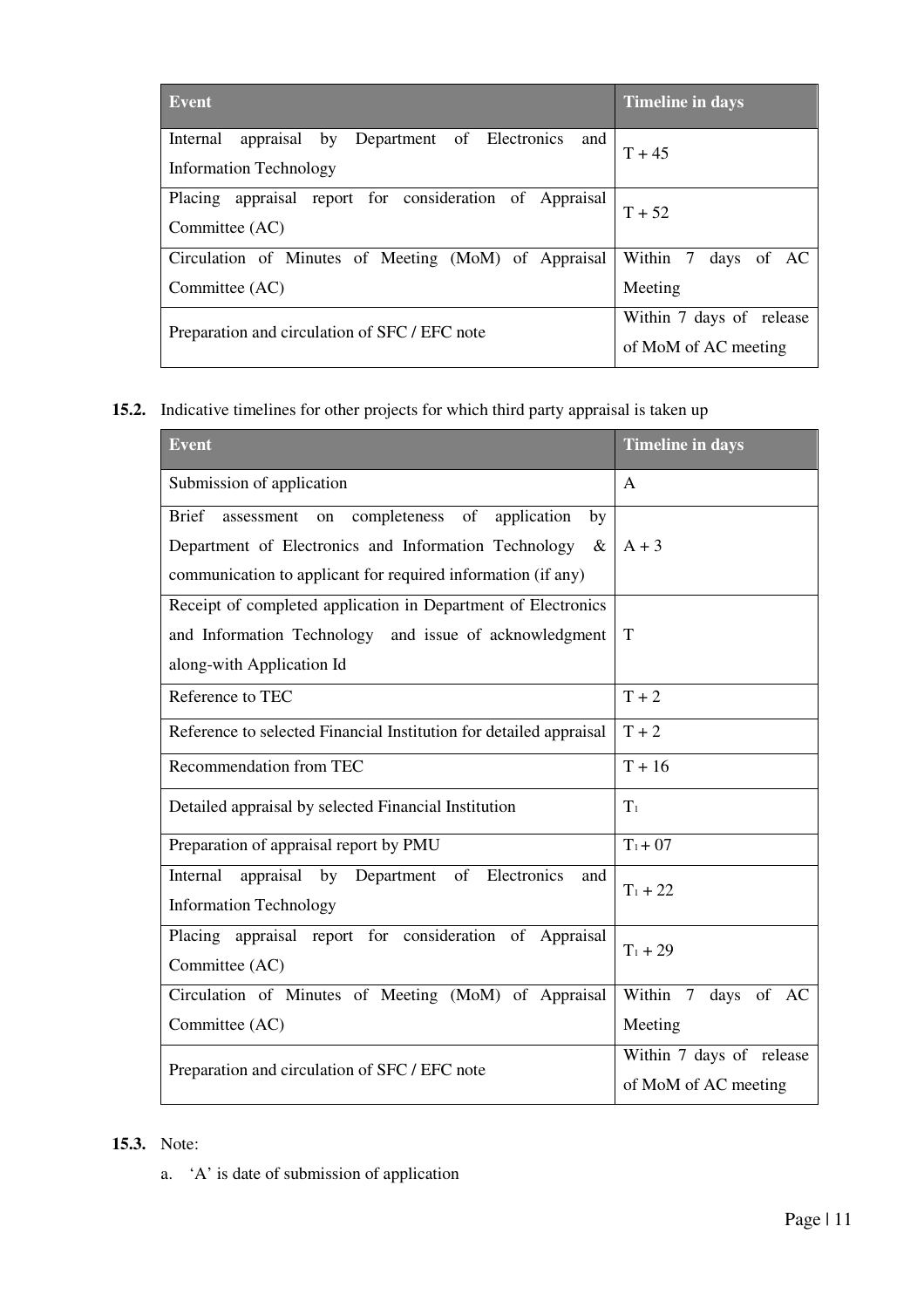| <b>Event</b>                                                                            | <b>Timeline in days</b>                          |
|-----------------------------------------------------------------------------------------|--------------------------------------------------|
| Internal<br>appraisal by Department of Electronics and<br><b>Information Technology</b> | $T + 45$                                         |
| Placing appraisal report for consideration of Appraisal<br>Committee (AC)               | $T + 52$                                         |
| Circulation of Minutes of Meeting (MoM) of Appraisal                                    | Within 7 days of AC                              |
| Committee (AC)                                                                          | Meeting                                          |
| Preparation and circulation of SFC / EFC note                                           | Within 7 days of release<br>of MoM of AC meeting |

**15.2.** Indicative timelines for other projects for which third party appraisal is taken up

| <b>Event</b>                                                             | <b>Timeline in days</b>  |  |  |
|--------------------------------------------------------------------------|--------------------------|--|--|
| Submission of application                                                | $\mathsf{A}$             |  |  |
| <b>Brief</b><br>completeness of<br>application<br>by<br>assessment<br>on |                          |  |  |
| Department of Electronics and Information Technology<br>&                | $A + 3$                  |  |  |
| communication to applicant for required information (if any)             |                          |  |  |
| Receipt of completed application in Department of Electronics            |                          |  |  |
| and Information Technology and issue of acknowledgment                   | T                        |  |  |
| along-with Application Id                                                |                          |  |  |
| Reference to TEC                                                         | $T + 2$                  |  |  |
| Reference to selected Financial Institution for detailed appraisal       | $T + 2$                  |  |  |
| Recommendation from TEC                                                  | $T + 16$                 |  |  |
| Detailed appraisal by selected Financial Institution                     | $T_1$                    |  |  |
| Preparation of appraisal report by PMU                                   | $T_1 + 07$               |  |  |
| appraisal by Department<br>of Electronics<br>Internal<br>and             | $T_1 + 22$               |  |  |
| <b>Information Technology</b>                                            |                          |  |  |
| Placing appraisal report for consideration of Appraisal                  | $T_1 + 29$               |  |  |
| Committee (AC)                                                           |                          |  |  |
| Circulation of Minutes of Meeting (MoM) of Appraisal                     | Within 7 days of AC      |  |  |
| Committee (AC)                                                           | Meeting                  |  |  |
| Preparation and circulation of SFC / EFC note                            | Within 7 days of release |  |  |
|                                                                          | of MoM of AC meeting     |  |  |

### **15.3.** Note:

a. 'A' is date of submission of application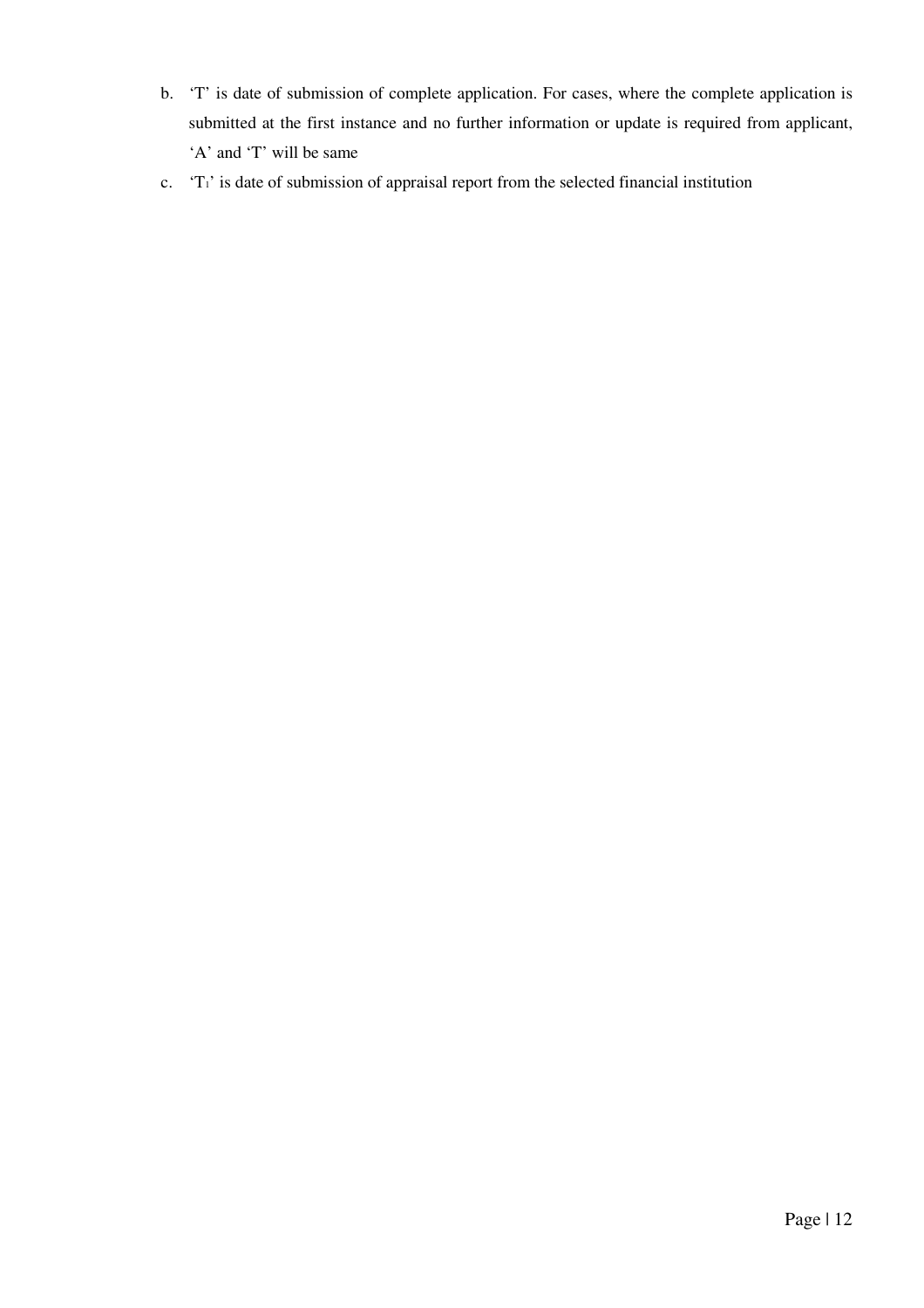- b. 'T' is date of submission of complete application. For cases, where the complete application is submitted at the first instance and no further information or update is required from applicant, 'A' and 'T' will be same
- c. 'T1' is date of submission of appraisal report from the selected financial institution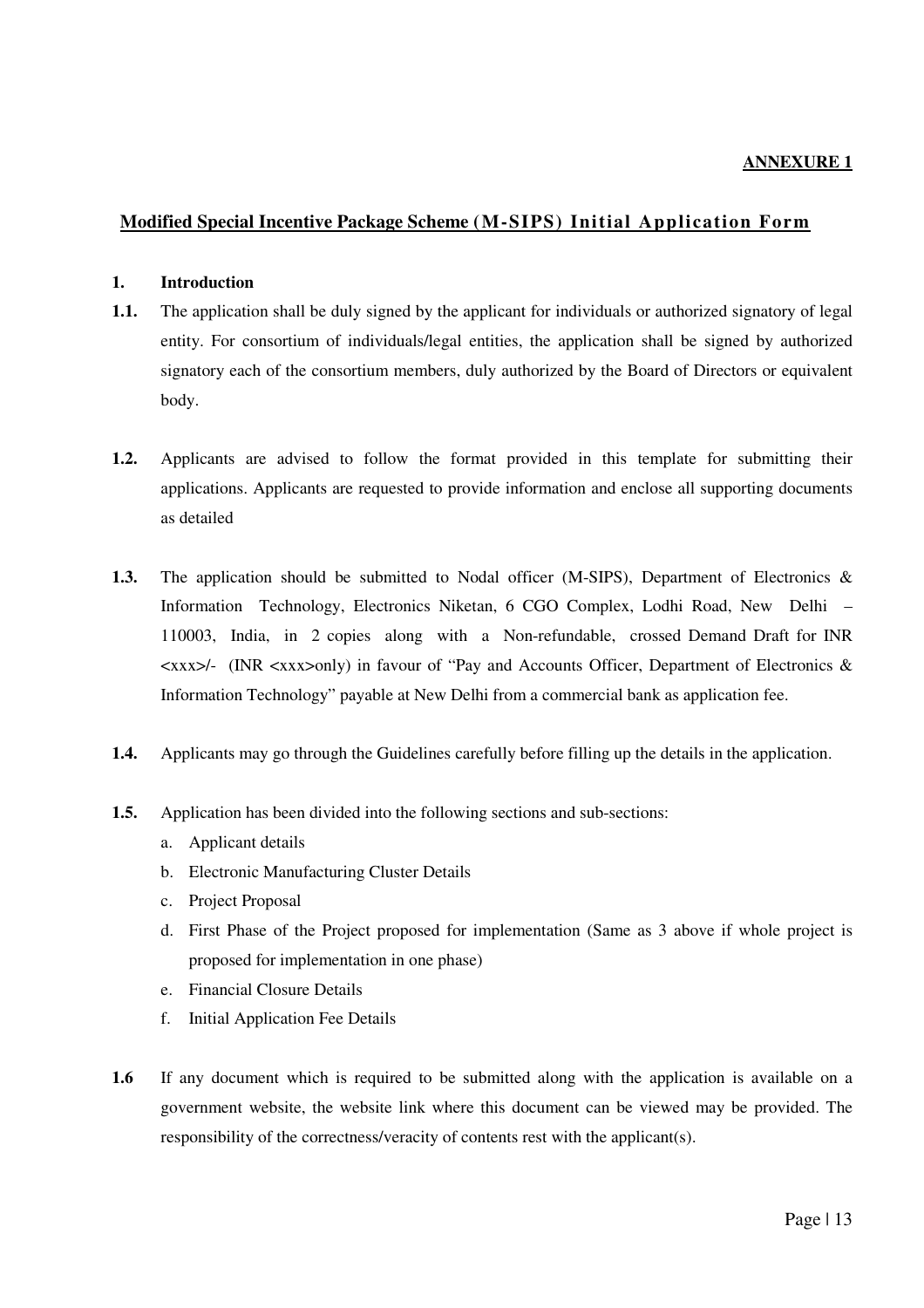#### **Modified Special Incentive Package Scheme (M-SIPS) Initial Application Form**

#### **1. Introduction**

- **1.1.** The application shall be duly signed by the applicant for individuals or authorized signatory of legal entity. For consortium of individuals/legal entities, the application shall be signed by authorized signatory each of the consortium members, duly authorized by the Board of Directors or equivalent body.
- **1.2.** Applicants are advised to follow the format provided in this template for submitting their applications. Applicants are requested to provide information and enclose all supporting documents as detailed
- **1.3.** The application should be submitted to Nodal officer (M-SIPS), Department of Electronics & Information Technology, Electronics Niketan, 6 CGO Complex, Lodhi Road, New Delhi – 110003, India, in 2 copies along with a Non-refundable, crossed Demand Draft for INR  $\langle xxx \rangle$ - (INR  $\langle xxx \rangle$ only) in favour of "Pay and Accounts Officer, Department of Electronics & Information Technology" payable at New Delhi from a commercial bank as application fee.
- **1.4.** Applicants may go through the Guidelines carefully before filling up the details in the application.
- **1.5.** Application has been divided into the following sections and sub-sections:
	- a. Applicant details
	- b. Electronic Manufacturing Cluster Details
	- c. Project Proposal
	- d. First Phase of the Project proposed for implementation (Same as 3 above if whole project is proposed for implementation in one phase)
	- e. Financial Closure Details
	- f. Initial Application Fee Details
- **1.6** If any document which is required to be submitted along with the application is available on a government website, the website link where this document can be viewed may be provided. The responsibility of the correctness/veracity of contents rest with the applicant(s).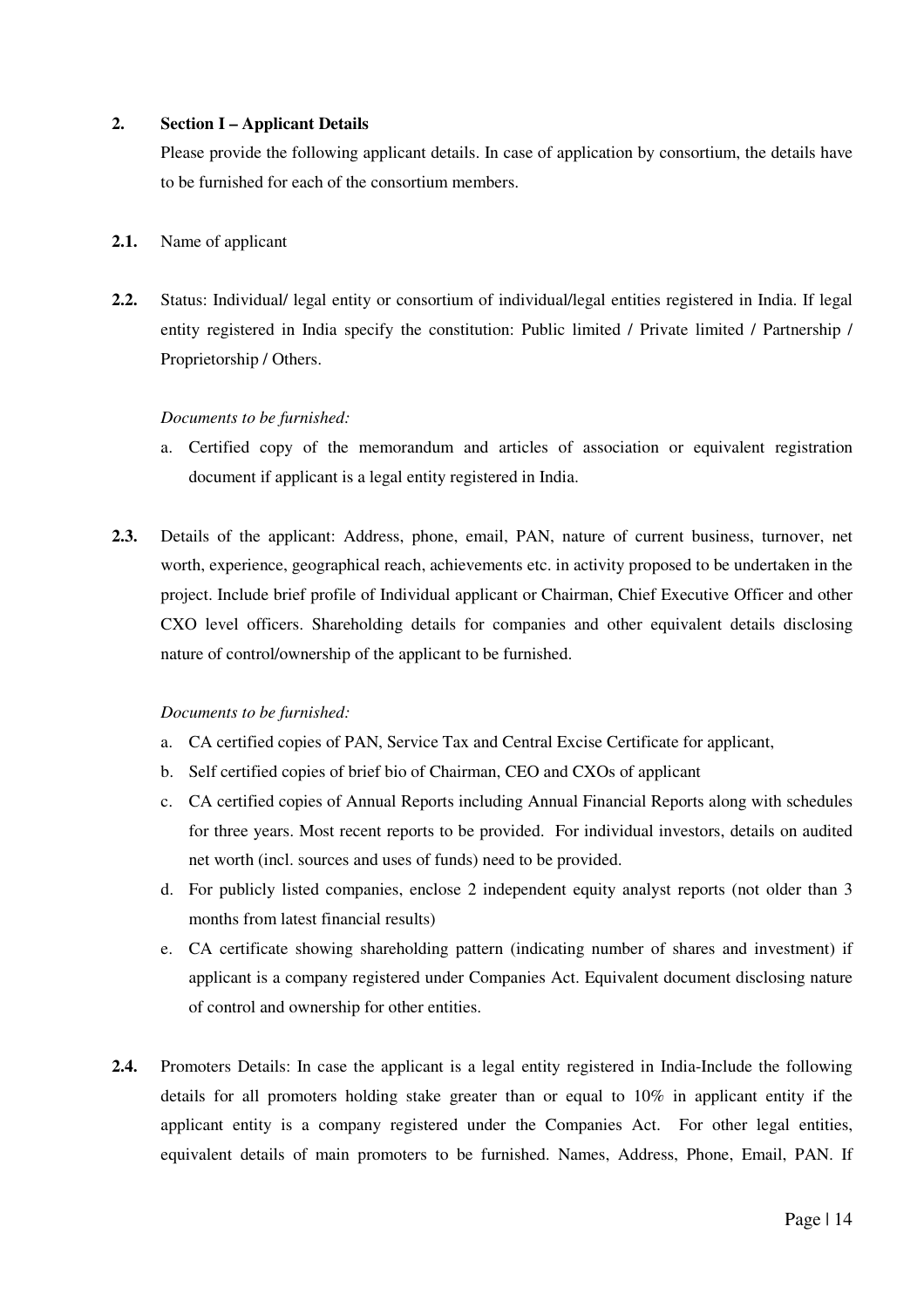#### **2. Section I – Applicant Details**

Please provide the following applicant details. In case of application by consortium, the details have to be furnished for each of the consortium members.

#### **2.1.** Name of applicant

**2.2.** Status: Individual/ legal entity or consortium of individual/legal entities registered in India. If legal entity registered in India specify the constitution: Public limited / Private limited / Partnership / Proprietorship / Others.

#### *Documents to be furnished:*

- a. Certified copy of the memorandum and articles of association or equivalent registration document if applicant is a legal entity registered in India.
- **2.3.** Details of the applicant: Address, phone, email, PAN, nature of current business, turnover, net worth, experience, geographical reach, achievements etc. in activity proposed to be undertaken in the project. Include brief profile of Individual applicant or Chairman, Chief Executive Officer and other CXO level officers. Shareholding details for companies and other equivalent details disclosing nature of control/ownership of the applicant to be furnished.

#### *Documents to be furnished:*

- a. CA certified copies of PAN, Service Tax and Central Excise Certificate for applicant,
- b. Self certified copies of brief bio of Chairman, CEO and CXOs of applicant
- c. CA certified copies of Annual Reports including Annual Financial Reports along with schedules for three years. Most recent reports to be provided. For individual investors, details on audited net worth (incl. sources and uses of funds) need to be provided.
- d. For publicly listed companies, enclose 2 independent equity analyst reports (not older than 3 months from latest financial results)
- e. CA certificate showing shareholding pattern (indicating number of shares and investment) if applicant is a company registered under Companies Act. Equivalent document disclosing nature of control and ownership for other entities.
- **2.4.** Promoters Details: In case the applicant is a legal entity registered in India-Include the following details for all promoters holding stake greater than or equal to 10% in applicant entity if the applicant entity is a company registered under the Companies Act. For other legal entities, equivalent details of main promoters to be furnished. Names, Address, Phone, Email, PAN. If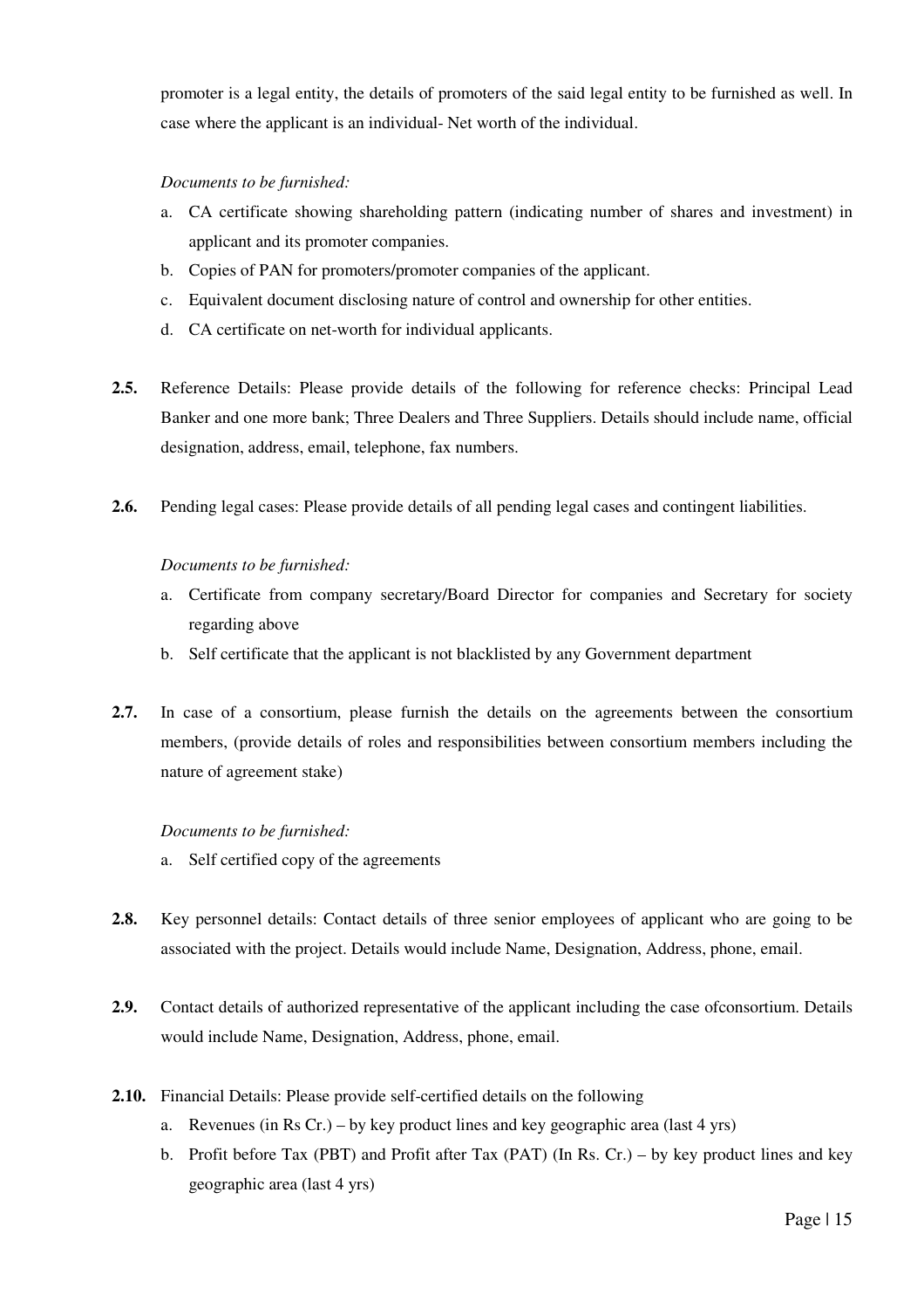promoter is a legal entity, the details of promoters of the said legal entity to be furnished as well. In case where the applicant is an individual- Net worth of the individual.

#### *Documents to be furnished:*

- a. CA certificate showing shareholding pattern (indicating number of shares and investment) in applicant and its promoter companies.
- b. Copies of PAN for promoters/promoter companies of the applicant.
- c. Equivalent document disclosing nature of control and ownership for other entities.
- d. CA certificate on net-worth for individual applicants.
- **2.5.** Reference Details: Please provide details of the following for reference checks: Principal Lead Banker and one more bank; Three Dealers and Three Suppliers. Details should include name, official designation, address, email, telephone, fax numbers.
- **2.6.** Pending legal cases: Please provide details of all pending legal cases and contingent liabilities.

#### *Documents to be furnished:*

- a. Certificate from company secretary/Board Director for companies and Secretary for society regarding above
- b. Self certificate that the applicant is not blacklisted by any Government department
- **2.7.** In case of a consortium, please furnish the details on the agreements between the consortium members, (provide details of roles and responsibilities between consortium members including the nature of agreement stake)

#### *Documents to be furnished:*

- a. Self certified copy of the agreements
- **2.8.** Key personnel details: Contact details of three senior employees of applicant who are going to be associated with the project. Details would include Name, Designation, Address, phone, email.
- **2.9.** Contact details of authorized representative of the applicant including the case ofconsortium. Details would include Name, Designation, Address, phone, email.
- **2.10.** Financial Details: Please provide self-certified details on the following
	- a. Revenues (in Rs Cr.) by key product lines and key geographic area (last 4 yrs)
	- b. Profit before Tax (PBT) and Profit after Tax (PAT) (In Rs. Cr.) by key product lines and key geographic area (last 4 yrs)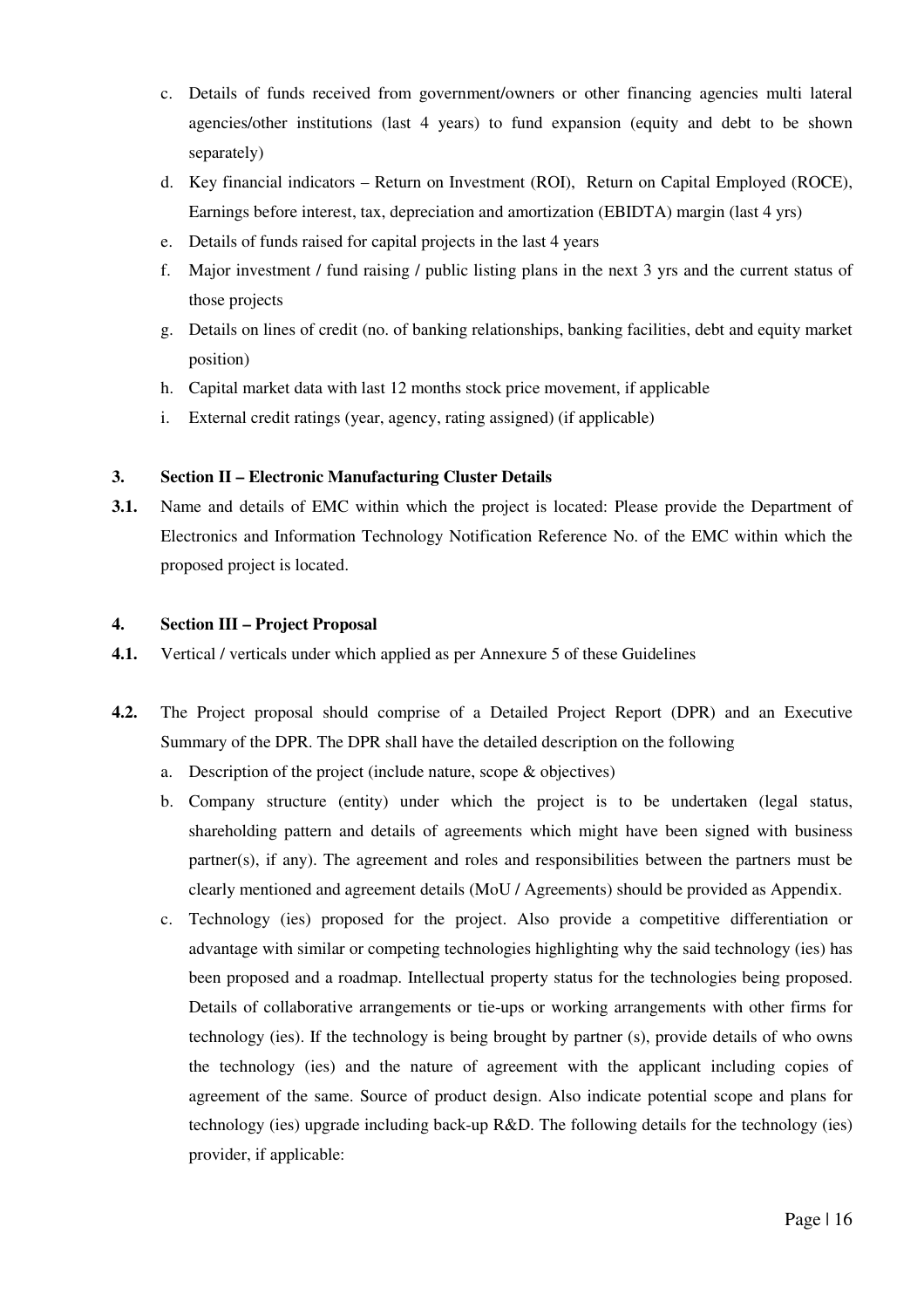- c. Details of funds received from government/owners or other financing agencies multi lateral agencies/other institutions (last 4 years) to fund expansion (equity and debt to be shown separately)
- d. Key financial indicators Return on Investment (ROI), Return on Capital Employed (ROCE), Earnings before interest, tax, depreciation and amortization (EBIDTA) margin (last 4 yrs)
- e. Details of funds raised for capital projects in the last 4 years
- f. Major investment / fund raising / public listing plans in the next 3 yrs and the current status of those projects
- g. Details on lines of credit (no. of banking relationships, banking facilities, debt and equity market position)
- h. Capital market data with last 12 months stock price movement, if applicable
- i. External credit ratings (year, agency, rating assigned) (if applicable)

#### **3. Section II – Electronic Manufacturing Cluster Details**

**3.1.** Name and details of EMC within which the project is located: Please provide the Department of Electronics and Information Technology Notification Reference No. of the EMC within which the proposed project is located.

#### **4. Section III – Project Proposal**

- **4.1.** Vertical / verticals under which applied as per Annexure 5 of these Guidelines
- **4.2.** The Project proposal should comprise of a Detailed Project Report (DPR) and an Executive Summary of the DPR. The DPR shall have the detailed description on the following
	- a. Description of the project (include nature, scope & objectives)
	- b. Company structure (entity) under which the project is to be undertaken (legal status, shareholding pattern and details of agreements which might have been signed with business partner(s), if any). The agreement and roles and responsibilities between the partners must be clearly mentioned and agreement details (MoU / Agreements) should be provided as Appendix.
	- c. Technology (ies) proposed for the project. Also provide a competitive differentiation or advantage with similar or competing technologies highlighting why the said technology (ies) has been proposed and a roadmap. Intellectual property status for the technologies being proposed. Details of collaborative arrangements or tie-ups or working arrangements with other firms for technology (ies). If the technology is being brought by partner (s), provide details of who owns the technology (ies) and the nature of agreement with the applicant including copies of agreement of the same. Source of product design. Also indicate potential scope and plans for technology (ies) upgrade including back-up R&D. The following details for the technology (ies) provider, if applicable: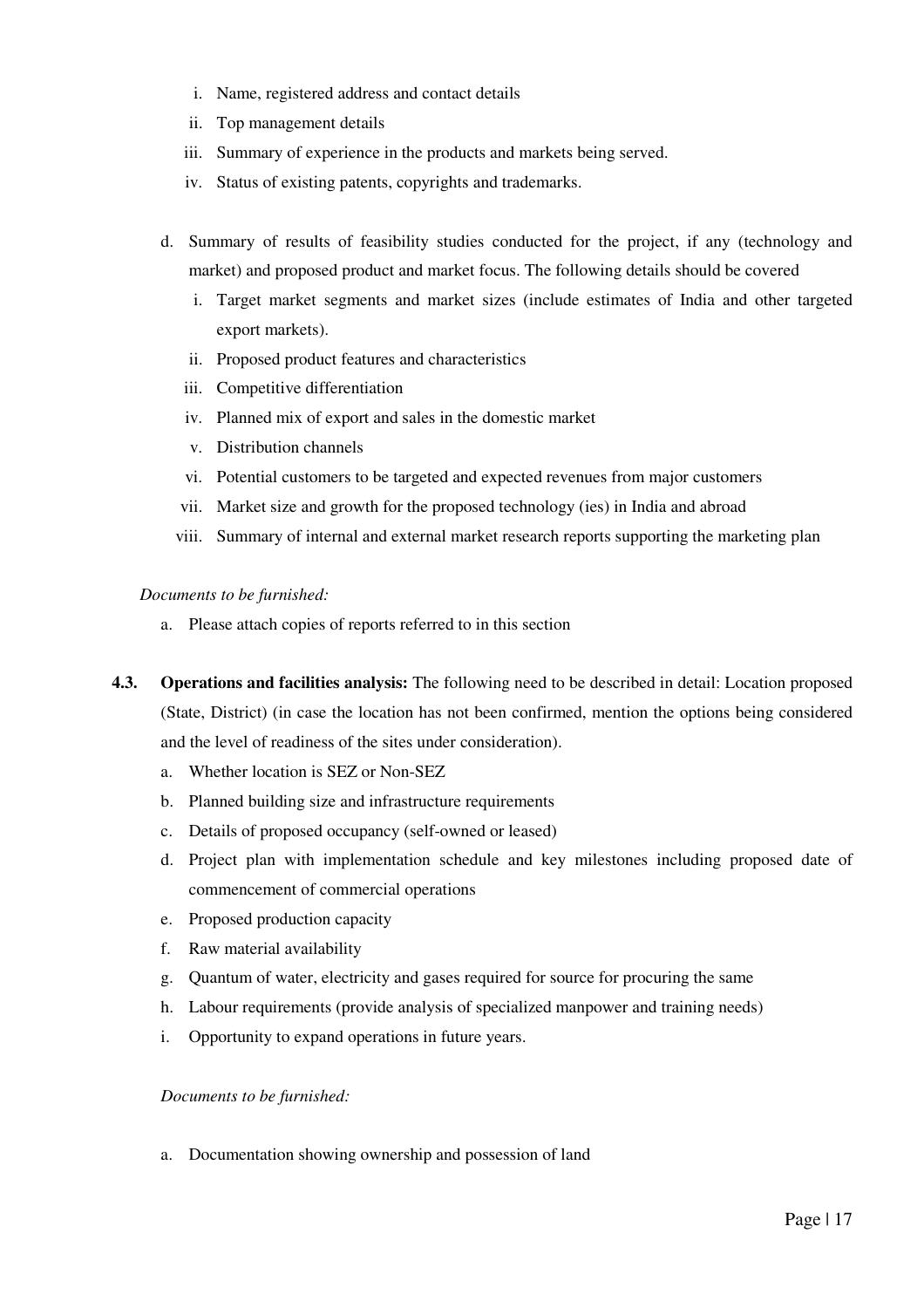- i. Name, registered address and contact details
- ii. Top management details
- iii. Summary of experience in the products and markets being served.
- iv. Status of existing patents, copyrights and trademarks.
- d. Summary of results of feasibility studies conducted for the project, if any (technology and market) and proposed product and market focus. The following details should be covered
	- i. Target market segments and market sizes (include estimates of India and other targeted export markets).
	- ii. Proposed product features and characteristics
	- iii. Competitive differentiation
	- iv. Planned mix of export and sales in the domestic market
	- v. Distribution channels
	- vi. Potential customers to be targeted and expected revenues from major customers
	- vii. Market size and growth for the proposed technology (ies) in India and abroad
	- viii. Summary of internal and external market research reports supporting the marketing plan

*Documents to be furnished:* 

- a. Please attach copies of reports referred to in this section
- **4.3. Operations and facilities analysis:** The following need to be described in detail: Location proposed (State, District) (in case the location has not been confirmed, mention the options being considered and the level of readiness of the sites under consideration).
	- a. Whether location is SEZ or Non-SEZ
	- b. Planned building size and infrastructure requirements
	- c. Details of proposed occupancy (self-owned or leased)
	- d. Project plan with implementation schedule and key milestones including proposed date of commencement of commercial operations
	- e. Proposed production capacity
	- f. Raw material availability
	- g. Quantum of water, electricity and gases required for source for procuring the same
	- h. Labour requirements (provide analysis of specialized manpower and training needs)
	- i. Opportunity to expand operations in future years.

*Documents to be furnished:* 

a. Documentation showing ownership and possession of land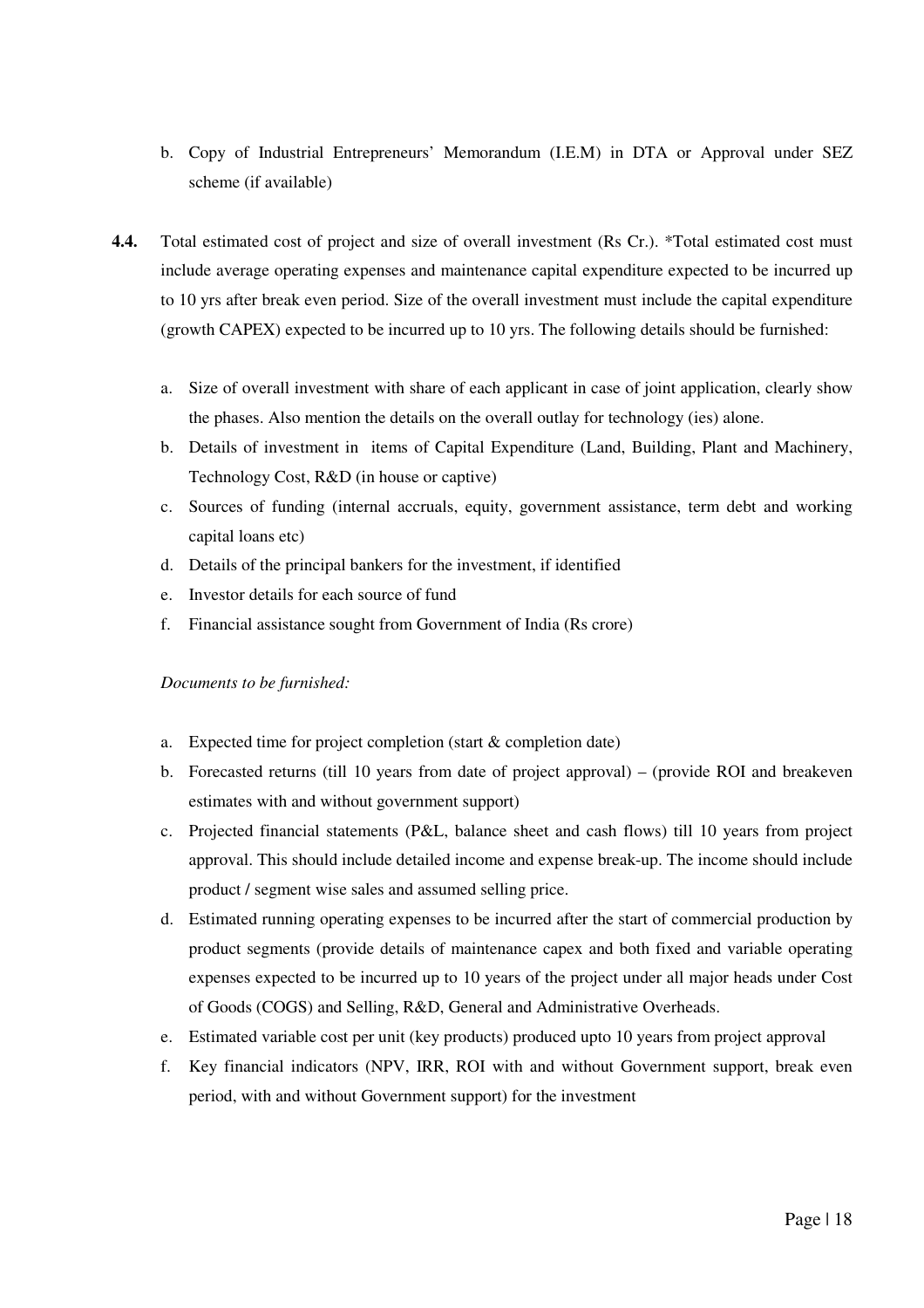- b. Copy of Industrial Entrepreneurs' Memorandum (I.E.M) in DTA or Approval under SEZ scheme (if available)
- **4.4.** Total estimated cost of project and size of overall investment (Rs Cr.). \*Total estimated cost must include average operating expenses and maintenance capital expenditure expected to be incurred up to 10 yrs after break even period. Size of the overall investment must include the capital expenditure (growth CAPEX) expected to be incurred up to 10 yrs. The following details should be furnished:
	- a. Size of overall investment with share of each applicant in case of joint application, clearly show the phases. Also mention the details on the overall outlay for technology (ies) alone.
	- b. Details of investment in items of Capital Expenditure (Land, Building, Plant and Machinery, Technology Cost, R&D (in house or captive)
	- c. Sources of funding (internal accruals, equity, government assistance, term debt and working capital loans etc)
	- d. Details of the principal bankers for the investment, if identified
	- e. Investor details for each source of fund
	- f. Financial assistance sought from Government of India (Rs crore)

#### *Documents to be furnished:*

- a. Expected time for project completion (start & completion date)
- b. Forecasted returns (till 10 years from date of project approval) (provide ROI and breakeven estimates with and without government support)
- c. Projected financial statements (P&L, balance sheet and cash flows) till 10 years from project approval. This should include detailed income and expense break-up. The income should include product / segment wise sales and assumed selling price.
- d. Estimated running operating expenses to be incurred after the start of commercial production by product segments (provide details of maintenance capex and both fixed and variable operating expenses expected to be incurred up to 10 years of the project under all major heads under Cost of Goods (COGS) and Selling, R&D, General and Administrative Overheads.
- e. Estimated variable cost per unit (key products) produced upto 10 years from project approval
- f. Key financial indicators (NPV, IRR, ROI with and without Government support, break even period, with and without Government support) for the investment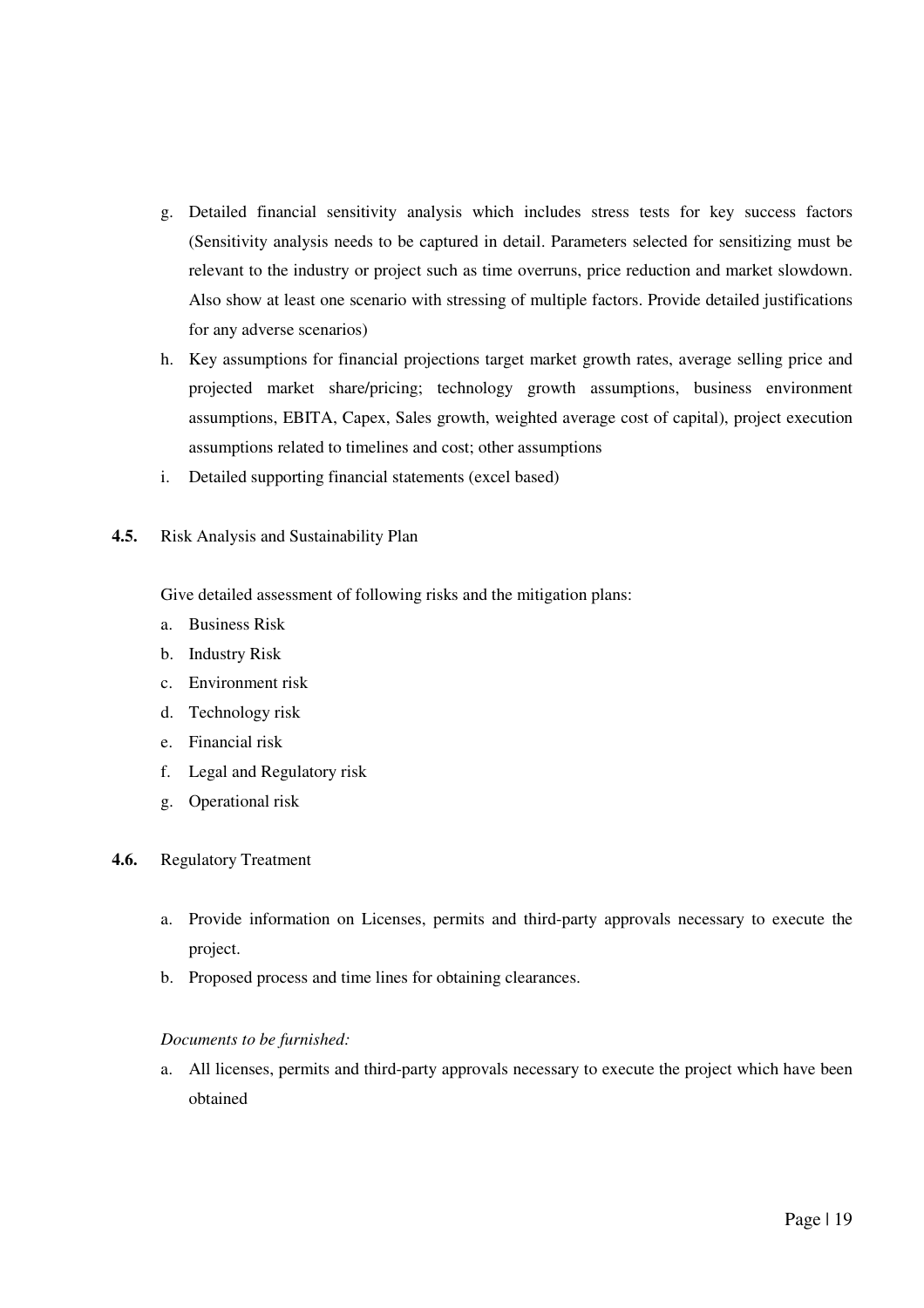- g. Detailed financial sensitivity analysis which includes stress tests for key success factors (Sensitivity analysis needs to be captured in detail. Parameters selected for sensitizing must be relevant to the industry or project such as time overruns, price reduction and market slowdown. Also show at least one scenario with stressing of multiple factors. Provide detailed justifications for any adverse scenarios)
- h. Key assumptions for financial projections target market growth rates, average selling price and projected market share/pricing; technology growth assumptions, business environment assumptions, EBITA, Capex, Sales growth, weighted average cost of capital), project execution assumptions related to timelines and cost; other assumptions
- i. Detailed supporting financial statements (excel based)
- **4.5.** Risk Analysis and Sustainability Plan

Give detailed assessment of following risks and the mitigation plans:

- a. Business Risk
- b. Industry Risk
- c. Environment risk
- d. Technology risk
- e. Financial risk
- f. Legal and Regulatory risk
- g. Operational risk
- **4.6.** Regulatory Treatment
	- a. Provide information on Licenses, permits and third-party approvals necessary to execute the project.
	- b. Proposed process and time lines for obtaining clearances.

#### *Documents to be furnished:*

a. All licenses, permits and third-party approvals necessary to execute the project which have been obtained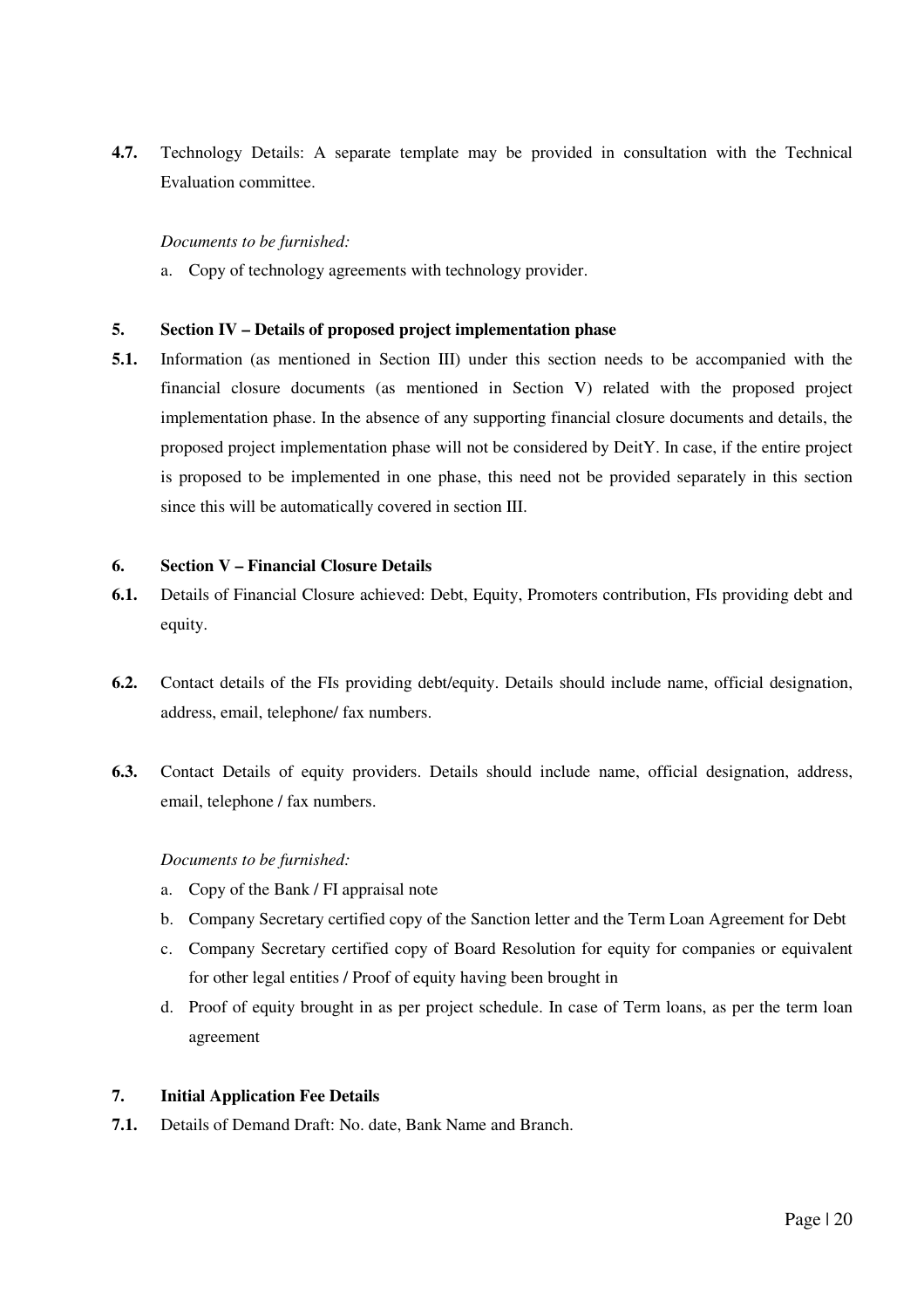**4.7.** Technology Details: A separate template may be provided in consultation with the Technical Evaluation committee.

#### *Documents to be furnished:*

a. Copy of technology agreements with technology provider.

#### **5. Section IV – Details of proposed project implementation phase**

**5.1.** Information (as mentioned in Section III) under this section needs to be accompanied with the financial closure documents (as mentioned in Section V) related with the proposed project implementation phase. In the absence of any supporting financial closure documents and details, the proposed project implementation phase will not be considered by DeitY. In case, if the entire project is proposed to be implemented in one phase, this need not be provided separately in this section since this will be automatically covered in section III.

#### **6. Section V – Financial Closure Details**

- **6.1.** Details of Financial Closure achieved: Debt, Equity, Promoters contribution, FIs providing debt and equity.
- **6.2.** Contact details of the FIs providing debt/equity. Details should include name, official designation, address, email, telephone/ fax numbers.
- **6.3.** Contact Details of equity providers. Details should include name, official designation, address, email, telephone / fax numbers.

#### *Documents to be furnished:*

- a. Copy of the Bank / FI appraisal note
- b. Company Secretary certified copy of the Sanction letter and the Term Loan Agreement for Debt
- c. Company Secretary certified copy of Board Resolution for equity for companies or equivalent for other legal entities / Proof of equity having been brought in
- d. Proof of equity brought in as per project schedule. In case of Term loans, as per the term loan agreement

#### **7. Initial Application Fee Details**

**7.1.** Details of Demand Draft: No. date, Bank Name and Branch.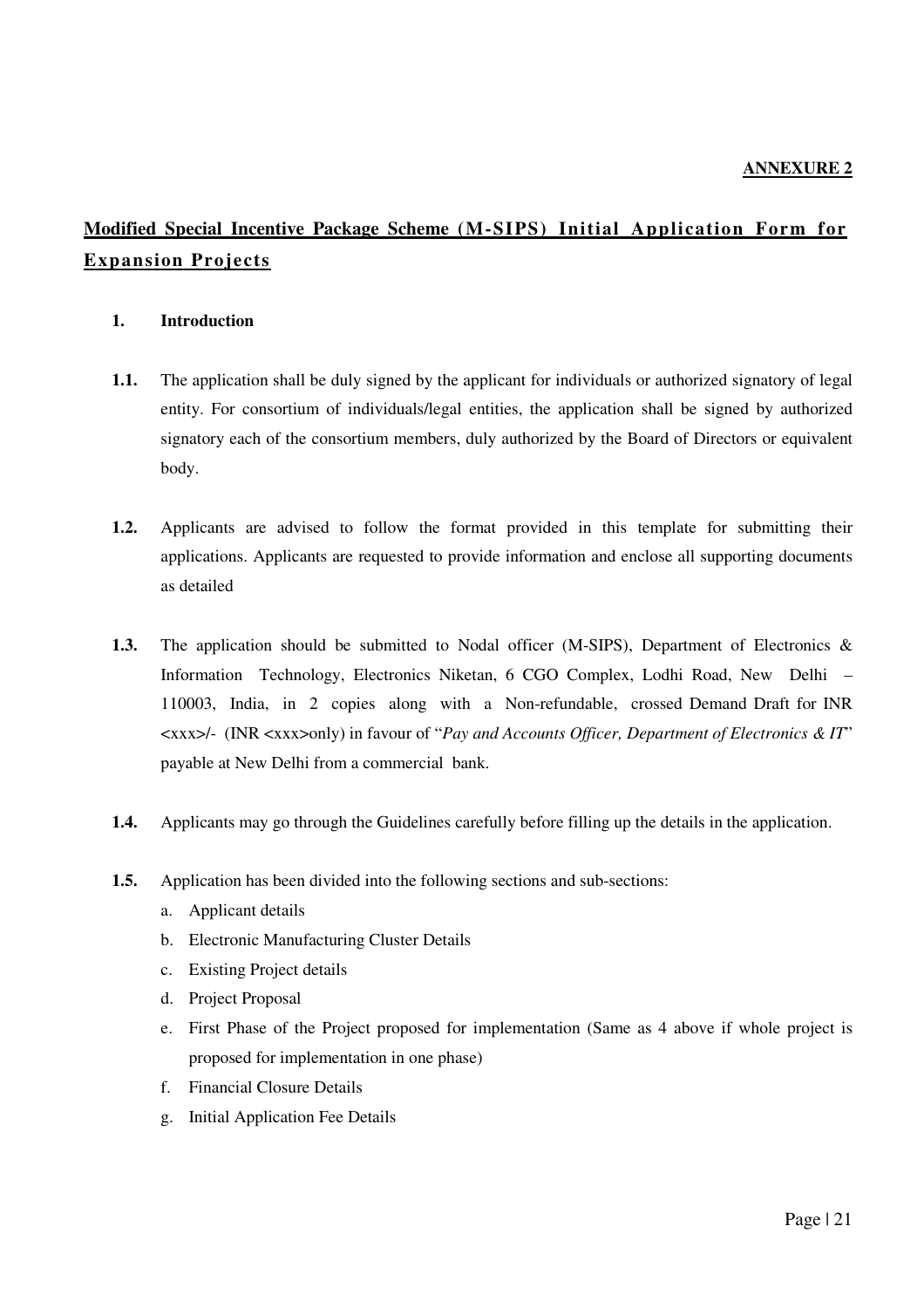# **Modified Special Incentive Package Scheme (M-SIPS) Initial Application Form for Expansion Projects**

### **1. Introduction**

- **1.1.** The application shall be duly signed by the applicant for individuals or authorized signatory of legal entity. For consortium of individuals/legal entities, the application shall be signed by authorized signatory each of the consortium members, duly authorized by the Board of Directors or equivalent body.
- **1.2.** Applicants are advised to follow the format provided in this template for submitting their applications. Applicants are requested to provide information and enclose all supporting documents as detailed
- **1.3.** The application should be submitted to Nodal officer (M-SIPS), Department of Electronics & Information Technology, Electronics Niketan, 6 CGO Complex, Lodhi Road, New Delhi – 110003, India, in 2 copies along with a Non-refundable, crossed Demand Draft for INR <xxx>/- (INR <xxx>only) in favour of "*Pay and Accounts Officer, Department of Electronics & IT*" payable at New Delhi from a commercial bank.
- **1.4.** Applicants may go through the Guidelines carefully before filling up the details in the application.
- **1.5.** Application has been divided into the following sections and sub-sections:
	- a. Applicant details
	- b. Electronic Manufacturing Cluster Details
	- c. Existing Project details
	- d. Project Proposal
	- e. First Phase of the Project proposed for implementation (Same as 4 above if whole project is proposed for implementation in one phase)
	- f. Financial Closure Details
	- g. Initial Application Fee Details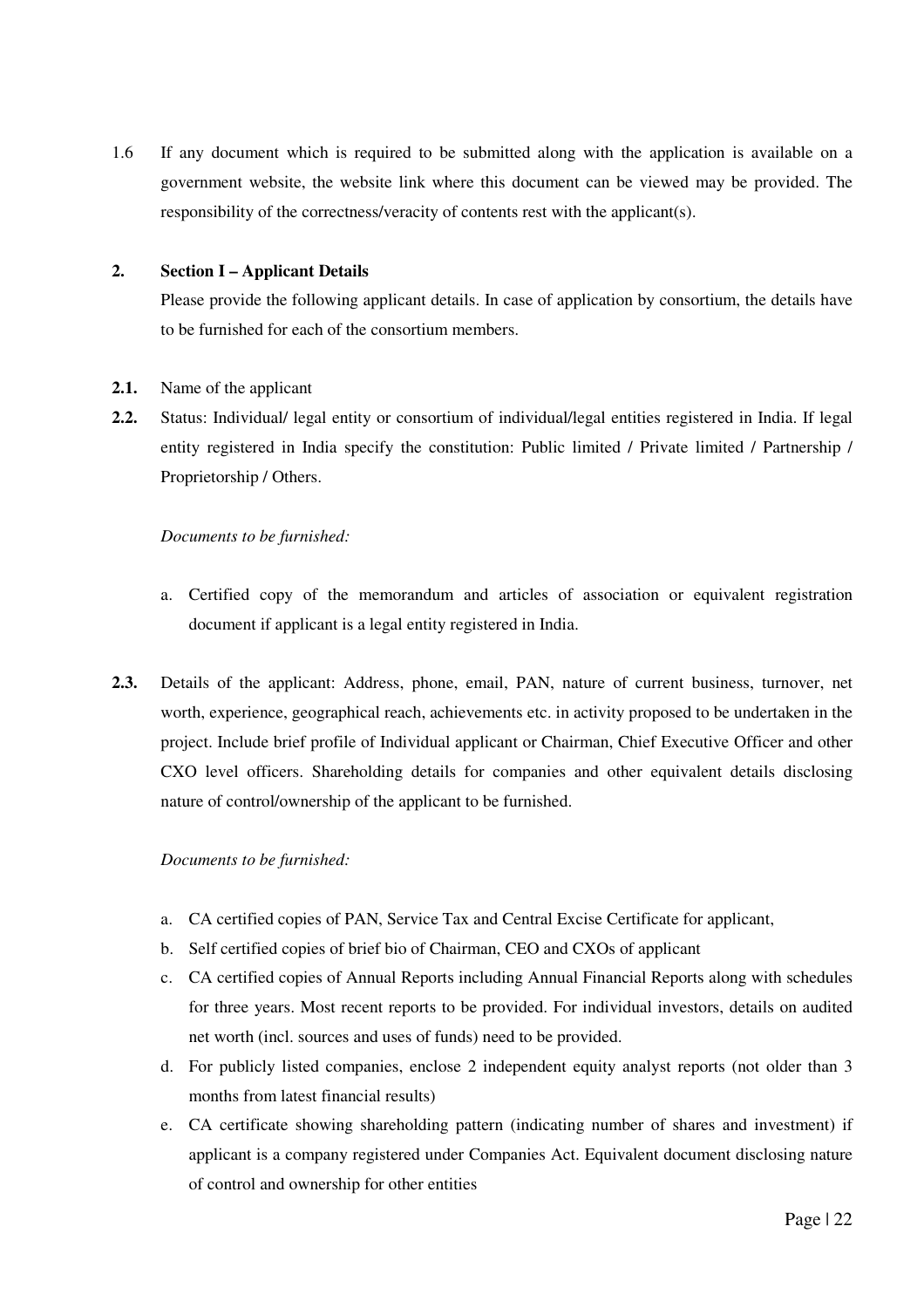1.6 If any document which is required to be submitted along with the application is available on a government website, the website link where this document can be viewed may be provided. The responsibility of the correctness/veracity of contents rest with the applicant(s).

#### **2. Section I – Applicant Details**

Please provide the following applicant details. In case of application by consortium, the details have to be furnished for each of the consortium members.

#### **2.1.** Name of the applicant

**2.2.** Status: Individual/ legal entity or consortium of individual/legal entities registered in India. If legal entity registered in India specify the constitution: Public limited / Private limited / Partnership / Proprietorship / Others.

#### *Documents to be furnished:*

- a. Certified copy of the memorandum and articles of association or equivalent registration document if applicant is a legal entity registered in India.
- **2.3.** Details of the applicant: Address, phone, email, PAN, nature of current business, turnover, net worth, experience, geographical reach, achievements etc. in activity proposed to be undertaken in the project. Include brief profile of Individual applicant or Chairman, Chief Executive Officer and other CXO level officers. Shareholding details for companies and other equivalent details disclosing nature of control/ownership of the applicant to be furnished.

#### *Documents to be furnished:*

- a. CA certified copies of PAN, Service Tax and Central Excise Certificate for applicant,
- b. Self certified copies of brief bio of Chairman, CEO and CXOs of applicant
- c. CA certified copies of Annual Reports including Annual Financial Reports along with schedules for three years. Most recent reports to be provided. For individual investors, details on audited net worth (incl. sources and uses of funds) need to be provided.
- d. For publicly listed companies, enclose 2 independent equity analyst reports (not older than 3 months from latest financial results)
- e. CA certificate showing shareholding pattern (indicating number of shares and investment) if applicant is a company registered under Companies Act. Equivalent document disclosing nature of control and ownership for other entities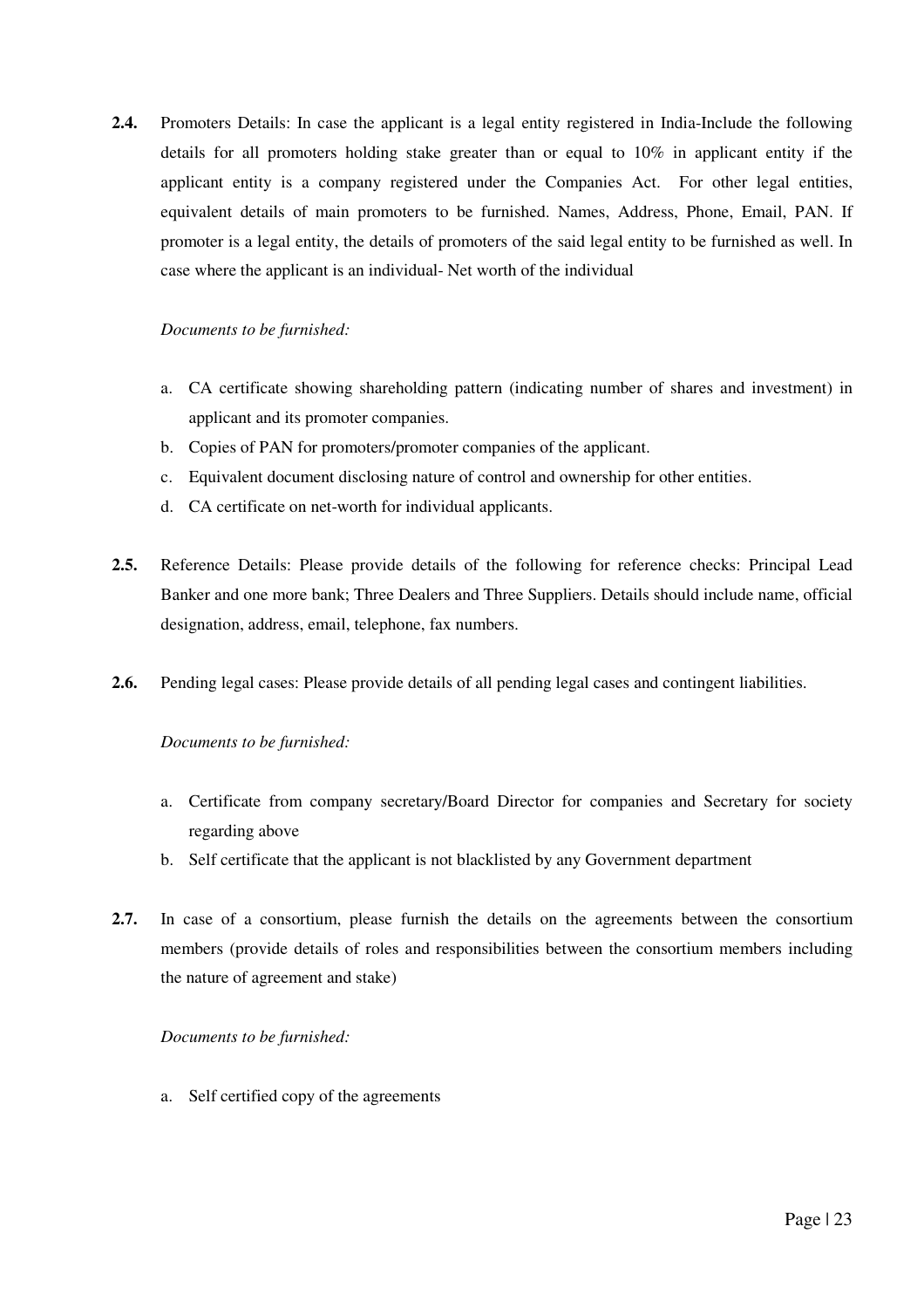**2.4.** Promoters Details: In case the applicant is a legal entity registered in India-Include the following details for all promoters holding stake greater than or equal to 10% in applicant entity if the applicant entity is a company registered under the Companies Act. For other legal entities, equivalent details of main promoters to be furnished. Names, Address, Phone, Email, PAN. If promoter is a legal entity, the details of promoters of the said legal entity to be furnished as well. In case where the applicant is an individual- Net worth of the individual

#### *Documents to be furnished:*

- a. CA certificate showing shareholding pattern (indicating number of shares and investment) in applicant and its promoter companies.
- b. Copies of PAN for promoters/promoter companies of the applicant.
- c. Equivalent document disclosing nature of control and ownership for other entities.
- d. CA certificate on net-worth for individual applicants.
- **2.5.** Reference Details: Please provide details of the following for reference checks: Principal Lead Banker and one more bank; Three Dealers and Three Suppliers. Details should include name, official designation, address, email, telephone, fax numbers.
- **2.6.** Pending legal cases: Please provide details of all pending legal cases and contingent liabilities.

#### *Documents to be furnished:*

- a. Certificate from company secretary/Board Director for companies and Secretary for society regarding above
- b. Self certificate that the applicant is not blacklisted by any Government department
- **2.7.** In case of a consortium, please furnish the details on the agreements between the consortium members (provide details of roles and responsibilities between the consortium members including the nature of agreement and stake)

#### *Documents to be furnished:*

a. Self certified copy of the agreements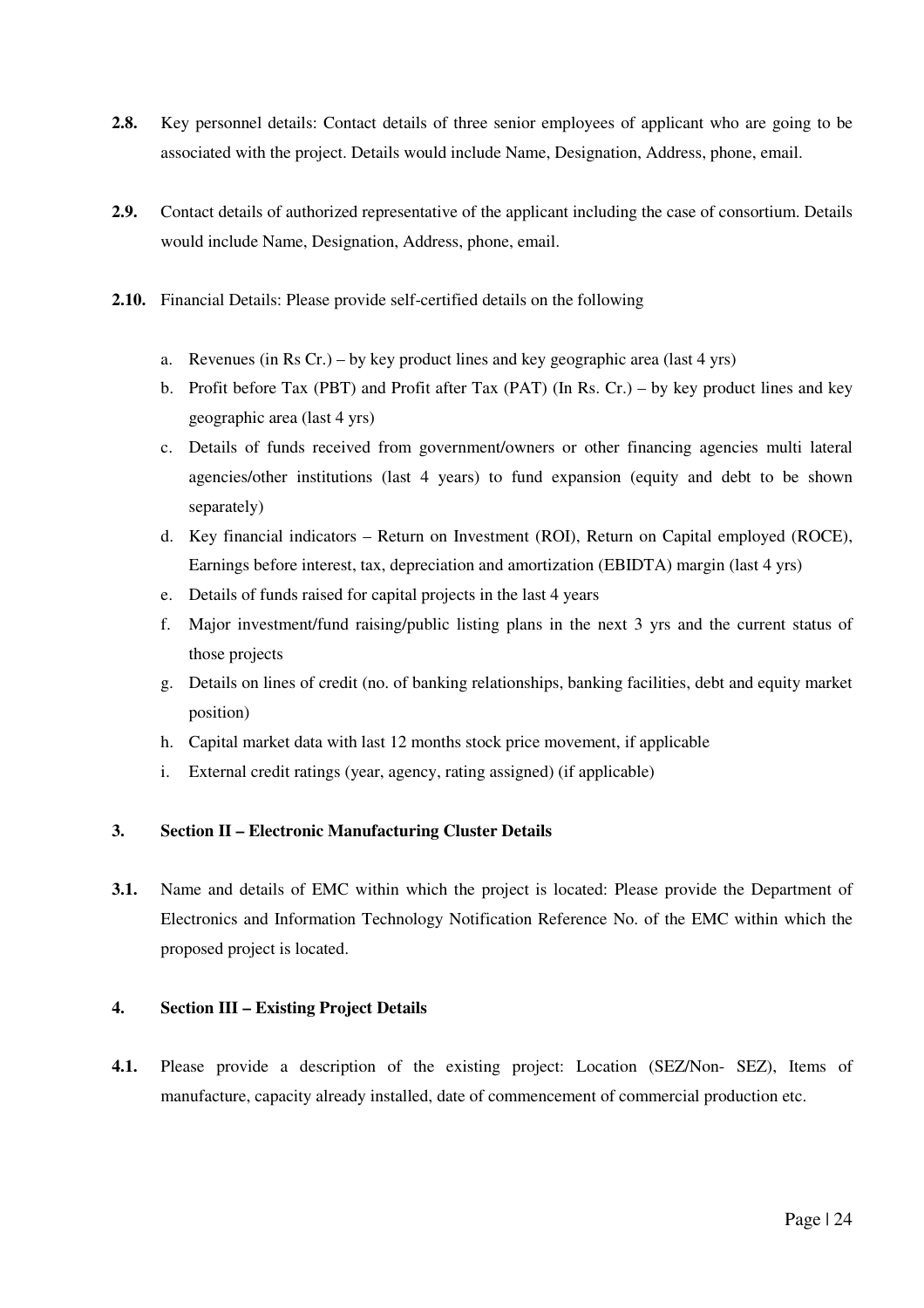- **2.8.** Key personnel details: Contact details of three senior employees of applicant who are going to be associated with the project. Details would include Name, Designation, Address, phone, email.
- **2.9.** Contact details of authorized representative of the applicant including the case of consortium. Details would include Name, Designation, Address, phone, email.
- **2.10.** Financial Details: Please provide self-certified details on the following
	- a. Revenues (in Rs Cr.) by key product lines and key geographic area (last 4 yrs)
	- b. Profit before Tax (PBT) and Profit after Tax (PAT) (In Rs. Cr.) by key product lines and key geographic area (last 4 yrs)
	- c. Details of funds received from government/owners or other financing agencies multi lateral agencies/other institutions (last 4 years) to fund expansion (equity and debt to be shown separately)
	- d. Key financial indicators Return on Investment (ROI), Return on Capital employed (ROCE), Earnings before interest, tax, depreciation and amortization (EBIDTA) margin (last 4 yrs)
	- e. Details of funds raised for capital projects in the last 4 years
	- f. Major investment/fund raising/public listing plans in the next 3 yrs and the current status of those projects
	- g. Details on lines of credit (no. of banking relationships, banking facilities, debt and equity market position)
	- h. Capital market data with last 12 months stock price movement, if applicable
	- i. External credit ratings (year, agency, rating assigned) (if applicable)

#### **3. Section II – Electronic Manufacturing Cluster Details**

**3.1.** Name and details of EMC within which the project is located: Please provide the Department of Electronics and Information Technology Notification Reference No. of the EMC within which the proposed project is located.

#### **4. Section III – Existing Project Details**

**4.1.** Please provide a description of the existing project: Location (SEZ/Non- SEZ), Items of manufacture, capacity already installed, date of commencement of commercial production etc.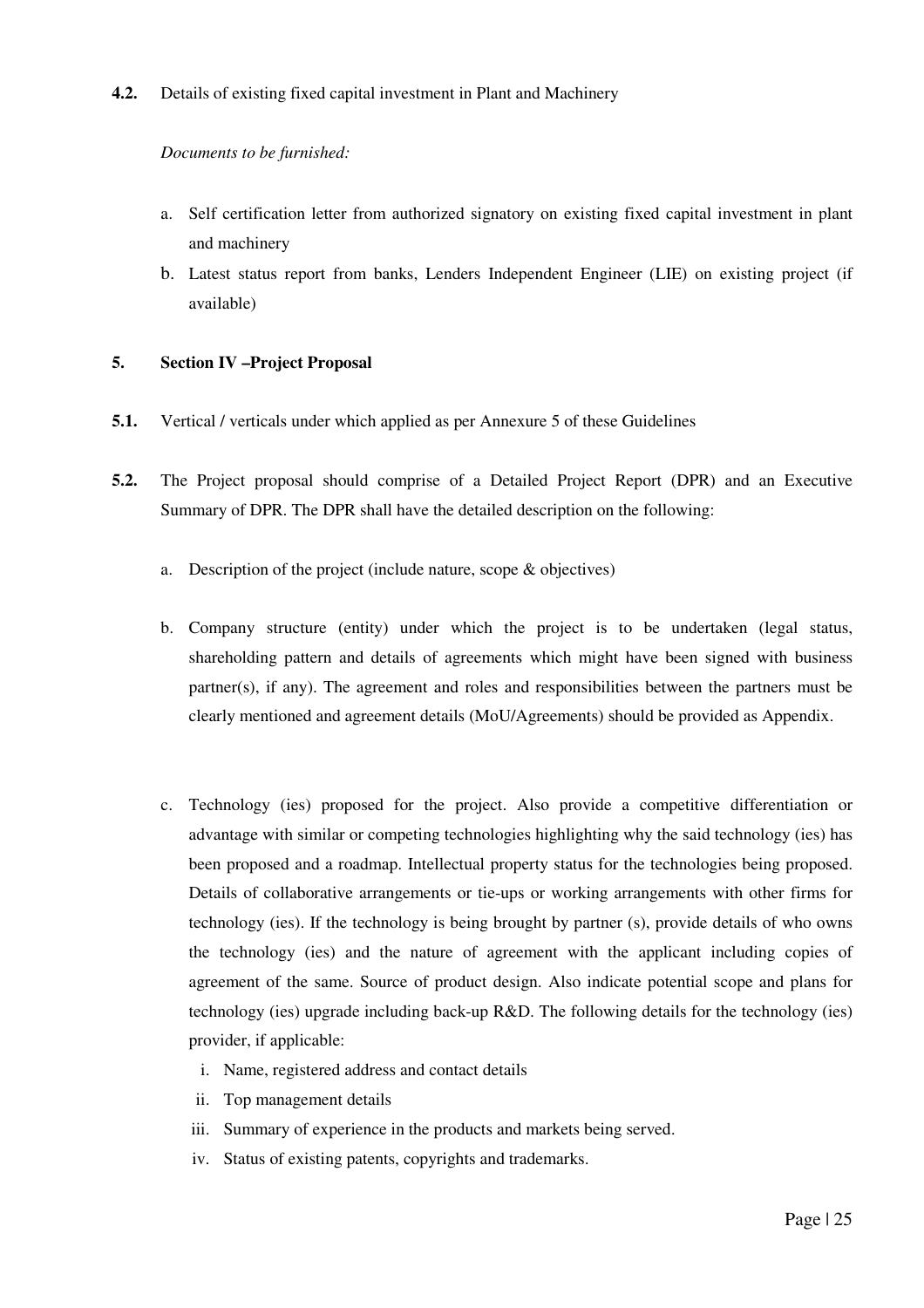**4.2.** Details of existing fixed capital investment in Plant and Machinery

#### *Documents to be furnished:*

- a. Self certification letter from authorized signatory on existing fixed capital investment in plant and machinery
- b. Latest status report from banks, Lenders Independent Engineer (LIE) on existing project (if available)

#### **5. Section IV –Project Proposal**

- **5.1.** Vertical / verticals under which applied as per Annexure 5 of these Guidelines
- **5.2.** The Project proposal should comprise of a Detailed Project Report (DPR) and an Executive Summary of DPR. The DPR shall have the detailed description on the following:
	- a. Description of the project (include nature, scope & objectives)
	- b. Company structure (entity) under which the project is to be undertaken (legal status, shareholding pattern and details of agreements which might have been signed with business partner(s), if any). The agreement and roles and responsibilities between the partners must be clearly mentioned and agreement details (MoU/Agreements) should be provided as Appendix.
	- c. Technology (ies) proposed for the project. Also provide a competitive differentiation or advantage with similar or competing technologies highlighting why the said technology (ies) has been proposed and a roadmap. Intellectual property status for the technologies being proposed. Details of collaborative arrangements or tie-ups or working arrangements with other firms for technology (ies). If the technology is being brought by partner (s), provide details of who owns the technology (ies) and the nature of agreement with the applicant including copies of agreement of the same. Source of product design. Also indicate potential scope and plans for technology (ies) upgrade including back-up R&D. The following details for the technology (ies) provider, if applicable:
		- i. Name, registered address and contact details
		- ii. Top management details
		- iii. Summary of experience in the products and markets being served.
		- iv. Status of existing patents, copyrights and trademarks.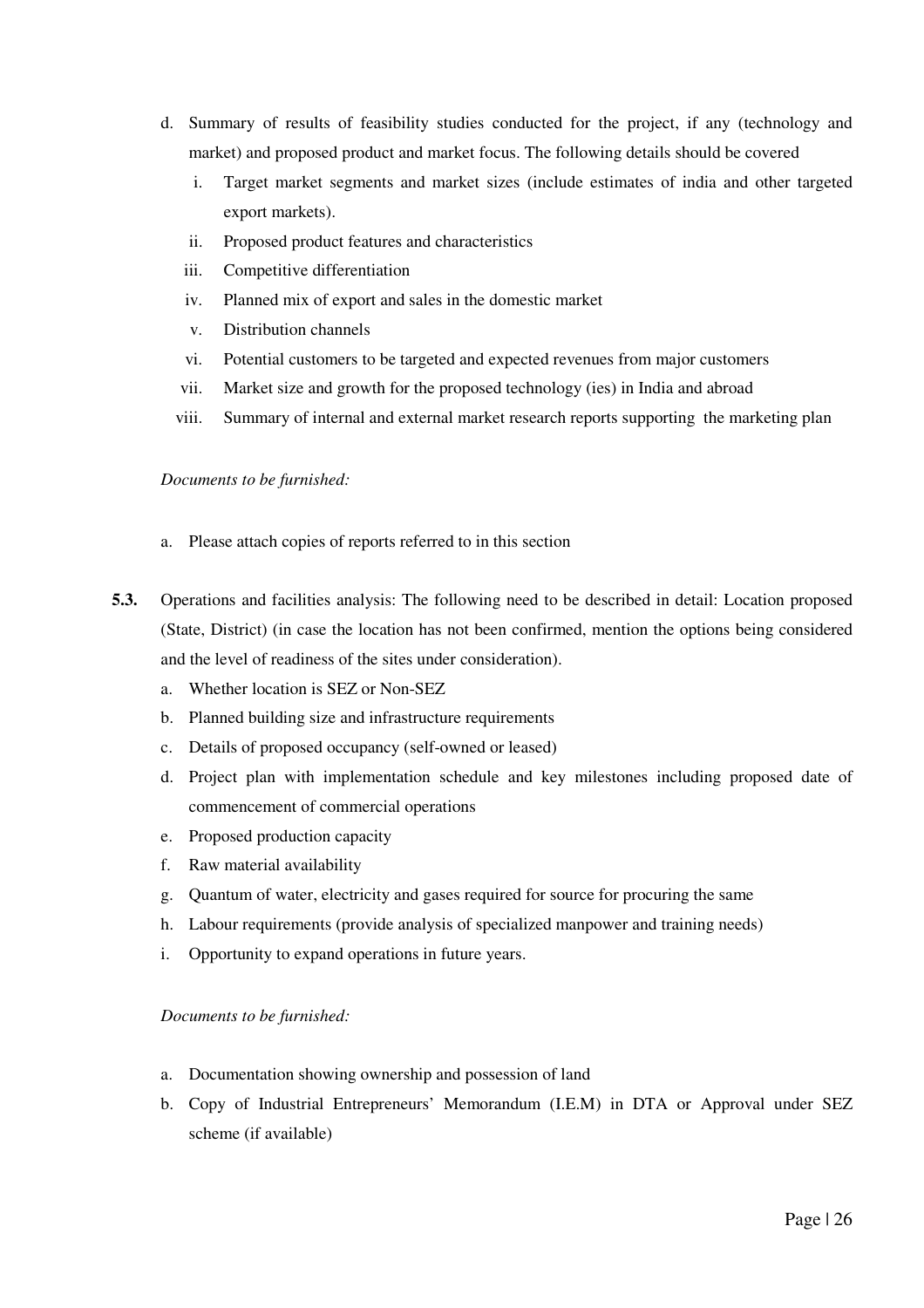- d. Summary of results of feasibility studies conducted for the project, if any (technology and market) and proposed product and market focus. The following details should be covered
	- i. Target market segments and market sizes (include estimates of india and other targeted export markets).
	- ii. Proposed product features and characteristics
	- iii. Competitive differentiation
	- iv. Planned mix of export and sales in the domestic market
	- v. Distribution channels
	- vi. Potential customers to be targeted and expected revenues from major customers
	- vii. Market size and growth for the proposed technology (ies) in India and abroad
	- viii. Summary of internal and external market research reports supporting the marketing plan

#### *Documents to be furnished:*

- a. Please attach copies of reports referred to in this section
- **5.3.** Operations and facilities analysis: The following need to be described in detail: Location proposed (State, District) (in case the location has not been confirmed, mention the options being considered and the level of readiness of the sites under consideration).
	- a. Whether location is SEZ or Non-SEZ
	- b. Planned building size and infrastructure requirements
	- c. Details of proposed occupancy (self-owned or leased)
	- d. Project plan with implementation schedule and key milestones including proposed date of commencement of commercial operations
	- e. Proposed production capacity
	- f. Raw material availability
	- g. Quantum of water, electricity and gases required for source for procuring the same
	- h. Labour requirements (provide analysis of specialized manpower and training needs)
	- i. Opportunity to expand operations in future years.

#### *Documents to be furnished:*

- a. Documentation showing ownership and possession of land
- b. Copy of Industrial Entrepreneurs' Memorandum (I.E.M) in DTA or Approval under SEZ scheme (if available)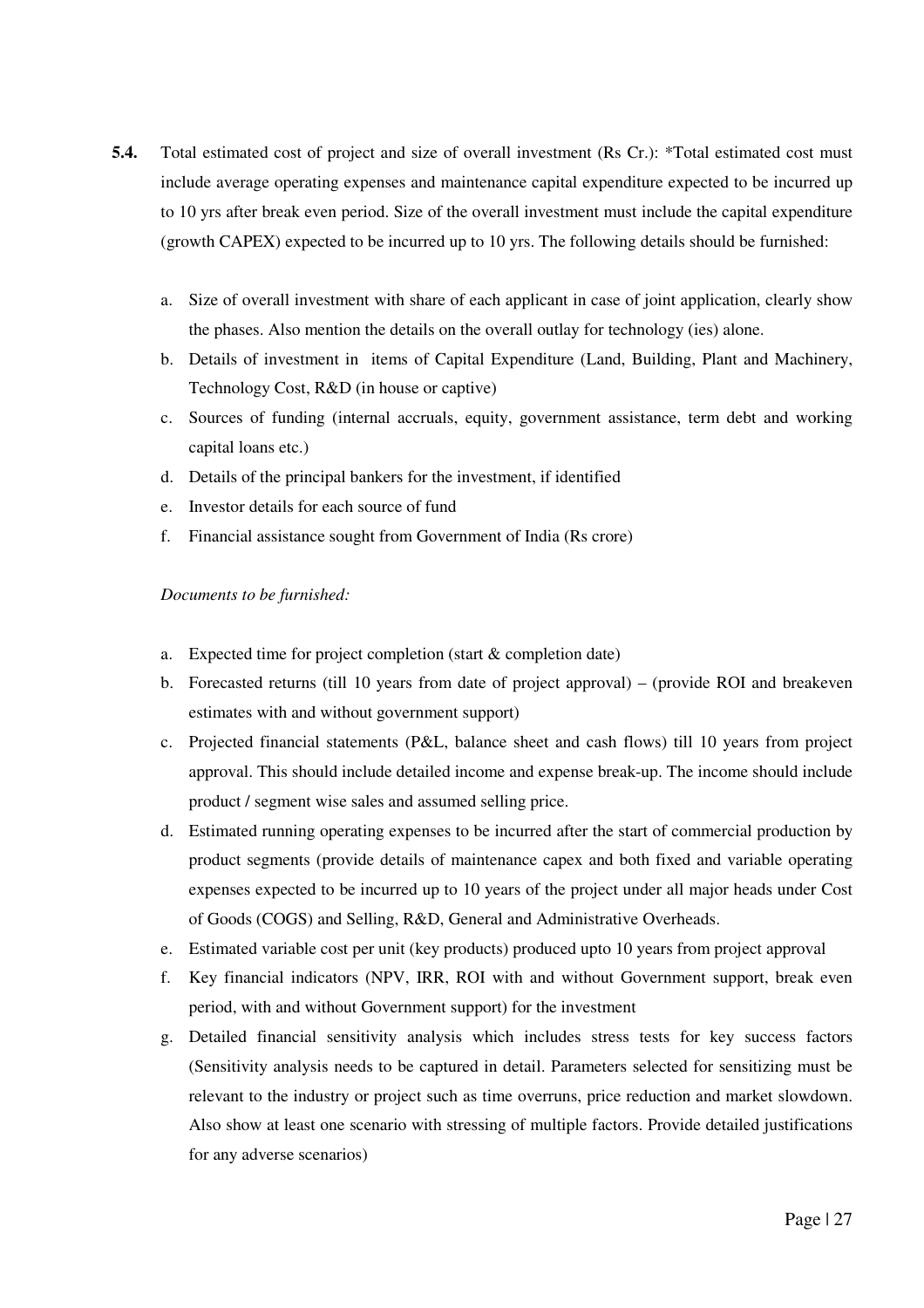- **5.4.** Total estimated cost of project and size of overall investment (Rs Cr.): \*Total estimated cost must include average operating expenses and maintenance capital expenditure expected to be incurred up to 10 yrs after break even period. Size of the overall investment must include the capital expenditure (growth CAPEX) expected to be incurred up to 10 yrs. The following details should be furnished:
	- a. Size of overall investment with share of each applicant in case of joint application, clearly show the phases. Also mention the details on the overall outlay for technology (ies) alone.
	- b. Details of investment in items of Capital Expenditure (Land, Building, Plant and Machinery, Technology Cost, R&D (in house or captive)
	- c. Sources of funding (internal accruals, equity, government assistance, term debt and working capital loans etc.)
	- d. Details of the principal bankers for the investment, if identified
	- e. Investor details for each source of fund
	- f. Financial assistance sought from Government of India (Rs crore)

*Documents to be furnished:* 

- a. Expected time for project completion (start & completion date)
- b. Forecasted returns (till 10 years from date of project approval) (provide ROI and breakeven estimates with and without government support)
- c. Projected financial statements (P&L, balance sheet and cash flows) till 10 years from project approval. This should include detailed income and expense break-up. The income should include product / segment wise sales and assumed selling price.
- d. Estimated running operating expenses to be incurred after the start of commercial production by product segments (provide details of maintenance capex and both fixed and variable operating expenses expected to be incurred up to 10 years of the project under all major heads under Cost of Goods (COGS) and Selling, R&D, General and Administrative Overheads.
- e. Estimated variable cost per unit (key products) produced upto 10 years from project approval
- f. Key financial indicators (NPV, IRR, ROI with and without Government support, break even period, with and without Government support) for the investment
- g. Detailed financial sensitivity analysis which includes stress tests for key success factors (Sensitivity analysis needs to be captured in detail. Parameters selected for sensitizing must be relevant to the industry or project such as time overruns, price reduction and market slowdown. Also show at least one scenario with stressing of multiple factors. Provide detailed justifications for any adverse scenarios)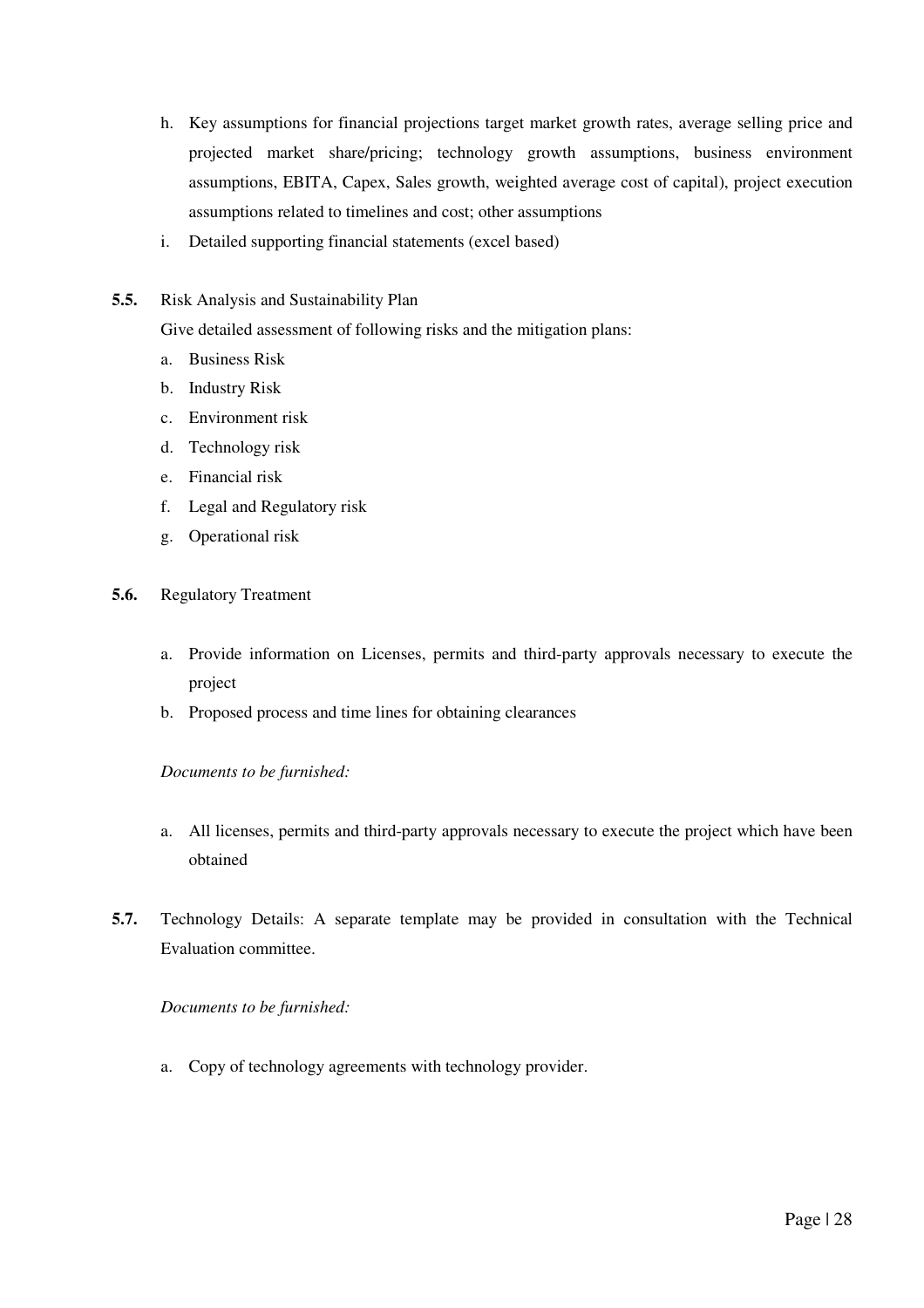- h. Key assumptions for financial projections target market growth rates, average selling price and projected market share/pricing; technology growth assumptions, business environment assumptions, EBITA, Capex, Sales growth, weighted average cost of capital), project execution assumptions related to timelines and cost; other assumptions
- i. Detailed supporting financial statements (excel based)
- **5.5.** Risk Analysis and Sustainability Plan

Give detailed assessment of following risks and the mitigation plans:

- a. Business Risk
- b. Industry Risk
- c. Environment risk
- d. Technology risk
- e. Financial risk
- f. Legal and Regulatory risk
- g. Operational risk
- **5.6.** Regulatory Treatment
	- a. Provide information on Licenses, permits and third-party approvals necessary to execute the project
	- b. Proposed process and time lines for obtaining clearances

*Documents to be furnished:* 

- a. All licenses, permits and third-party approvals necessary to execute the project which have been obtained
- **5.7.** Technology Details: A separate template may be provided in consultation with the Technical Evaluation committee.

*Documents to be furnished:* 

a. Copy of technology agreements with technology provider.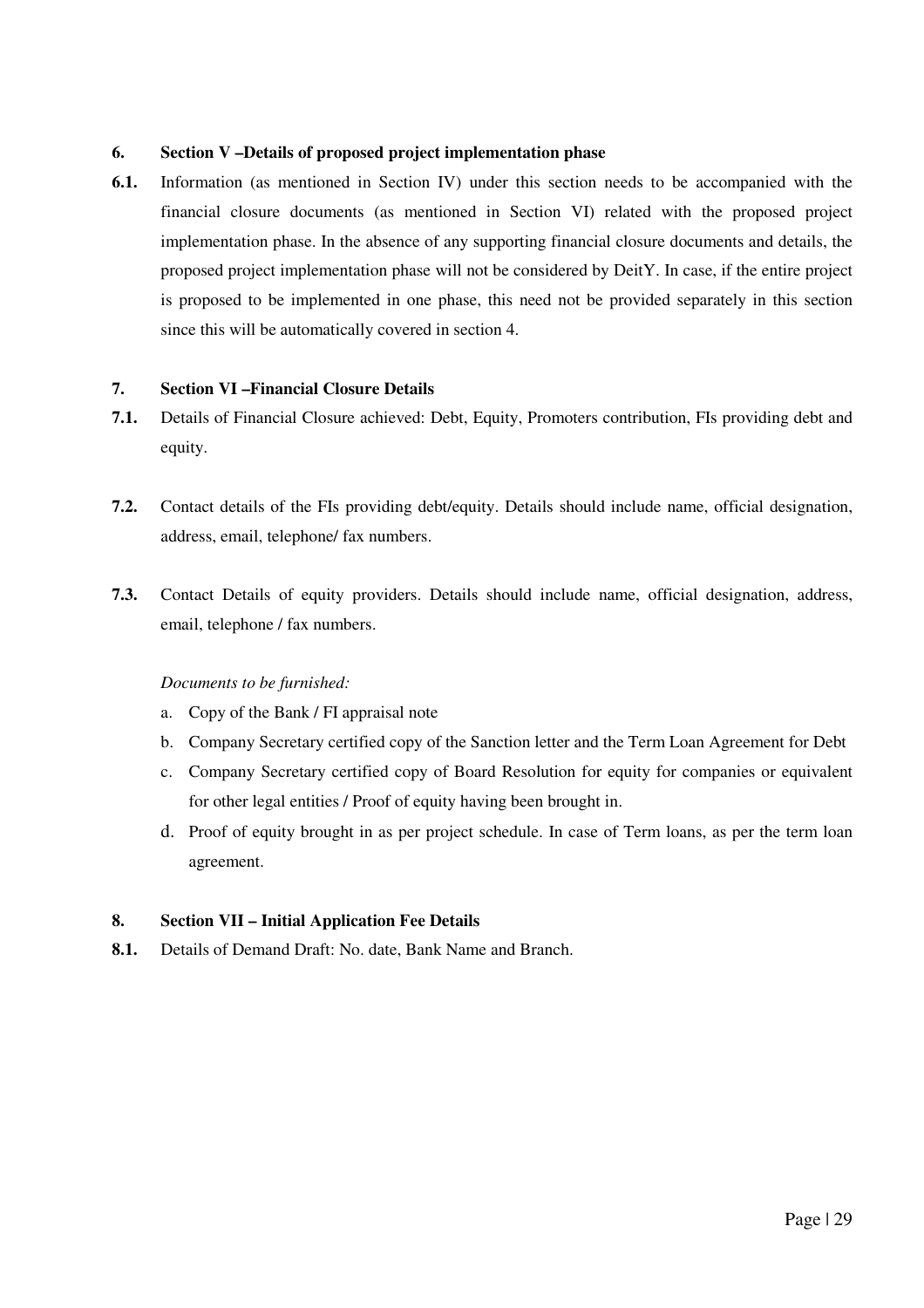#### **6. Section V –Details of proposed project implementation phase**

**6.1.** Information (as mentioned in Section IV) under this section needs to be accompanied with the financial closure documents (as mentioned in Section VI) related with the proposed project implementation phase. In the absence of any supporting financial closure documents and details, the proposed project implementation phase will not be considered by DeitY. In case, if the entire project is proposed to be implemented in one phase, this need not be provided separately in this section since this will be automatically covered in section 4.

#### **7. Section VI –Financial Closure Details**

- **7.1.** Details of Financial Closure achieved: Debt, Equity, Promoters contribution, FIs providing debt and equity.
- **7.2.** Contact details of the FIs providing debt/equity. Details should include name, official designation, address, email, telephone/ fax numbers.
- **7.3.** Contact Details of equity providers. Details should include name, official designation, address, email, telephone / fax numbers.

#### *Documents to be furnished:*

- a. Copy of the Bank / FI appraisal note
- b. Company Secretary certified copy of the Sanction letter and the Term Loan Agreement for Debt
- c. Company Secretary certified copy of Board Resolution for equity for companies or equivalent for other legal entities / Proof of equity having been brought in.
- d. Proof of equity brought in as per project schedule. In case of Term loans, as per the term loan agreement.

#### **8. Section VII – Initial Application Fee Details**

**8.1.** Details of Demand Draft: No. date, Bank Name and Branch.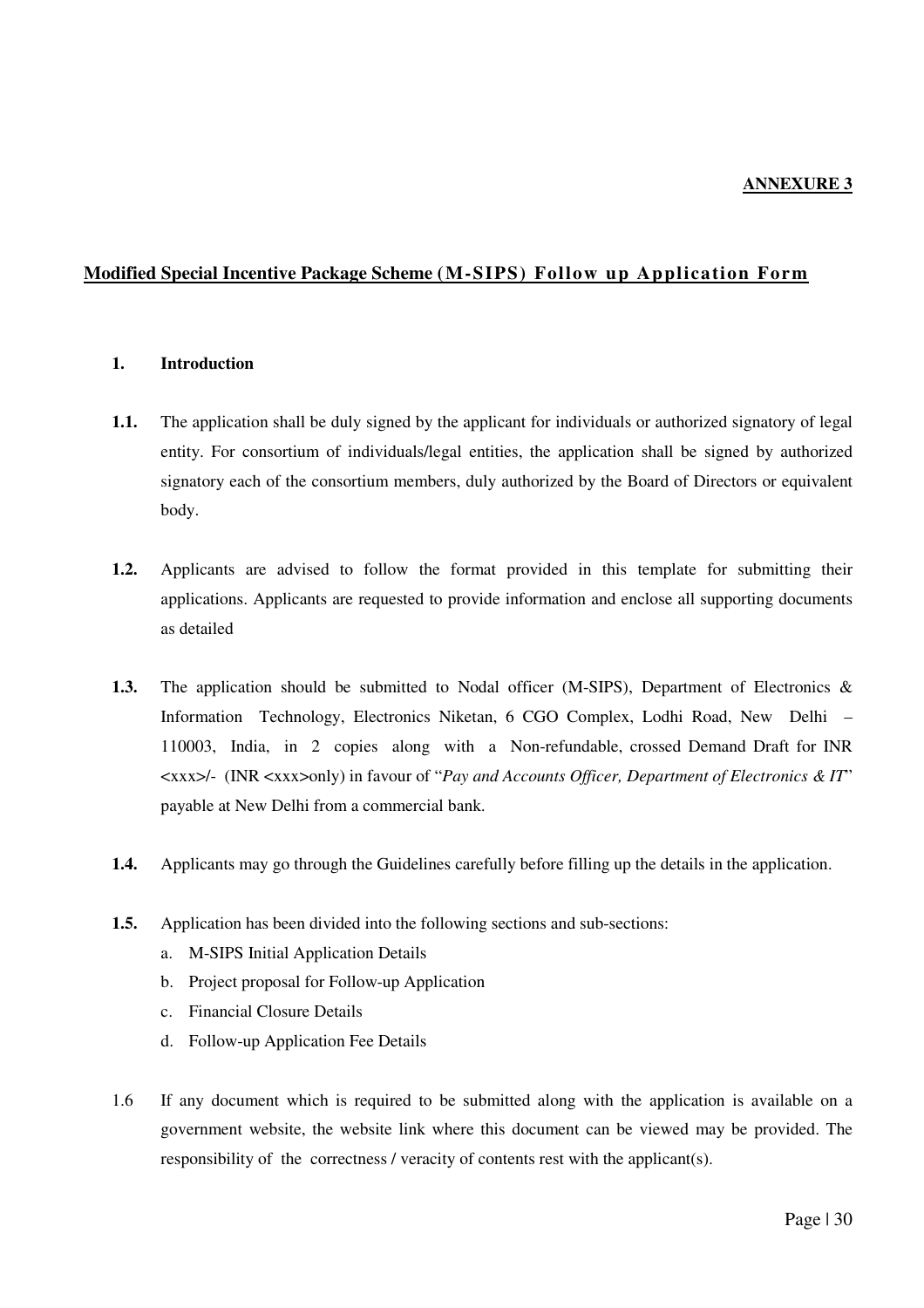### **Modified Special Incentive Package Scheme (M-SIPS) Follow up Application Form**

#### **1. Introduction**

- **1.1.** The application shall be duly signed by the applicant for individuals or authorized signatory of legal entity. For consortium of individuals/legal entities, the application shall be signed by authorized signatory each of the consortium members, duly authorized by the Board of Directors or equivalent body.
- **1.2.** Applicants are advised to follow the format provided in this template for submitting their applications. Applicants are requested to provide information and enclose all supporting documents as detailed
- **1.3.** The application should be submitted to Nodal officer (M-SIPS), Department of Electronics & Information Technology, Electronics Niketan, 6 CGO Complex, Lodhi Road, New Delhi – 110003, India, in 2 copies along with a Non-refundable, crossed Demand Draft for INR <xxx>/- (INR <xxx>only) in favour of "*Pay and Accounts Officer, Department of Electronics & IT*" payable at New Delhi from a commercial bank.
- **1.4.** Applicants may go through the Guidelines carefully before filling up the details in the application.
- **1.5.** Application has been divided into the following sections and sub-sections:
	- a. M-SIPS Initial Application Details
	- b. Project proposal for Follow-up Application
	- c. Financial Closure Details
	- d. Follow-up Application Fee Details
- 1.6 If any document which is required to be submitted along with the application is available on a government website, the website link where this document can be viewed may be provided. The responsibility of the correctness / veracity of contents rest with the applicant(s).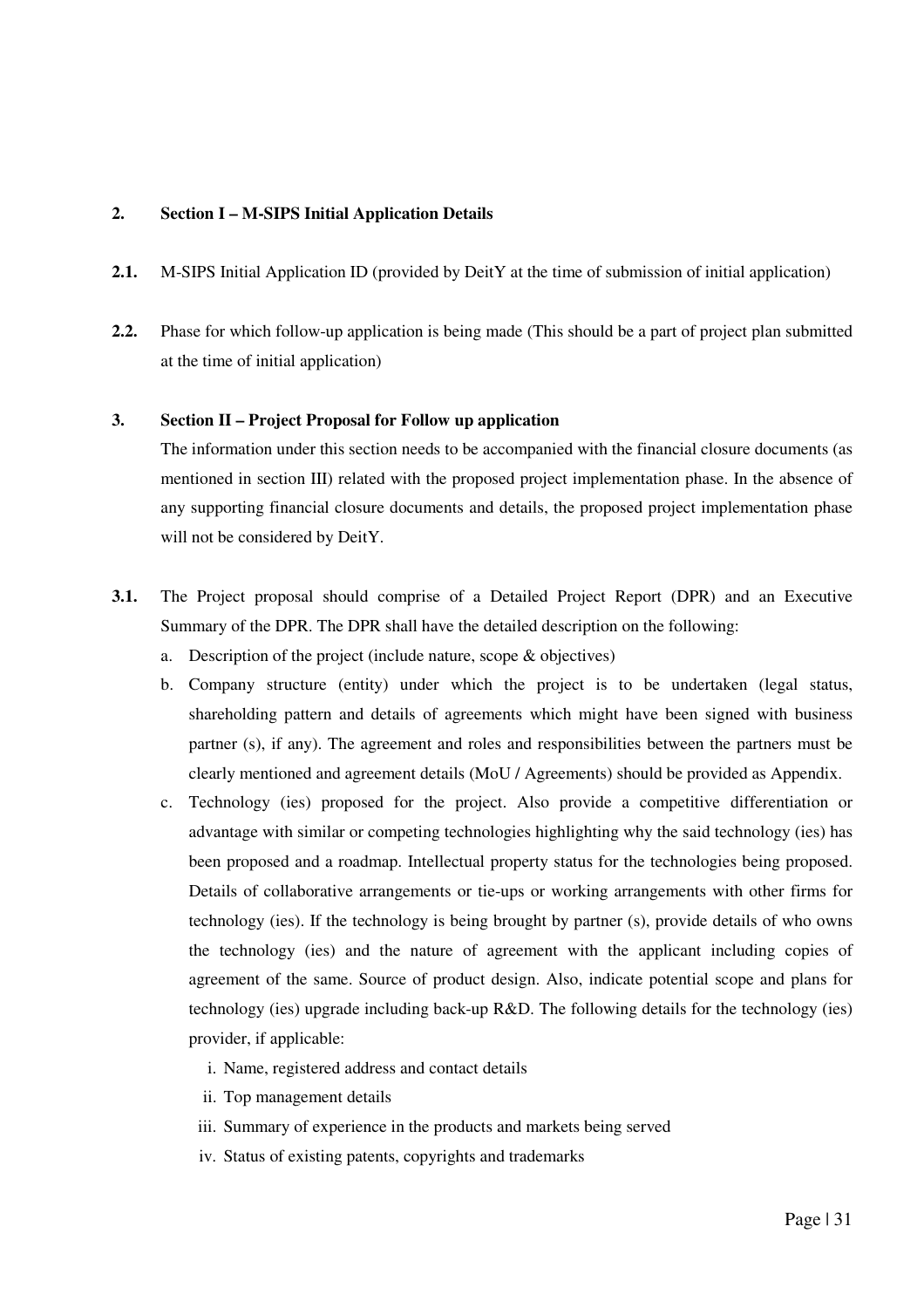#### **2. Section I – M-SIPS Initial Application Details**

- **2.1.** M-SIPS Initial Application ID (provided by DeitY at the time of submission of initial application)
- **2.2.** Phase for which follow-up application is being made (This should be a part of project plan submitted at the time of initial application)

#### **3. Section II – Project Proposal for Follow up application**

The information under this section needs to be accompanied with the financial closure documents (as mentioned in section III) related with the proposed project implementation phase. In the absence of any supporting financial closure documents and details, the proposed project implementation phase will not be considered by DeitY.

- **3.1.** The Project proposal should comprise of a Detailed Project Report (DPR) and an Executive Summary of the DPR. The DPR shall have the detailed description on the following:
	- a. Description of the project (include nature, scope & objectives)
	- b. Company structure (entity) under which the project is to be undertaken (legal status, shareholding pattern and details of agreements which might have been signed with business partner (s), if any). The agreement and roles and responsibilities between the partners must be clearly mentioned and agreement details (MoU / Agreements) should be provided as Appendix.
	- c. Technology (ies) proposed for the project. Also provide a competitive differentiation or advantage with similar or competing technologies highlighting why the said technology (ies) has been proposed and a roadmap. Intellectual property status for the technologies being proposed. Details of collaborative arrangements or tie-ups or working arrangements with other firms for technology (ies). If the technology is being brought by partner (s), provide details of who owns the technology (ies) and the nature of agreement with the applicant including copies of agreement of the same. Source of product design. Also, indicate potential scope and plans for technology (ies) upgrade including back-up R&D. The following details for the technology (ies) provider, if applicable:
		- i. Name, registered address and contact details
		- ii. Top management details
		- iii. Summary of experience in the products and markets being served
		- iv. Status of existing patents, copyrights and trademarks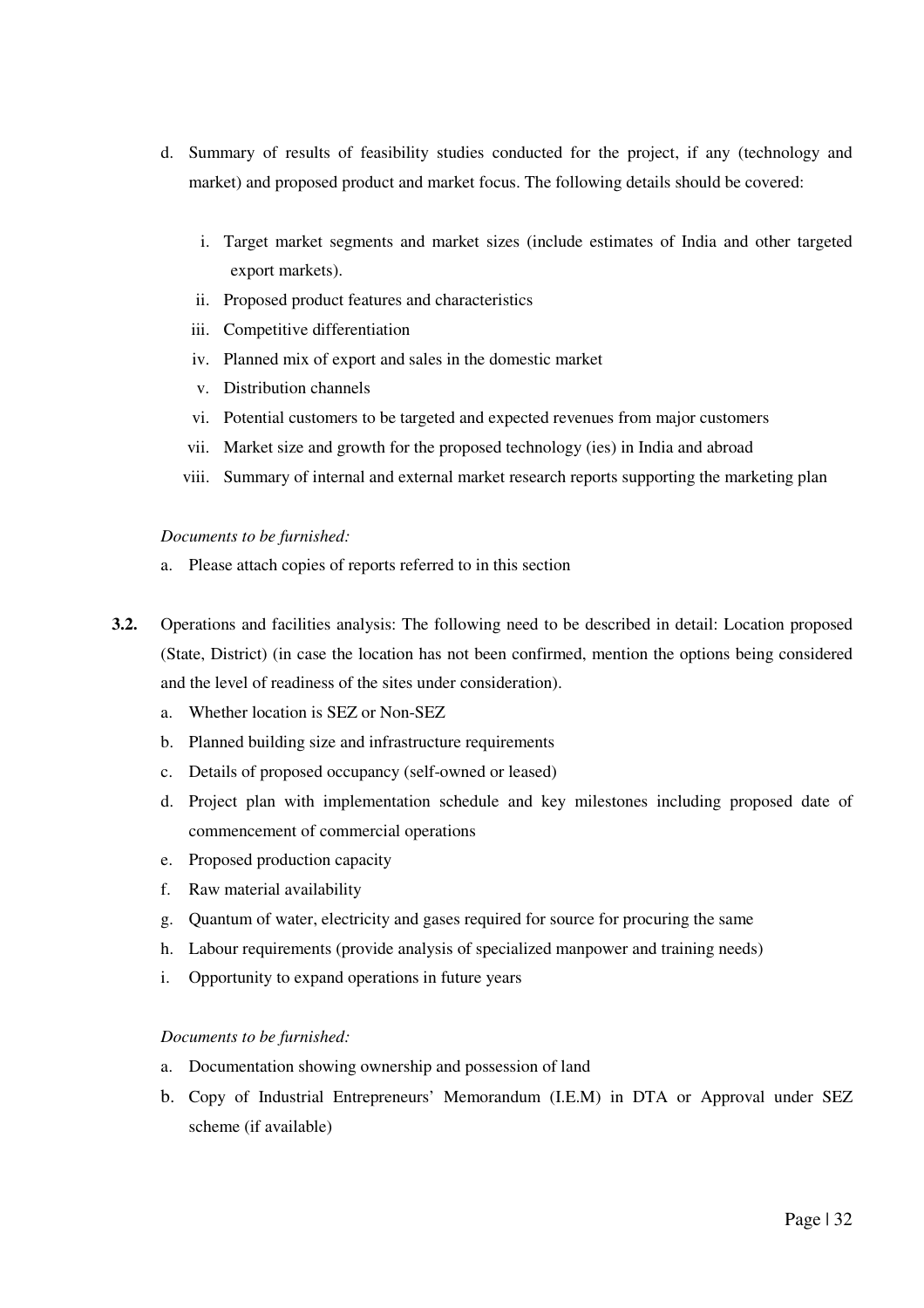- d. Summary of results of feasibility studies conducted for the project, if any (technology and market) and proposed product and market focus. The following details should be covered:
	- i. Target market segments and market sizes (include estimates of India and other targeted export markets).
	- ii. Proposed product features and characteristics
	- iii. Competitive differentiation
	- iv. Planned mix of export and sales in the domestic market
	- v. Distribution channels
	- vi. Potential customers to be targeted and expected revenues from major customers
	- vii. Market size and growth for the proposed technology (ies) in India and abroad
	- viii. Summary of internal and external market research reports supporting the marketing plan

#### *Documents to be furnished:*

- a. Please attach copies of reports referred to in this section
- **3.2.** Operations and facilities analysis: The following need to be described in detail: Location proposed (State, District) (in case the location has not been confirmed, mention the options being considered and the level of readiness of the sites under consideration).
	- a. Whether location is SEZ or Non-SEZ
	- b. Planned building size and infrastructure requirements
	- c. Details of proposed occupancy (self-owned or leased)
	- d. Project plan with implementation schedule and key milestones including proposed date of commencement of commercial operations
	- e. Proposed production capacity
	- f. Raw material availability
	- g. Quantum of water, electricity and gases required for source for procuring the same
	- h. Labour requirements (provide analysis of specialized manpower and training needs)
	- i. Opportunity to expand operations in future years

#### *Documents to be furnished:*

- a. Documentation showing ownership and possession of land
- b. Copy of Industrial Entrepreneurs' Memorandum (I.E.M) in DTA or Approval under SEZ scheme (if available)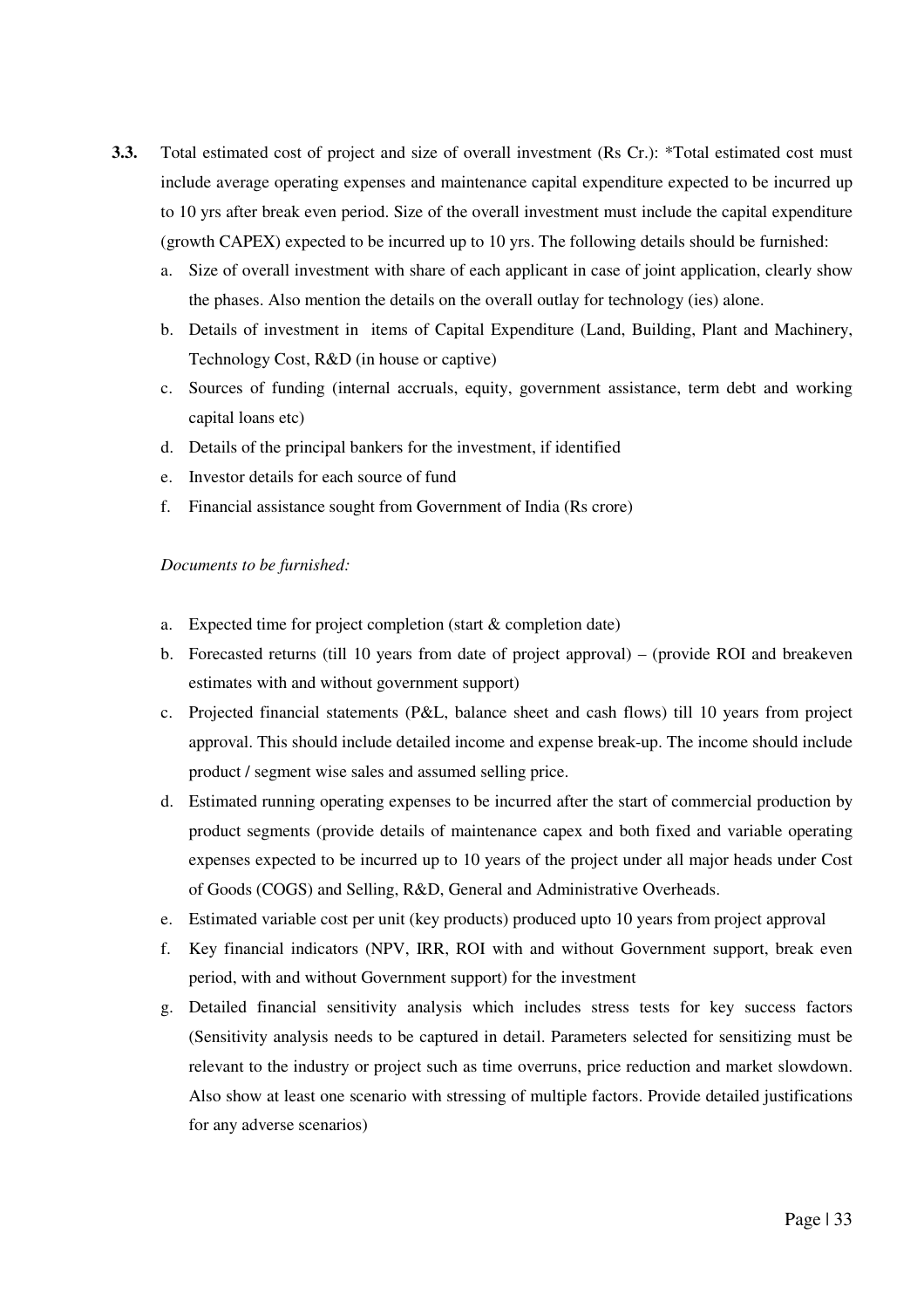- **3.3.** Total estimated cost of project and size of overall investment (Rs Cr.): \*Total estimated cost must include average operating expenses and maintenance capital expenditure expected to be incurred up to 10 yrs after break even period. Size of the overall investment must include the capital expenditure (growth CAPEX) expected to be incurred up to 10 yrs. The following details should be furnished:
	- a. Size of overall investment with share of each applicant in case of joint application, clearly show the phases. Also mention the details on the overall outlay for technology (ies) alone.
	- b. Details of investment in items of Capital Expenditure (Land, Building, Plant and Machinery, Technology Cost, R&D (in house or captive)
	- c. Sources of funding (internal accruals, equity, government assistance, term debt and working capital loans etc)
	- d. Details of the principal bankers for the investment, if identified
	- e. Investor details for each source of fund
	- f. Financial assistance sought from Government of India (Rs crore)

#### *Documents to be furnished:*

- a. Expected time for project completion (start & completion date)
- b. Forecasted returns (till 10 years from date of project approval) (provide ROI and breakeven estimates with and without government support)
- c. Projected financial statements (P&L, balance sheet and cash flows) till 10 years from project approval. This should include detailed income and expense break-up. The income should include product / segment wise sales and assumed selling price.
- d. Estimated running operating expenses to be incurred after the start of commercial production by product segments (provide details of maintenance capex and both fixed and variable operating expenses expected to be incurred up to 10 years of the project under all major heads under Cost of Goods (COGS) and Selling, R&D, General and Administrative Overheads.
- e. Estimated variable cost per unit (key products) produced upto 10 years from project approval
- f. Key financial indicators (NPV, IRR, ROI with and without Government support, break even period, with and without Government support) for the investment
- g. Detailed financial sensitivity analysis which includes stress tests for key success factors (Sensitivity analysis needs to be captured in detail. Parameters selected for sensitizing must be relevant to the industry or project such as time overruns, price reduction and market slowdown. Also show at least one scenario with stressing of multiple factors. Provide detailed justifications for any adverse scenarios)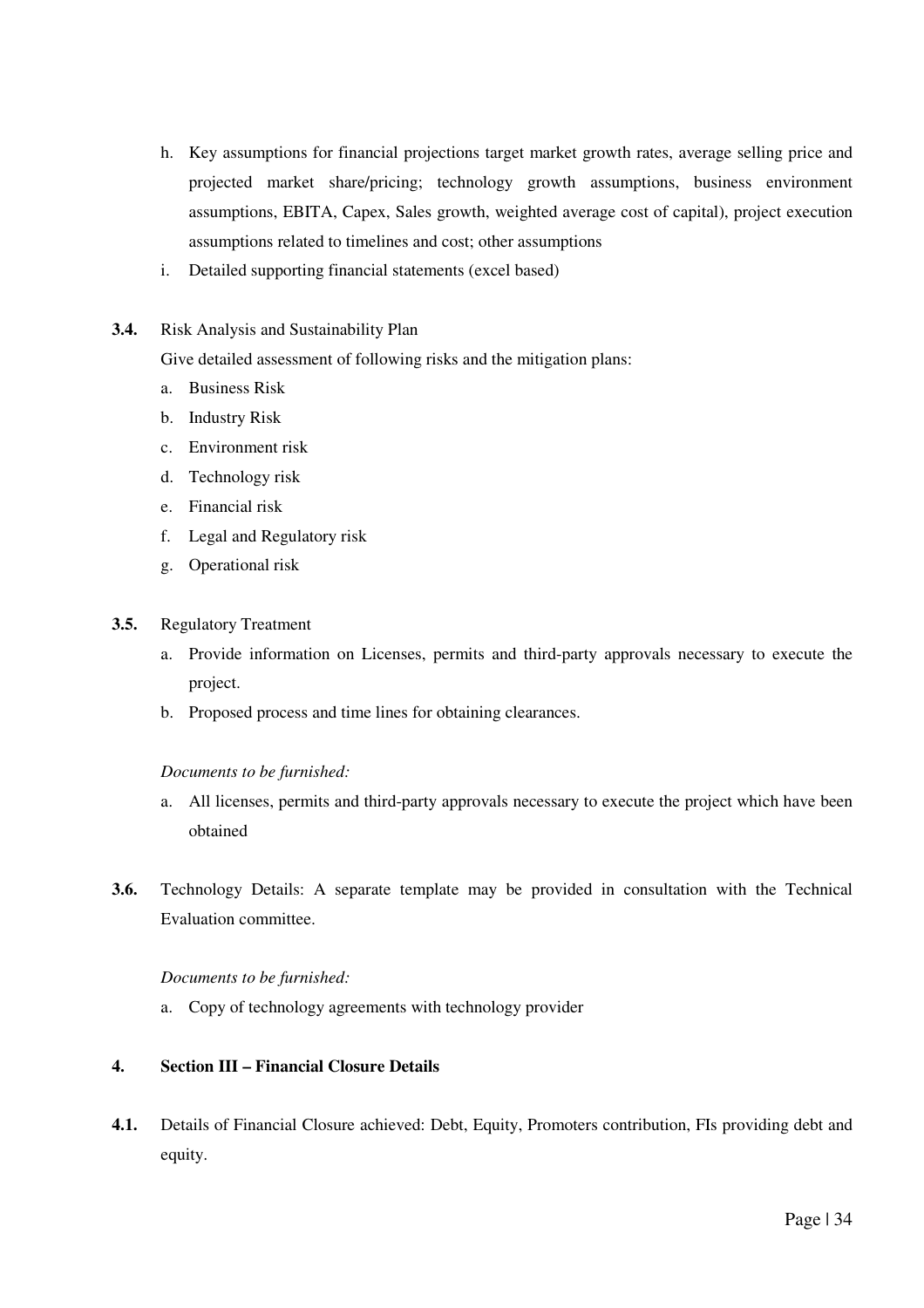- h. Key assumptions for financial projections target market growth rates, average selling price and projected market share/pricing; technology growth assumptions, business environment assumptions, EBITA, Capex, Sales growth, weighted average cost of capital), project execution assumptions related to timelines and cost; other assumptions
- i. Detailed supporting financial statements (excel based)
- **3.4.** Risk Analysis and Sustainability Plan

Give detailed assessment of following risks and the mitigation plans:

- a. Business Risk
- b. Industry Risk
- c. Environment risk
- d. Technology risk
- e. Financial risk
- f. Legal and Regulatory risk
- g. Operational risk
- **3.5.** Regulatory Treatment
	- a. Provide information on Licenses, permits and third-party approvals necessary to execute the project.
	- b. Proposed process and time lines for obtaining clearances.

*Documents to be furnished:* 

- a. All licenses, permits and third-party approvals necessary to execute the project which have been obtained
- **3.6.** Technology Details: A separate template may be provided in consultation with the Technical Evaluation committee.

#### *Documents to be furnished:*

a. Copy of technology agreements with technology provider

#### **4. Section III – Financial Closure Details**

**4.1.** Details of Financial Closure achieved: Debt, Equity, Promoters contribution, FIs providing debt and equity.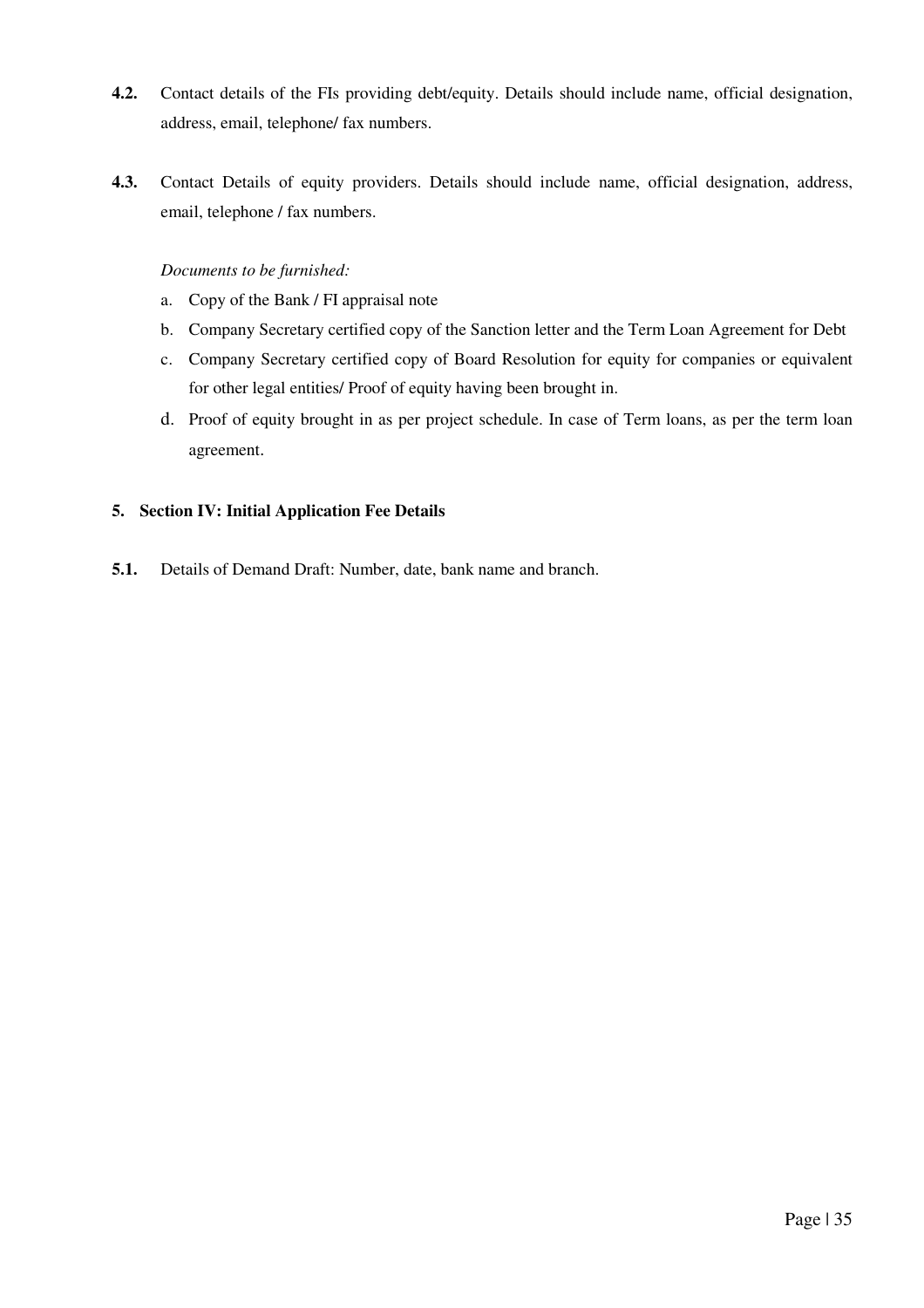- **4.2.** Contact details of the FIs providing debt/equity. Details should include name, official designation, address, email, telephone/ fax numbers.
- **4.3.** Contact Details of equity providers. Details should include name, official designation, address, email, telephone / fax numbers.

#### *Documents to be furnished:*

- a. Copy of the Bank / FI appraisal note
- b. Company Secretary certified copy of the Sanction letter and the Term Loan Agreement for Debt
- c. Company Secretary certified copy of Board Resolution for equity for companies or equivalent for other legal entities/ Proof of equity having been brought in.
- d. Proof of equity brought in as per project schedule. In case of Term loans, as per the term loan agreement.

#### **5. Section IV: Initial Application Fee Details**

**5.1.** Details of Demand Draft: Number, date, bank name and branch.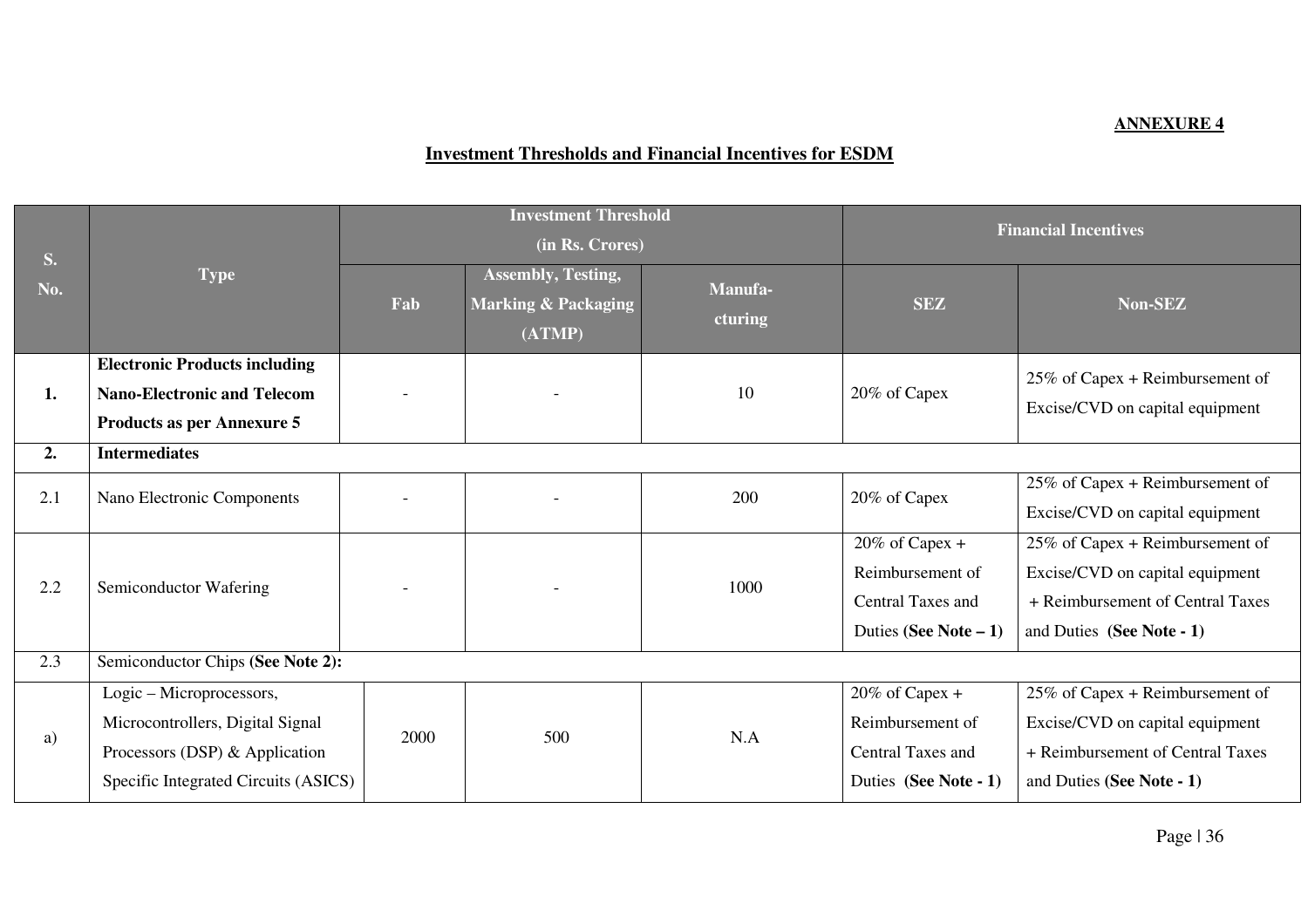## **ANNEXURE 4**

## **Investment Thresholds and Financial Incentives for ESDM**

| <b>S.</b><br>No. | <b>Type</b>                                                                                                                            | <b>Investment Threshold</b><br>(in Rs. Crores) |                                                                       |                    | <b>Financial Incentives</b>                                                           |                                                                                                                                     |
|------------------|----------------------------------------------------------------------------------------------------------------------------------------|------------------------------------------------|-----------------------------------------------------------------------|--------------------|---------------------------------------------------------------------------------------|-------------------------------------------------------------------------------------------------------------------------------------|
|                  |                                                                                                                                        | Fab                                            | <b>Assembly, Testing,</b><br><b>Marking &amp; Packaging</b><br>(ATMP) | Manufa-<br>cturing | <b>SEZ</b>                                                                            | Non-SEZ                                                                                                                             |
| 1.               | <b>Electronic Products including</b><br><b>Nano-Electronic and Telecom</b><br><b>Products as per Annexure 5</b>                        |                                                |                                                                       | 10                 | 20% of Capex                                                                          | $25\%$ of Capex + Reimbursement of<br>Excise/CVD on capital equipment                                                               |
| 2.               | <b>Intermediates</b>                                                                                                                   |                                                |                                                                       |                    |                                                                                       |                                                                                                                                     |
| 2.1              | Nano Electronic Components                                                                                                             |                                                |                                                                       | 200                | 20% of Capex                                                                          | 25% of Capex + Reimbursement of                                                                                                     |
|                  |                                                                                                                                        |                                                |                                                                       |                    |                                                                                       | Excise/CVD on capital equipment                                                                                                     |
| 2.2              | Semiconductor Wafering                                                                                                                 |                                                |                                                                       | 1000               | $20\%$ of Capex +<br>Reimbursement of<br>Central Taxes and<br>Duties (See Note $-1$ ) | 25% of Capex + Reimbursement of<br>Excise/CVD on capital equipment<br>+ Reimbursement of Central Taxes<br>and Duties (See Note - 1) |
| 2.3              | Semiconductor Chips (See Note 2):                                                                                                      |                                                |                                                                       |                    |                                                                                       |                                                                                                                                     |
| a)               | Logic - Microprocessors,<br>Microcontrollers, Digital Signal<br>Processors (DSP) & Application<br>Specific Integrated Circuits (ASICS) | 2000                                           | 500                                                                   | N.A                | $20\%$ of Capex +<br>Reimbursement of<br>Central Taxes and<br>Duties (See Note - 1)   | 25% of Capex + Reimbursement of<br>Excise/CVD on capital equipment<br>+ Reimbursement of Central Taxes<br>and Duties (See Note - 1) |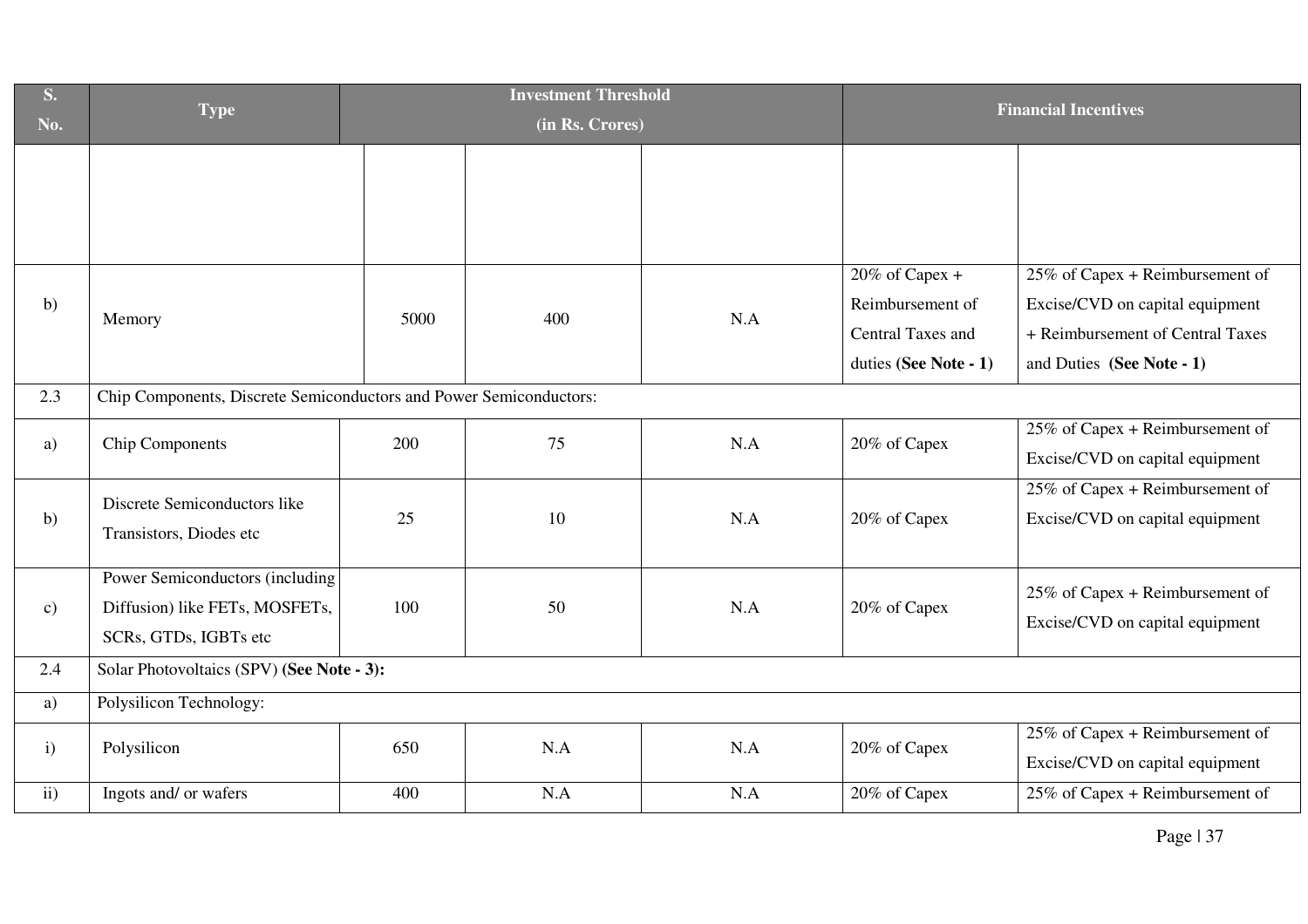| S.<br>No.     | <b>Type</b>                                                                                | <b>Investment Threshold</b><br>(in Rs. Crores) |     |     |                                                                                     | <b>Financial Incentives</b>                                                                                                         |
|---------------|--------------------------------------------------------------------------------------------|------------------------------------------------|-----|-----|-------------------------------------------------------------------------------------|-------------------------------------------------------------------------------------------------------------------------------------|
|               |                                                                                            |                                                |     |     |                                                                                     |                                                                                                                                     |
| b)            | Memory                                                                                     | 5000                                           | 400 | N.A | $20\%$ of Capex +<br>Reimbursement of<br>Central Taxes and<br>duties (See Note - 1) | 25% of Capex + Reimbursement of<br>Excise/CVD on capital equipment<br>+ Reimbursement of Central Taxes<br>and Duties (See Note - 1) |
| 2.3           | Chip Components, Discrete Semiconductors and Power Semiconductors:                         |                                                |     |     |                                                                                     |                                                                                                                                     |
| a)            | <b>Chip Components</b>                                                                     | 200                                            | 75  | N.A | 20% of Capex                                                                        | $25\%$ of Capex + Reimbursement of<br>Excise/CVD on capital equipment                                                               |
| b)            | Discrete Semiconductors like<br>Transistors, Diodes etc                                    | 25                                             | 10  | N.A | 20% of Capex                                                                        | 25% of Capex + Reimbursement of<br>Excise/CVD on capital equipment                                                                  |
| $\mathbf{c})$ | Power Semiconductors (including<br>Diffusion) like FETs, MOSFETs,<br>SCRs, GTDs, IGBTs etc | 100                                            | 50  | N.A | 20% of Capex                                                                        | 25% of Capex + Reimbursement of<br>Excise/CVD on capital equipment                                                                  |
| 2.4           | Solar Photovoltaics (SPV) (See Note - 3):                                                  |                                                |     |     |                                                                                     |                                                                                                                                     |
| a)            | Polysilicon Technology:                                                                    |                                                |     |     |                                                                                     |                                                                                                                                     |
| $\mathbf{i}$  | Polysilicon                                                                                | 650                                            | N.A | N.A | 20% of Capex                                                                        | 25% of Capex + Reimbursement of<br>Excise/CVD on capital equipment                                                                  |
| ii)           | Ingots and/ or wafers                                                                      | 400                                            | N.A | N.A | 20% of Capex                                                                        | 25% of Capex + Reimbursement of                                                                                                     |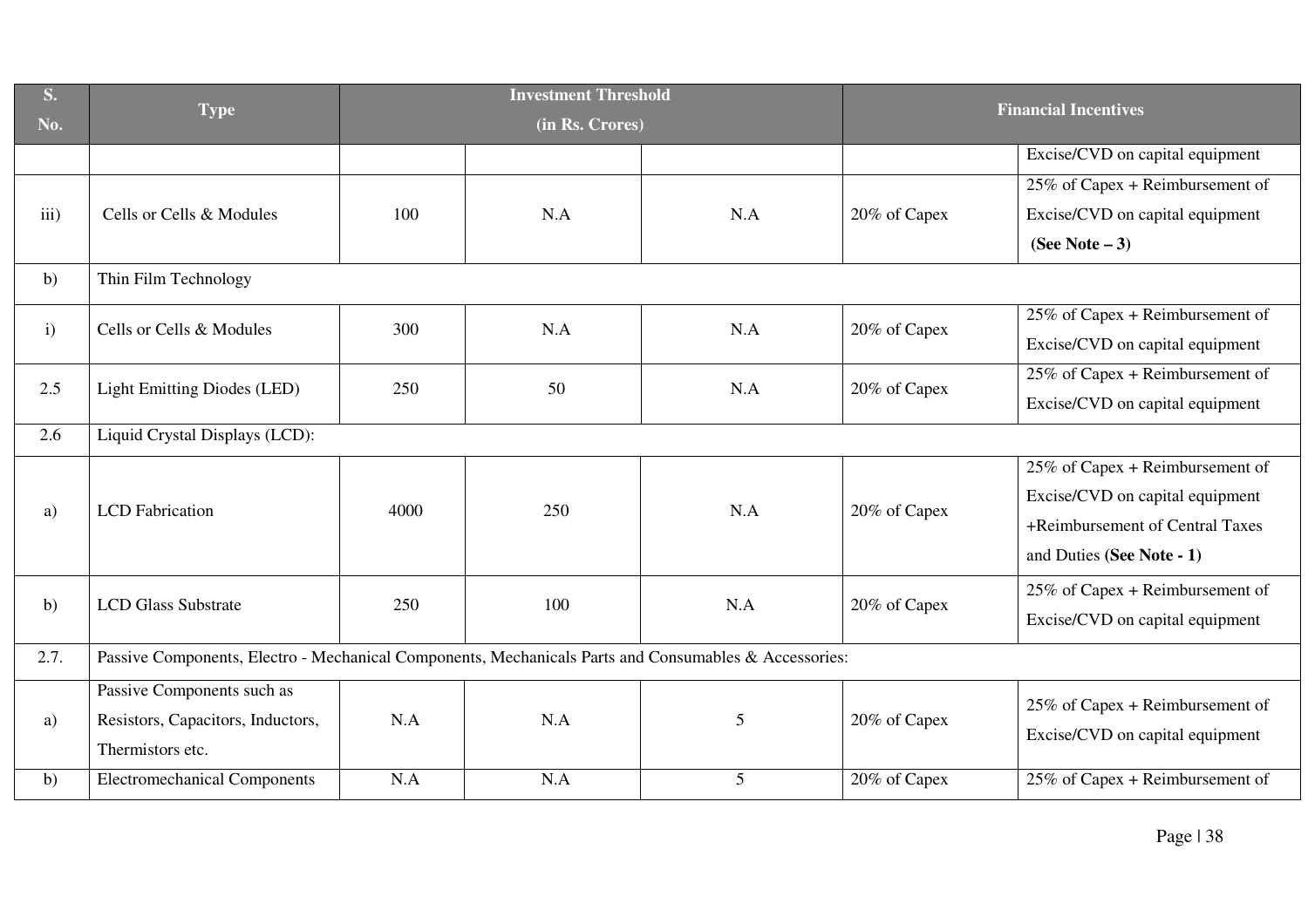| <b>S.</b>    |                                                                                                       | <b>Investment Threshold</b> |     | <b>Financial Incentives</b> |              |                                    |  |
|--------------|-------------------------------------------------------------------------------------------------------|-----------------------------|-----|-----------------------------|--------------|------------------------------------|--|
| No.          | <b>Type</b>                                                                                           |                             |     | (in Rs. Crores)             |              |                                    |  |
|              |                                                                                                       |                             |     |                             |              | Excise/CVD on capital equipment    |  |
|              |                                                                                                       |                             |     |                             |              | $25\%$ of Capex + Reimbursement of |  |
| iii)         | Cells or Cells & Modules                                                                              | 100                         | N.A | N.A                         | 20% of Capex | Excise/CVD on capital equipment    |  |
|              |                                                                                                       |                             |     |                             |              | (See Note $-3$ )                   |  |
| b)           | Thin Film Technology                                                                                  |                             |     |                             |              |                                    |  |
| $\mathbf{i}$ | Cells or Cells & Modules                                                                              | 300                         | N.A | N.A                         | 20% of Capex | 25% of Capex + Reimbursement of    |  |
|              |                                                                                                       |                             |     |                             |              | Excise/CVD on capital equipment    |  |
| 2.5          | <b>Light Emitting Diodes (LED)</b>                                                                    | 250                         | 50  | N.A                         | 20% of Capex | 25% of Capex + Reimbursement of    |  |
|              |                                                                                                       |                             |     |                             |              | Excise/CVD on capital equipment    |  |
| 2.6          | Liquid Crystal Displays (LCD):                                                                        |                             |     |                             |              |                                    |  |
|              | <b>LCD</b> Fabrication                                                                                | 4000                        | 250 | N.A                         | 20% of Capex | 25% of Capex + Reimbursement of    |  |
| a)           |                                                                                                       |                             |     |                             |              | Excise/CVD on capital equipment    |  |
|              |                                                                                                       |                             |     |                             |              | +Reimbursement of Central Taxes    |  |
|              |                                                                                                       |                             |     |                             |              | and Duties (See Note - 1)          |  |
|              | <b>LCD Glass Substrate</b>                                                                            | 250                         | 100 | N.A                         | 20% of Capex | 25% of Capex + Reimbursement of    |  |
| b)           |                                                                                                       |                             |     |                             |              | Excise/CVD on capital equipment    |  |
| 2.7.         | Passive Components, Electro - Mechanical Components, Mechanicals Parts and Consumables & Accessories: |                             |     |                             |              |                                    |  |
| a)           | Passive Components such as                                                                            | N.A                         | N.A |                             | 20% of Capex | $25\%$ of Capex + Reimbursement of |  |
|              | Resistors, Capacitors, Inductors,                                                                     |                             |     | 5                           |              | Excise/CVD on capital equipment    |  |
|              | Thermistors etc.                                                                                      |                             |     |                             |              |                                    |  |
| b)           | <b>Electromechanical Components</b>                                                                   | N.A                         | N.A | 5                           | 20% of Capex | $25\%$ of Capex + Reimbursement of |  |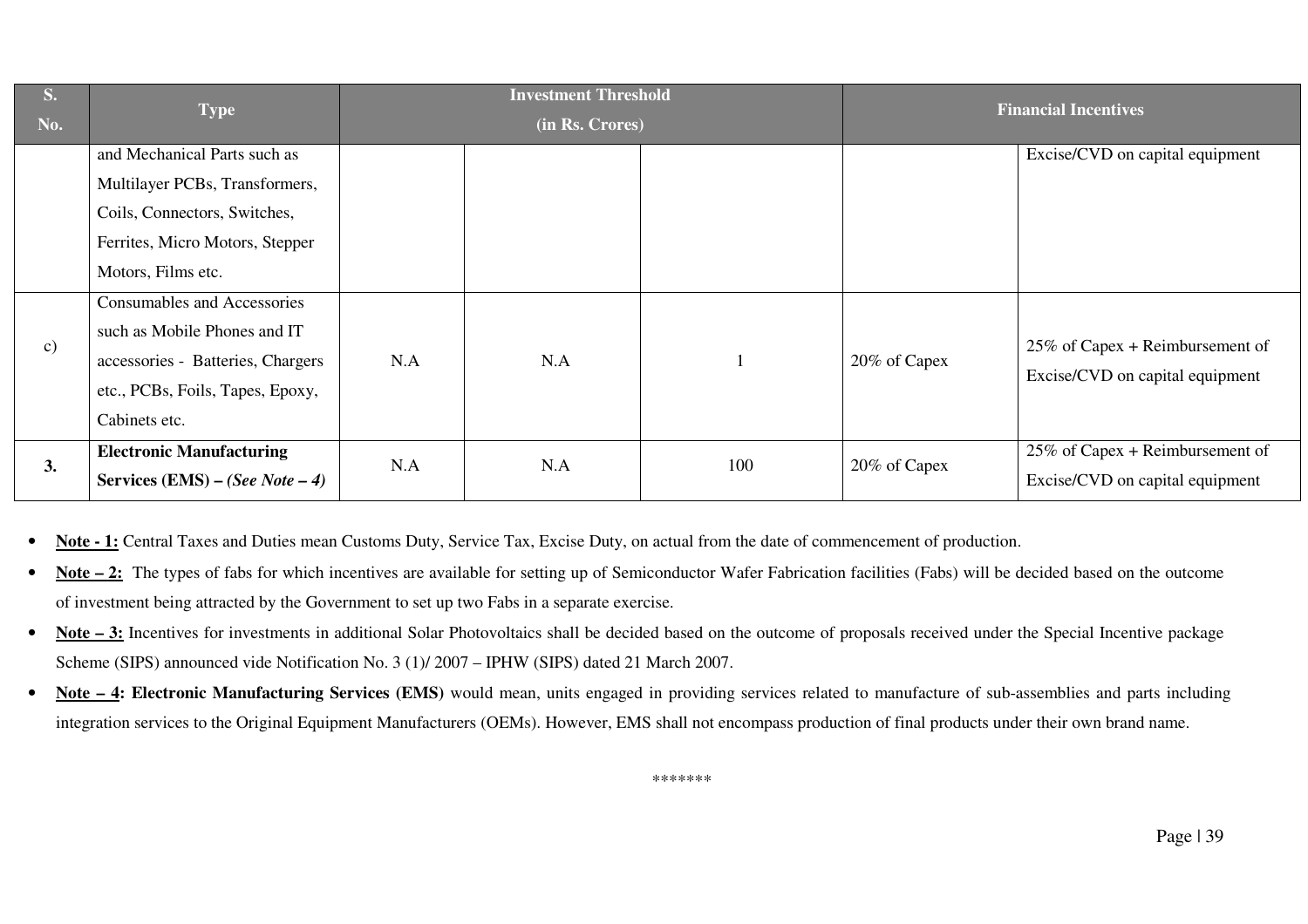| S.            | <b>Type</b>                       |     | <b>Investment Threshold</b> |     |              | <b>Financial Incentives</b>        |
|---------------|-----------------------------------|-----|-----------------------------|-----|--------------|------------------------------------|
| No.           |                                   |     | (in Rs. Crores)             |     |              |                                    |
|               | and Mechanical Parts such as      |     |                             |     |              | Excise/CVD on capital equipment    |
|               | Multilayer PCBs, Transformers,    |     |                             |     |              |                                    |
|               | Coils, Connectors, Switches,      |     |                             |     |              |                                    |
|               | Ferrites, Micro Motors, Stepper   |     |                             |     |              |                                    |
|               | Motors, Films etc.                |     |                             |     |              |                                    |
| $\mathbf{c})$ | Consumables and Accessories       |     |                             |     |              |                                    |
|               | such as Mobile Phones and IT      |     |                             |     |              |                                    |
|               | accessories - Batteries, Chargers | N.A | N.A                         |     | 20% of Capex | $25\%$ of Capex + Reimbursement of |
|               | etc., PCBs, Foils, Tapes, Epoxy,  |     |                             |     |              | Excise/CVD on capital equipment    |
|               | Cabinets etc.                     |     |                             |     |              |                                    |
| 3.            | <b>Electronic Manufacturing</b>   | N.A | N.A                         | 100 | 20% of Capex | 25% of Capex + Reimbursement of    |
|               | Services (EMS) – (See Note – 4)   |     |                             |     |              | Excise/CVD on capital equipment    |

•**Note - 1:** Central Taxes and Duties mean Customs Duty, Service Tax, Excise Duty, on actual from the date of commencement of production.

- • **Note – 2:** The types of fabs for which incentives are available for setting up of Semiconductor Wafer Fabrication facilities (Fabs) will be decided based on the outcome of investment being attracted by the Government to set up two Fabs in a separate exercise.
- • **Note – 3:** Incentives for investments in additional Solar Photovoltaics shall be decided based on the outcome of proposals received under the Special Incentive package Scheme (SIPS) announced vide Notification No. 3 (1)/ 2007 – IPHW (SIPS) dated 21 March 2007.
- • **Note – 4: Electronic Manufacturing Services (EMS)** would mean, units engaged in providing services related to manufacture of sub-assemblies and parts including integration services to the Original Equipment Manufacturers (OEMs). However, EMS shall not encompass production of final products under their own brand name.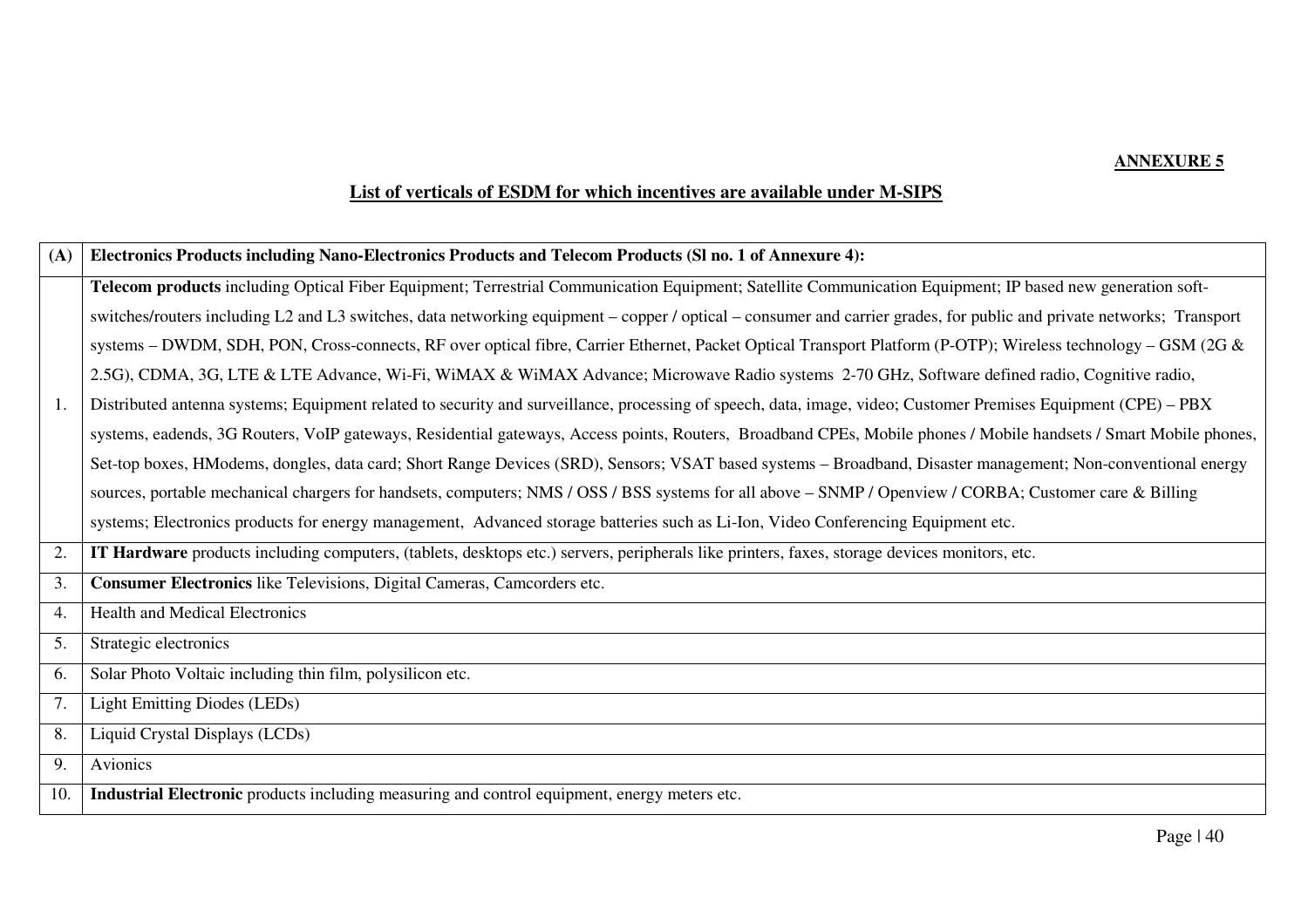## **List of verticals of ESDM for which incentives are available under M-SIPS**

| (A) | Electronics Products including Nano-Electronics Products and Telecom Products (SI no. 1 of Annexure 4):                                                               |
|-----|-----------------------------------------------------------------------------------------------------------------------------------------------------------------------|
|     | Telecom products including Optical Fiber Equipment; Terrestrial Communication Equipment; Satellite Communication Equipment; IP based new generation soft-             |
|     | switches/routers including L2 and L3 switches, data networking equipment – copper / optical – consumer and carrier grades, for public and private networks; Transport |
|     | systems – DWDM, SDH, PON, Cross-connects, RF over optical fibre, Carrier Ethernet, Packet Optical Transport Platform (P-OTP); Wireless technology – GSM (2G &         |
|     | 2.5G), CDMA, 3G, LTE & LTE Advance, Wi-Fi, WiMAX & WiMAX Advance; Microwave Radio systems 2-70 GHz, Software defined radio, Cognitive radio,                          |
| 1.  | Distributed antenna systems; Equipment related to security and surveillance, processing of speech, data, image, video; Customer Premises Equipment (CPE) – PBX        |
|     | systems, eadends, 3G Routers, VoIP gateways, Residential gateways, Access points, Routers, Broadband CPEs, Mobile phones / Mobile handsets / Smart Mobile phones,     |
|     | Set-top boxes, HModems, dongles, data card; Short Range Devices (SRD), Sensors; VSAT based systems - Broadband, Disaster management; Non-conventional energy          |
|     | sources, portable mechanical chargers for handsets, computers; NMS / OSS / BSS systems for all above - SNMP / Openview / CORBA; Customer care & Billing               |
|     | systems; Electronics products for energy management, Advanced storage batteries such as Li-Ion, Video Conferencing Equipment etc.                                     |
| 2.  | IT Hardware products including computers, (tablets, desktops etc.) servers, peripherals like printers, faxes, storage devices monitors, etc.                          |
| 3.  | Consumer Electronics like Televisions, Digital Cameras, Camcorders etc.                                                                                               |
| 4.  | Health and Medical Electronics                                                                                                                                        |
| 5.  | Strategic electronics                                                                                                                                                 |
| 6.  | Solar Photo Voltaic including thin film, polysilicon etc.                                                                                                             |
| 7.  | <b>Light Emitting Diodes (LEDs)</b>                                                                                                                                   |
| 8.  | Liquid Crystal Displays (LCDs)                                                                                                                                        |
| 9.  | Avionics                                                                                                                                                              |
| 10. | Industrial Electronic products including measuring and control equipment, energy meters etc.                                                                          |